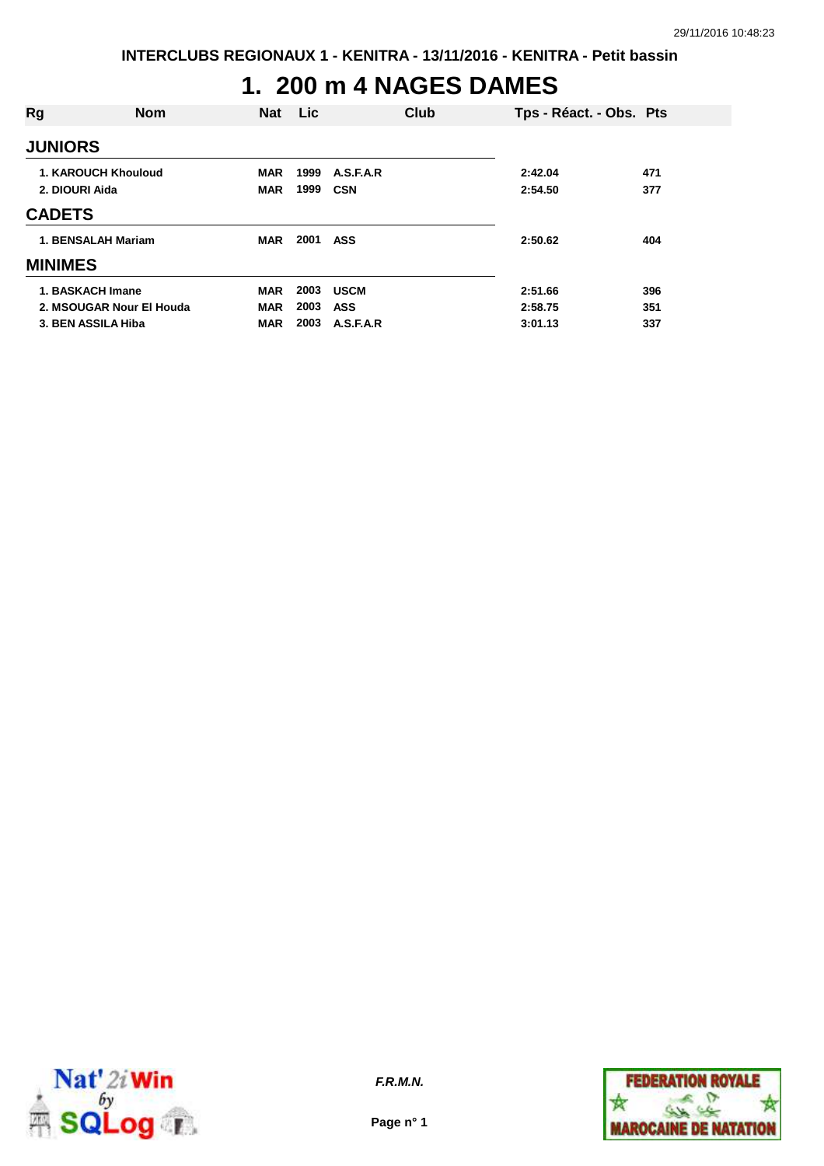# **1. 200 m 4 NAGES DAMES**

| Rg             | <b>Nom</b>                 | <b>Nat</b> | <b>Lic</b> | Club        | Tps - Réact. - Obs. Pts |     |
|----------------|----------------------------|------------|------------|-------------|-------------------------|-----|
| <b>JUNIORS</b> |                            |            |            |             |                         |     |
|                | <b>1. KAROUCH Khouloud</b> | <b>MAR</b> | 1999       | A.S.F.A.R   | 2:42.04                 | 471 |
| 2. DIOURI Aida |                            | <b>MAR</b> | 1999       | CSN         | 2:54.50                 | 377 |
| <b>CADETS</b>  |                            |            |            |             |                         |     |
|                | 1. BENSALAH Mariam         | <b>MAR</b> | 2001       | <b>ASS</b>  | 2:50.62                 | 404 |
| <b>MINIMES</b> |                            |            |            |             |                         |     |
|                | 1. BASKACH Imane           | <b>MAR</b> | 2003       | <b>USCM</b> | 2:51.66                 | 396 |
|                | 2. MSOUGAR Nour El Houda   | <b>MAR</b> | 2003       | ASS         | 2:58.75                 | 351 |
|                | 3. BEN ASSILA Hiba         | <b>MAR</b> | 2003       | A.S.F.A.R   | 3:01.13                 | 337 |



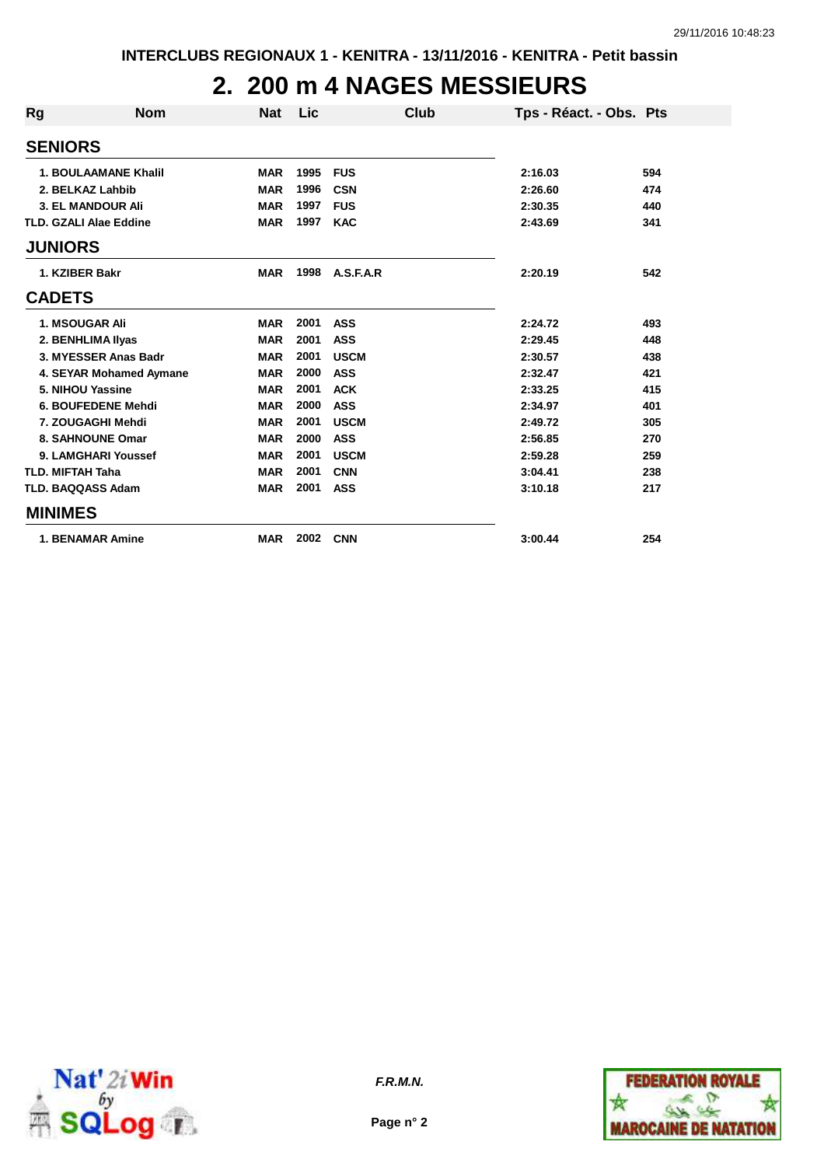## **2. 200 m 4 NAGES MESSIEURS**

| Rg             | <b>Nom</b>                    | <b>Nat</b> | Lic  |             | Club | Tps - Réact. - Obs. Pts |     |
|----------------|-------------------------------|------------|------|-------------|------|-------------------------|-----|
| <b>SENIORS</b> |                               |            |      |             |      |                         |     |
|                | <b>1. BOULAAMANE Khalil</b>   | <b>MAR</b> | 1995 | <b>FUS</b>  |      | 2:16.03                 | 594 |
|                | 2. BELKAZ Lahbib              | <b>MAR</b> | 1996 | <b>CSN</b>  |      | 2:26.60                 | 474 |
|                | <b>3. EL MANDOUR Ali</b>      | <b>MAR</b> | 1997 | <b>FUS</b>  |      | 2:30.35                 | 440 |
|                | <b>TLD. GZALI Alae Eddine</b> | <b>MAR</b> | 1997 | <b>KAC</b>  |      | 2:43.69                 | 341 |
| <b>JUNIORS</b> |                               |            |      |             |      |                         |     |
|                | 1. KZIBER Bakr                | <b>MAR</b> | 1998 | A.S.F.A.R   |      | 2:20.19                 | 542 |
| <b>CADETS</b>  |                               |            |      |             |      |                         |     |
|                | <b>1. MSOUGAR Ali</b>         | <b>MAR</b> | 2001 | <b>ASS</b>  |      | 2:24.72                 | 493 |
|                | 2. BENHLIMA IIyas             | <b>MAR</b> | 2001 | <b>ASS</b>  |      | 2:29.45                 | 448 |
|                | 3. MYESSER Anas Badr          | <b>MAR</b> | 2001 | <b>USCM</b> |      | 2:30.57                 | 438 |
|                | 4. SEYAR Mohamed Aymane       | <b>MAR</b> | 2000 | <b>ASS</b>  |      | 2:32.47                 | 421 |
|                | 5. NIHOU Yassine              | <b>MAR</b> | 2001 | <b>ACK</b>  |      | 2:33.25                 | 415 |
|                | 6. BOUFEDENE Mehdi            | <b>MAR</b> | 2000 | <b>ASS</b>  |      | 2:34.97                 | 401 |
|                | 7. ZOUGAGHI Mehdi             | <b>MAR</b> | 2001 | <b>USCM</b> |      | 2:49.72                 | 305 |
|                | 8. SAHNOUNE Omar              | <b>MAR</b> | 2000 | <b>ASS</b>  |      | 2:56.85                 | 270 |
|                | 9. LAMGHARI Youssef           | <b>MAR</b> | 2001 | <b>USCM</b> |      | 2:59.28                 | 259 |
|                | <b>TLD. MIFTAH Taha</b>       | <b>MAR</b> | 2001 | <b>CNN</b>  |      | 3:04.41                 | 238 |
|                | <b>TLD. BAQQASS Adam</b>      | <b>MAR</b> | 2001 | <b>ASS</b>  |      | 3:10.18                 | 217 |
| <b>MINIMES</b> |                               |            |      |             |      |                         |     |
|                | <b>1. BENAMAR Amine</b>       | <b>MAR</b> | 2002 | <b>CNN</b>  |      | 3:00.44                 | 254 |



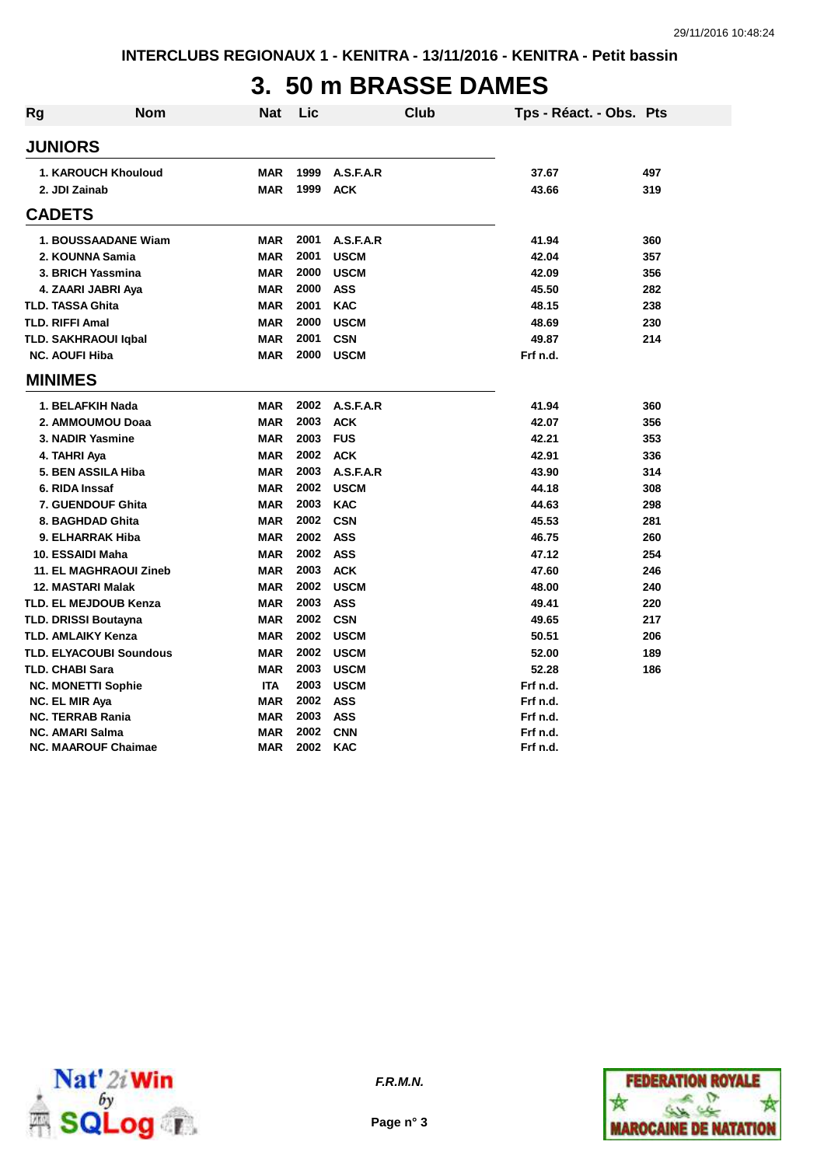## **3. 50 m BRASSE DAMES**

| Rg | <b>Nom</b>                     | <b>Nat</b> | Lic  |             | <b>Club</b> | Tps - Réact. - Obs. Pts |     |
|----|--------------------------------|------------|------|-------------|-------------|-------------------------|-----|
|    | <b>JUNIORS</b>                 |            |      |             |             |                         |     |
|    | 1. KAROUCH Khouloud            | <b>MAR</b> | 1999 | A.S.F.A.R   |             | 37.67                   | 497 |
|    | 2. JDI Zainab                  | <b>MAR</b> | 1999 | <b>ACK</b>  |             | 43.66                   | 319 |
|    | <b>CADETS</b>                  |            |      |             |             |                         |     |
|    | 1. BOUSSAADANE Wiam            | <b>MAR</b> | 2001 | A.S.F.A.R   |             | 41.94                   | 360 |
|    | 2. KOUNNA Samia                | <b>MAR</b> | 2001 | <b>USCM</b> |             | 42.04                   | 357 |
|    | 3. BRICH Yassmina              | <b>MAR</b> | 2000 | <b>USCM</b> |             | 42.09                   | 356 |
|    | 4. ZAARI JABRI Aya             | <b>MAR</b> | 2000 | <b>ASS</b>  |             | 45.50                   | 282 |
|    | <b>TLD. TASSA Ghita</b>        | <b>MAR</b> | 2001 | <b>KAC</b>  |             | 48.15                   | 238 |
|    | <b>TLD. RIFFI Amal</b>         | <b>MAR</b> | 2000 | <b>USCM</b> |             | 48.69                   | 230 |
|    | <b>TLD. SAKHRAOUI Igbal</b>    | <b>MAR</b> | 2001 | <b>CSN</b>  |             | 49.87                   | 214 |
|    | <b>NC. AOUFI Hiba</b>          | <b>MAR</b> | 2000 | <b>USCM</b> |             | Frf n.d.                |     |
|    | <b>MINIMES</b>                 |            |      |             |             |                         |     |
|    | 1. BELAFKIH Nada               | <b>MAR</b> | 2002 | A.S.F.A.R   |             | 41.94                   | 360 |
|    | 2. AMMOUMOU Doaa               | <b>MAR</b> | 2003 | <b>ACK</b>  |             | 42.07                   | 356 |
|    | 3. NADIR Yasmine               | <b>MAR</b> | 2003 | <b>FUS</b>  |             | 42.21                   | 353 |
|    | 4. TAHRI Aya                   | <b>MAR</b> | 2002 | <b>ACK</b>  |             | 42.91                   | 336 |
|    | 5. BEN ASSILA Hiba             | <b>MAR</b> | 2003 | A.S.F.A.R   |             | 43.90                   | 314 |
|    | 6. RIDA Inssaf                 | <b>MAR</b> | 2002 | <b>USCM</b> |             | 44.18                   | 308 |
|    | <b>7. GUENDOUF Ghita</b>       | <b>MAR</b> | 2003 | <b>KAC</b>  |             | 44.63                   | 298 |
|    | 8. BAGHDAD Ghita               | <b>MAR</b> | 2002 | <b>CSN</b>  |             | 45.53                   | 281 |
|    | 9. ELHARRAK Hiba               | <b>MAR</b> | 2002 | <b>ASS</b>  |             | 46.75                   | 260 |
|    | 10. ESSAIDI Maha               | <b>MAR</b> | 2002 | <b>ASS</b>  |             | 47.12                   | 254 |
|    | <b>11. EL MAGHRAOUI Zineb</b>  | <b>MAR</b> | 2003 | <b>ACK</b>  |             | 47.60                   | 246 |
|    | 12. MASTARI Malak              | <b>MAR</b> | 2002 | <b>USCM</b> |             | 48.00                   | 240 |
|    | <b>TLD. EL MEJDOUB Kenza</b>   | <b>MAR</b> | 2003 | <b>ASS</b>  |             | 49.41                   | 220 |
|    | <b>TLD. DRISSI Boutayna</b>    | <b>MAR</b> | 2002 | <b>CSN</b>  |             | 49.65                   | 217 |
|    | TLD. AMLAIKY Kenza             | <b>MAR</b> | 2002 | <b>USCM</b> |             | 50.51                   | 206 |
|    | <b>TLD. ELYACOUBI Soundous</b> | <b>MAR</b> | 2002 | <b>USCM</b> |             | 52.00                   | 189 |
|    | <b>TLD. CHABI Sara</b>         | <b>MAR</b> | 2003 | <b>USCM</b> |             | 52.28                   | 186 |
|    | <b>NC. MONETTI Sophie</b>      | <b>ITA</b> | 2003 | <b>USCM</b> |             | Frf n.d.                |     |
|    | <b>NC. EL MIR Aya</b>          | <b>MAR</b> | 2002 | <b>ASS</b>  |             | Frf n.d.                |     |
|    | <b>NC. TERRAB Rania</b>        | <b>MAR</b> | 2003 | <b>ASS</b>  |             | Frf n.d.                |     |
|    | <b>NC. AMARI Salma</b>         | <b>MAR</b> | 2002 | <b>CNN</b>  |             | Frf n.d.                |     |
|    | <b>NC. MAAROUF Chaimae</b>     | <b>MAR</b> | 2002 | <b>KAC</b>  |             | Frf n.d.                |     |



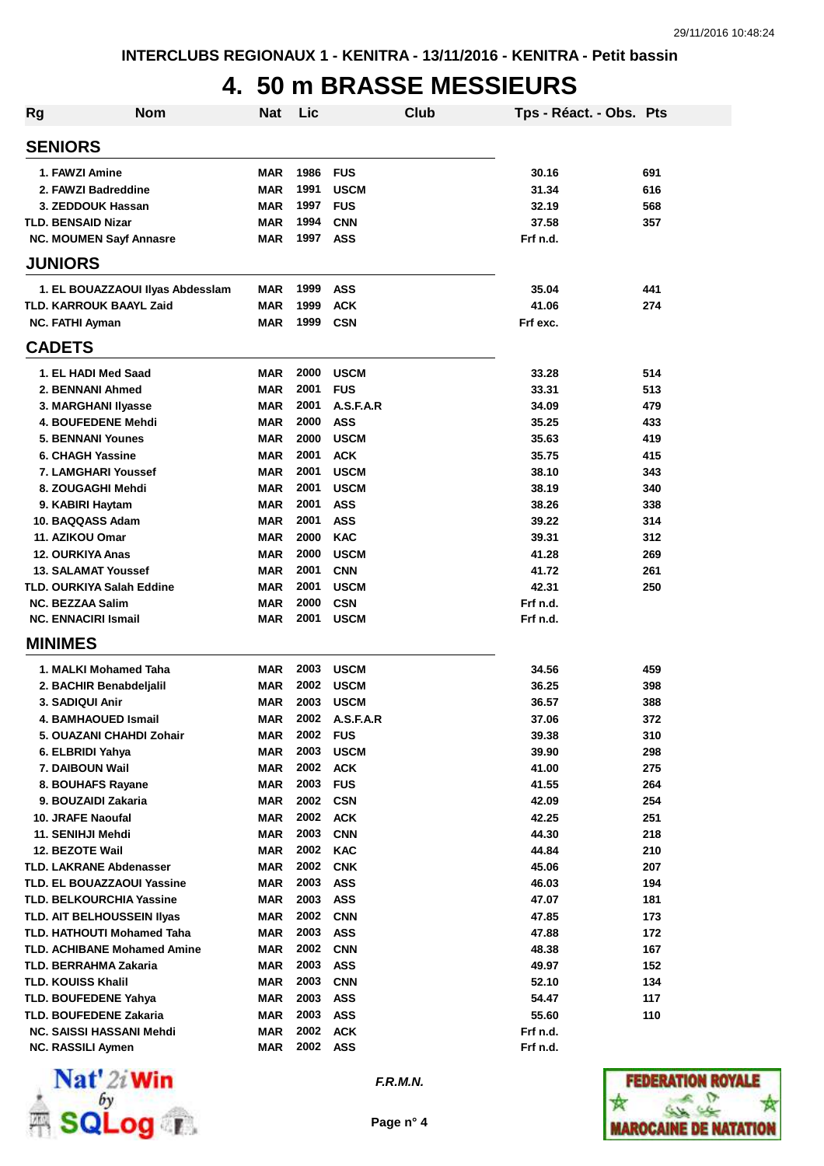## **4. 50 m BRASSE MESSIEURS**

| Rg | Nom                                  | Nat                      | Lic          |                          | Club | Tps - Réact. - Obs. Pts |            |
|----|--------------------------------------|--------------------------|--------------|--------------------------|------|-------------------------|------------|
|    | <b>SENIORS</b>                       |                          |              |                          |      |                         |            |
|    | 1. FAWZI Amine                       | <b>MAR</b>               | 1986         | <b>FUS</b>               |      | 30.16                   | 691        |
|    | 2. FAWZI Badreddine                  | <b>MAR</b>               | 1991         | <b>USCM</b>              |      | 31.34                   | 616        |
|    | 3. ZEDDOUK Hassan                    | <b>MAR</b>               | 1997         | <b>FUS</b>               |      | 32.19                   | 568        |
|    | <b>TLD. BENSAID Nizar</b>            | <b>MAR</b>               | 1994         | <b>CNN</b>               |      | 37.58                   | 357        |
|    | NC. MOUMEN Sayf Annasre              | <b>MAR</b>               | 1997         | ASS                      |      | Frf n.d.                |            |
|    | <b>JUNIORS</b>                       |                          |              |                          |      |                         |            |
|    | 1. EL BOUAZZAOUI IIyas Abdessiam     | <b>MAR</b>               | 1999         | <b>ASS</b>               |      | 35.04                   | 441        |
|    | <b>TLD. KARROUK BAAYL Zaid</b>       | <b>MAR</b>               | 1999         | <b>ACK</b>               |      | 41.06                   | 274        |
|    | <b>NC. FATHI Ayman</b>               | <b>MAR</b>               | 1999         | <b>CSN</b>               |      | Frf exc.                |            |
|    | <b>CADETS</b>                        |                          |              |                          |      |                         |            |
|    | 1. EL HADI Med Saad                  | <b>MAR</b>               | 2000         | <b>USCM</b>              |      | 33.28                   | 514        |
|    | 2. BENNANI Ahmed                     | <b>MAR</b>               | 2001         | <b>FUS</b>               |      | 33.31                   | 513        |
|    | 3. MARGHANI Ilyasse                  | <b>MAR</b>               | 2001         | A.S.F.A.R                |      | 34.09                   | 479        |
|    | 4. BOUFEDENE Mehdi                   | <b>MAR</b>               | 2000         | <b>ASS</b>               |      | 35.25                   | 433        |
|    | <b>5. BENNANI Younes</b>             | <b>MAR</b>               | 2000         | <b>USCM</b>              |      | 35.63                   | 419        |
|    | 6. CHAGH Yassine                     | <b>MAR</b>               | 2001         | <b>ACK</b>               |      | 35.75                   | 415        |
|    | <b>7. LAMGHARI Youssef</b>           | <b>MAR</b>               | 2001         | <b>USCM</b>              |      | 38.10                   | 343        |
|    | 8. ZOUGAGHI Mehdi                    | <b>MAR</b>               | 2001         | <b>USCM</b>              |      | 38.19                   | 340        |
|    | 9. KABIRI Haytam                     | <b>MAR</b>               | 2001         | <b>ASS</b>               |      | 38.26                   | 338        |
|    | 10. BAQQASS Adam                     | <b>MAR</b>               | 2001         | <b>ASS</b>               |      | 39.22                   | 314        |
|    | 11. AZIKOU Omar                      | <b>MAR</b>               | 2000         | <b>KAC</b>               |      | 39.31                   | 312        |
|    | <b>12. OURKIYA Anas</b>              | <b>MAR</b>               | 2000         | <b>USCM</b>              |      | 41.28                   | 269        |
|    | <b>13. SALAMAT Youssef</b>           | <b>MAR</b>               | 2001         | <b>CNN</b>               |      | 41.72                   | 261        |
|    | <b>TLD. OURKIYA Salah Eddine</b>     | <b>MAR</b>               | 2001         | <b>USCM</b>              |      | 42.31                   | 250        |
|    | <b>NC. BEZZAA Salim</b>              | <b>MAR</b>               | 2000         | <b>CSN</b>               |      | Frf n.d.                |            |
|    | <b>NC. ENNACIRI Ismail</b>           | <b>MAR</b>               | 2001         | <b>USCM</b>              |      | Frf n.d.                |            |
|    | <b>MINIMES</b>                       |                          |              |                          |      |                         |            |
|    | 1. MALKI Mohamed Taha                | <b>MAR</b>               | 2003         | <b>USCM</b>              |      | 34.56                   | 459        |
|    | 2. BACHIR Benabdeljalil              | <b>MAR</b>               | 2002         | <b>USCM</b>              |      | 36.25                   | 398        |
|    | 3. SADIQUI Anir                      | <b>MAR</b>               | 2003         | <b>USCM</b>              |      | 36.57                   | 388        |
|    | 4. BAMHAOUED Ismail                  | <b>MAR</b>               | 2002         | A.S.F.A.R                |      | 37.06                   | 372        |
|    | 5. OUAZANI CHAHDI Zohair             | MAR                      | 2002         | <b>FUS</b>               |      | 39.38                   | 310        |
|    | 6. ELBRIDI Yahya                     | <b>MAR</b>               | 2003         | <b>USCM</b>              |      | 39.90                   | 298        |
|    | 7. DAIBOUN Wail                      | <b>MAR</b>               | 2002         | <b>ACK</b>               |      | 41.00                   | 275        |
|    | 8. BOUHAFS Rayane                    | <b>MAR</b>               | 2003 FUS     |                          |      | 41.55                   | 264        |
|    | 9. BOUZAIDI Zakaria                  | <b>MAR</b>               | 2002 CSN     |                          |      | 42.09                   | 254        |
|    | 10. JRAFE Naoufal                    | <b>MAR</b>               | 2002<br>2003 | <b>ACK</b>               |      | 42.25                   | 251        |
|    | 11. SENIHJI Mehdi<br>12. BEZOTE Wail | <b>MAR</b><br><b>MAR</b> | 2002         | <b>CNN</b><br><b>KAC</b> |      | 44.30<br>44.84          | 218        |
|    | <b>TLD. LAKRANE Abdenasser</b>       | <b>MAR</b>               | 2002         | <b>CNK</b>               |      | 45.06                   | 210<br>207 |
|    | <b>TLD. EL BOUAZZAOUI Yassine</b>    | <b>MAR</b>               | 2003         | <b>ASS</b>               |      | 46.03                   | 194        |
|    | <b>TLD. BELKOURCHIA Yassine</b>      | <b>MAR</b>               | 2003         | <b>ASS</b>               |      | 47.07                   | 181        |
|    | TLD. AIT BELHOUSSEIN IIyas           | <b>MAR</b>               | 2002         | <b>CNN</b>               |      | 47.85                   | 173        |
|    | <b>TLD. HATHOUTI Mohamed Taha</b>    | <b>MAR</b>               | 2003         | <b>ASS</b>               |      | 47.88                   | 172        |
|    | <b>TLD. ACHIBANE Mohamed Amine</b>   | <b>MAR</b>               | 2002         | <b>CNN</b>               |      | 48.38                   | 167        |
|    | <b>TLD. BERRAHMA Zakaria</b>         | <b>MAR</b>               | 2003         | <b>ASS</b>               |      | 49.97                   | 152        |
|    | <b>TLD. KOUISS Khalil</b>            | <b>MAR</b>               | 2003         | <b>CNN</b>               |      | 52.10                   | 134        |
|    | <b>TLD. BOUFEDENE Yahya</b>          | <b>MAR</b>               | 2003         | <b>ASS</b>               |      | 54.47                   | 117        |
|    | <b>TLD. BOUFEDENE Zakaria</b>        | <b>MAR</b>               | 2003         | <b>ASS</b>               |      | 55.60                   | 110        |
|    | <b>NC. SAISSI HASSANI Mehdi</b>      | <b>MAR</b>               | 2002         | <b>ACK</b>               |      | Frf n.d.                |            |
|    | <b>NC. RASSILI Aymen</b>             | <b>MAR</b>               | 2002         | ASS                      |      | Frf n.d.                |            |



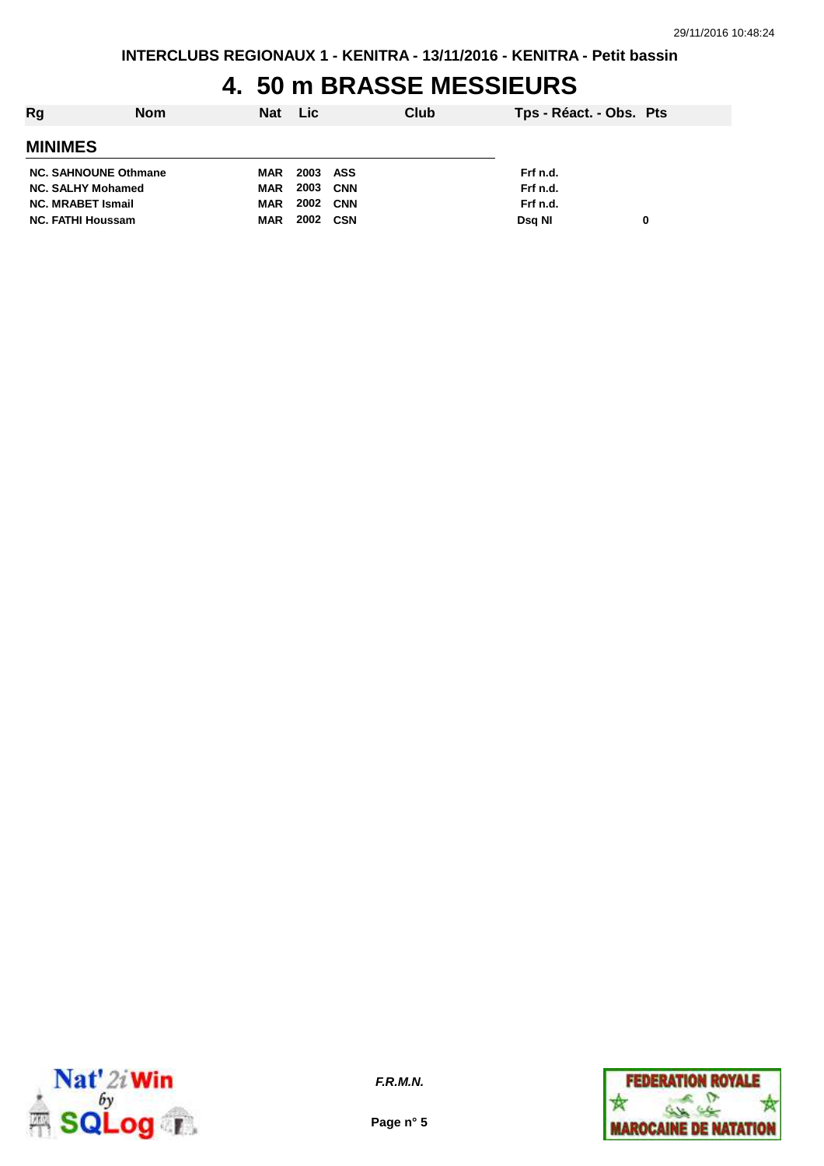## **4. 50 m BRASSE MESSIEURS**

| Rg                          | <b>Nom</b> | Nat Lic    |          | Club | Tps - Réact. - Obs. Pts |   |
|-----------------------------|------------|------------|----------|------|-------------------------|---|
| <b>MINIMES</b>              |            |            |          |      |                         |   |
| <b>NC. SAHNOUNE Othmane</b> |            | MAR        | 2003 ASS |      | Frf n.d.                |   |
| <b>NC. SALHY Mohamed</b>    |            | MAR        | 2003 CNN |      | Frf n.d.                |   |
| <b>NC. MRABET Ismail</b>    |            | <b>MAR</b> | 2002 CNN |      | Frf n.d.                |   |
| <b>NC. FATHI Houssam</b>    |            | <b>MAR</b> | 2002 CSN |      | Dsg NI                  | 0 |
|                             |            |            |          |      |                         |   |



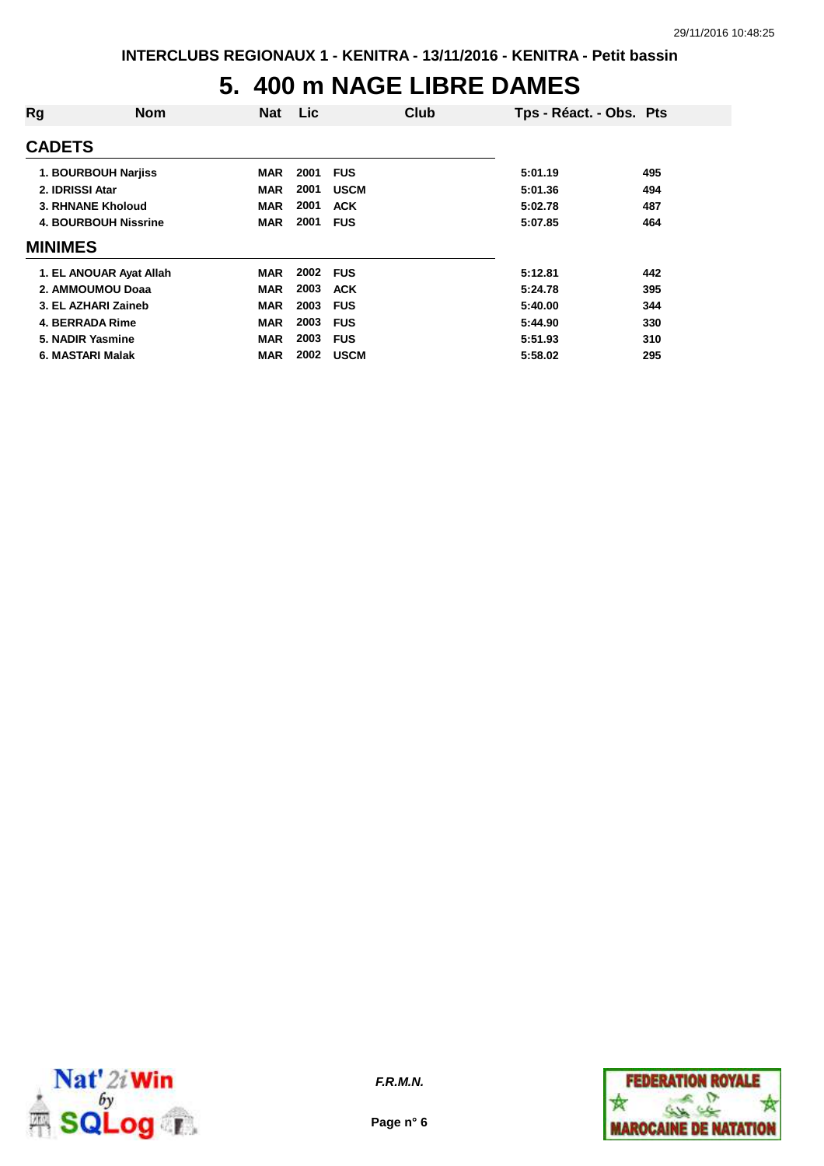## **5. 400 m NAGE LIBRE DAMES**

| Rg                          | <b>Nom</b>              | <b>Nat</b> | Lic  | Club        | Tps - Réact. - Obs. Pts |     |
|-----------------------------|-------------------------|------------|------|-------------|-------------------------|-----|
| <b>CADETS</b>               |                         |            |      |             |                         |     |
|                             | 1. BOURBOUH Narjiss     | <b>MAR</b> | 2001 | <b>FUS</b>  | 5:01.19                 | 495 |
| 2. IDRISSI Atar             |                         | <b>MAR</b> | 2001 | <b>USCM</b> | 5:01.36                 | 494 |
|                             | 3. RHNANE Kholoud       | <b>MAR</b> | 2001 | <b>ACK</b>  | 5:02.78                 | 487 |
| <b>4. BOURBOUH Nissrine</b> |                         | <b>MAR</b> | 2001 | <b>FUS</b>  | 5:07.85                 | 464 |
| <b>MINIMES</b>              |                         |            |      |             |                         |     |
|                             | 1. EL ANOUAR Ayat Allah | <b>MAR</b> | 2002 | <b>FUS</b>  | 5:12.81                 | 442 |
|                             | 2. AMMOUMOU Doaa        | <b>MAR</b> | 2003 | <b>ACK</b>  | 5:24.78                 | 395 |
|                             | 3. EL AZHARI Zaineb     | <b>MAR</b> | 2003 | <b>FUS</b>  | 5:40.00                 | 344 |
| 4. BERRADA Rime             |                         | <b>MAR</b> | 2003 | <b>FUS</b>  | 5:44.90                 | 330 |
| 5. NADIR Yasmine            |                         | <b>MAR</b> | 2003 | <b>FUS</b>  | 5:51.93                 | 310 |
| 6. MASTARI Malak            |                         | <b>MAR</b> | 2002 | <b>USCM</b> | 5:58.02                 | 295 |



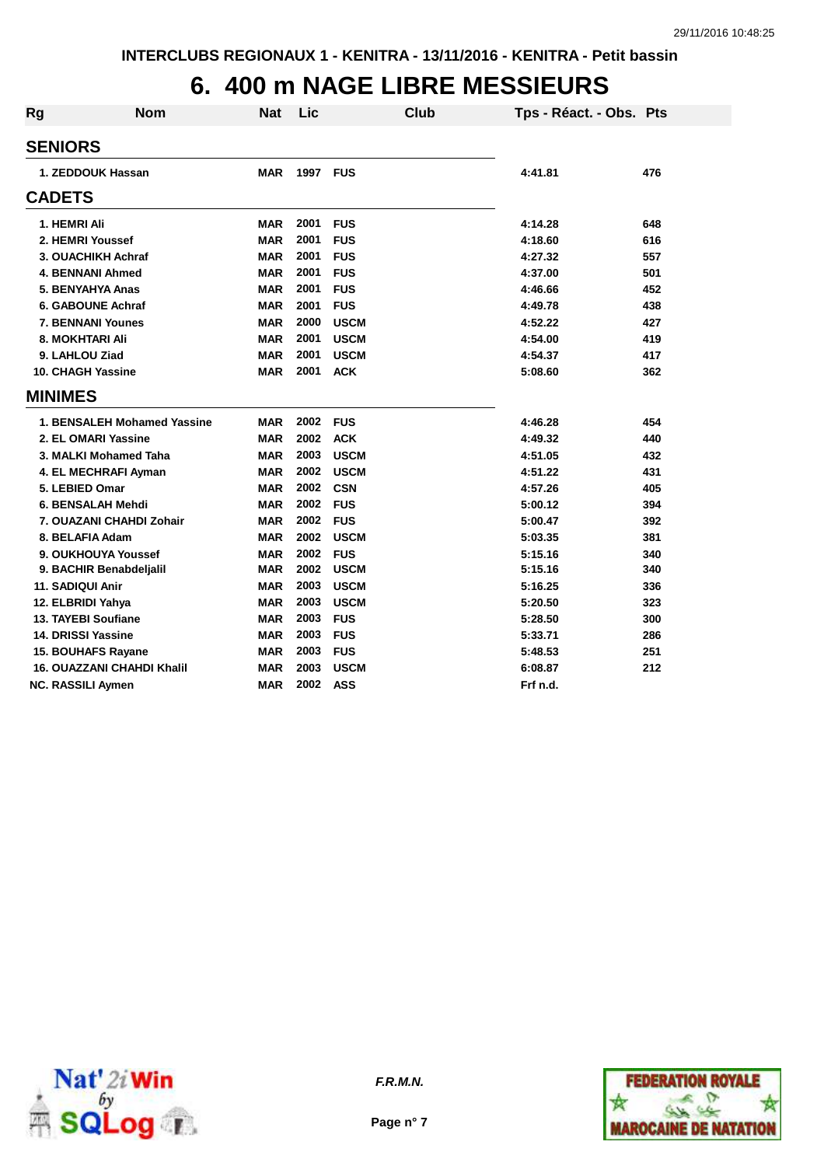## **6. 400 m NAGE LIBRE MESSIEURS**

| <b>Rg</b>      | <b>Nom</b>                        | Nat        | Lic      |             | Club | Tps - Réact. - Obs. Pts |     |
|----------------|-----------------------------------|------------|----------|-------------|------|-------------------------|-----|
| <b>SENIORS</b> |                                   |            |          |             |      |                         |     |
|                | 1. ZEDDOUK Hassan                 | <b>MAR</b> | 1997 FUS |             |      | 4:41.81                 | 476 |
| <b>CADETS</b>  |                                   |            |          |             |      |                         |     |
|                | 1. HEMRI Ali                      | <b>MAR</b> | 2001     | <b>FUS</b>  |      | 4:14.28                 | 648 |
|                | 2. HEMRI Youssef                  | <b>MAR</b> | 2001     | <b>FUS</b>  |      | 4:18.60                 | 616 |
|                | 3. OUACHIKH Achraf                | <b>MAR</b> | 2001     | <b>FUS</b>  |      | 4:27.32                 | 557 |
|                | <b>4. BENNANI Ahmed</b>           | <b>MAR</b> | 2001     | <b>FUS</b>  |      | 4:37.00                 | 501 |
|                | 5. BENYAHYA Anas                  | <b>MAR</b> | 2001     | <b>FUS</b>  |      | 4:46.66                 | 452 |
|                | <b>6. GABOUNE Achraf</b>          | <b>MAR</b> | 2001     | <b>FUS</b>  |      | 4:49.78                 | 438 |
|                | <b>7. BENNANI Younes</b>          | <b>MAR</b> | 2000     | <b>USCM</b> |      | 4:52.22                 | 427 |
|                | <b>8. MOKHTARI Ali</b>            | <b>MAR</b> | 2001     | <b>USCM</b> |      | 4:54.00                 | 419 |
|                | 9. LAHLOU Ziad                    | <b>MAR</b> | 2001     | <b>USCM</b> |      | 4:54.37                 | 417 |
|                | <b>10. CHAGH Yassine</b>          | <b>MAR</b> | 2001     | <b>ACK</b>  |      | 5:08.60                 | 362 |
| <b>MINIMES</b> |                                   |            |          |             |      |                         |     |
|                | 1. BENSALEH Mohamed Yassine       | MAR        | 2002     | <b>FUS</b>  |      | 4:46.28                 | 454 |
|                | 2. EL OMARI Yassine               | <b>MAR</b> | 2002     | <b>ACK</b>  |      | 4:49.32                 | 440 |
|                | 3. MALKI Mohamed Taha             | <b>MAR</b> | 2003     | <b>USCM</b> |      | 4:51.05                 | 432 |
|                | 4. EL MECHRAFI Ayman              | <b>MAR</b> | 2002     | <b>USCM</b> |      | 4:51.22                 | 431 |
|                | 5. LEBIED Omar                    | <b>MAR</b> | 2002     | <b>CSN</b>  |      | 4:57.26                 | 405 |
|                | 6. BENSALAH Mehdi                 | <b>MAR</b> | 2002     | <b>FUS</b>  |      | 5:00.12                 | 394 |
|                | 7. OUAZANI CHAHDI Zohair          | <b>MAR</b> | 2002     | <b>FUS</b>  |      | 5:00.47                 | 392 |
|                | 8. BELAFIA Adam                   | <b>MAR</b> | 2002     | <b>USCM</b> |      | 5:03.35                 | 381 |
|                | 9. OUKHOUYA Youssef               | <b>MAR</b> | 2002     | <b>FUS</b>  |      | 5:15.16                 | 340 |
|                | 9. BACHIR Benabdeljalil           | <b>MAR</b> | 2002     | <b>USCM</b> |      | 5:15.16                 | 340 |
|                | 11. SADIQUI Anir                  | <b>MAR</b> | 2003     | <b>USCM</b> |      | 5:16.25                 | 336 |
|                | 12. ELBRIDI Yahya                 | <b>MAR</b> | 2003     | <b>USCM</b> |      | 5:20.50                 | 323 |
|                | <b>13. TAYEBI Soufiane</b>        | <b>MAR</b> | 2003     | <b>FUS</b>  |      | 5:28.50                 | 300 |
|                | 14. DRISSI Yassine                | <b>MAR</b> | 2003     | <b>FUS</b>  |      | 5:33.71                 | 286 |
|                | <b>15. BOUHAFS Rayane</b>         | MAR        | 2003     | <b>FUS</b>  |      | 5:48.53                 | 251 |
|                | <b>16. OUAZZANI CHAHDI Khalil</b> | <b>MAR</b> | 2003     | <b>USCM</b> |      | 6:08.87                 | 212 |
|                | <b>NC. RASSILI Aymen</b>          | MAR        | 2002     | <b>ASS</b>  |      | Frf n.d.                |     |



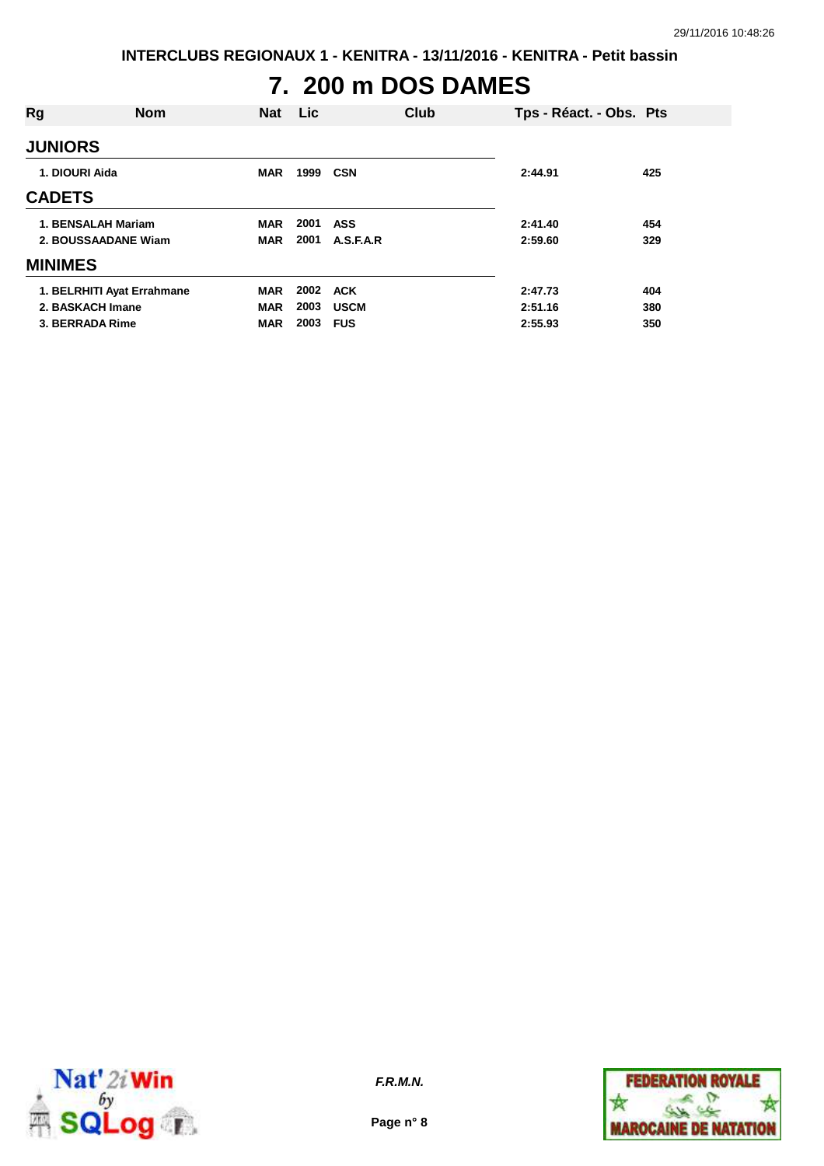**INTERCLUBS REGIONAUX 1 - KENITRA - 13/11/2016 - KENITRA - Petit bassin**

# **7. 200 m DOS DAMES**

| Rg                  | <b>Nom</b>                 | <b>Nat</b> | <b>Lic</b> |             | Club | Tps - Réact. - Obs. Pts |     |
|---------------------|----------------------------|------------|------------|-------------|------|-------------------------|-----|
| <b>JUNIORS</b>      |                            |            |            |             |      |                         |     |
| 1. DIOURI Aida      |                            | <b>MAR</b> | 1999       | <b>CSN</b>  |      | 2:44.91                 | 425 |
| <b>CADETS</b>       |                            |            |            |             |      |                         |     |
| 1. BENSALAH Mariam  |                            | <b>MAR</b> | 2001       | ASS         |      | 2:41.40                 | 454 |
| 2. BOUSSAADANE Wiam |                            | <b>MAR</b> | 2001       | A.S.F.A.R   |      | 2:59.60                 | 329 |
| <b>MINIMES</b>      |                            |            |            |             |      |                         |     |
|                     | 1. BELRHITI Ayat Errahmane | <b>MAR</b> | 2002       | ACK         |      | 2:47.73                 | 404 |
| 2. BASKACH Imane    |                            | <b>MAR</b> | 2003       | <b>USCM</b> |      | 2:51.16                 | 380 |
| 3. BERRADA Rime     |                            | <b>MAR</b> | 2003       | <b>FUS</b>  |      | 2:55.93                 | 350 |



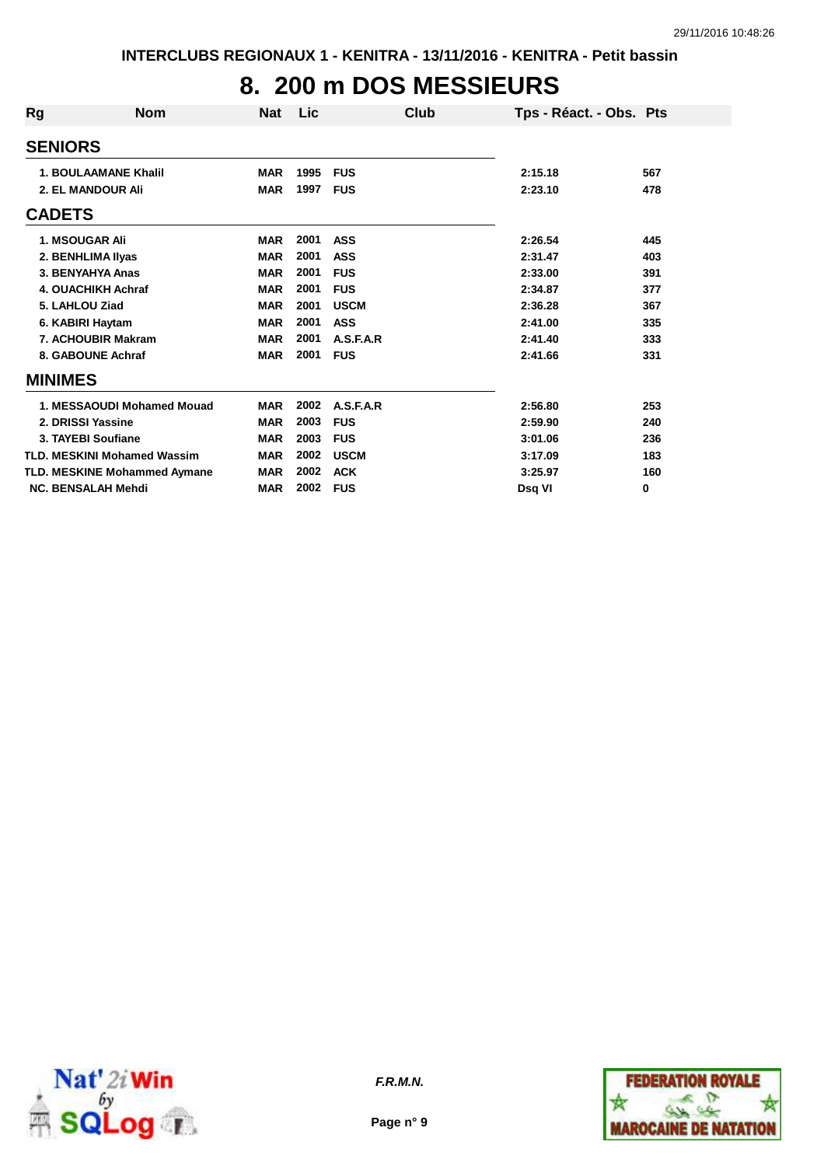## **8. 200 m DOS MESSIEURS**

| Rg | <b>Nom</b>                          | <b>Nat</b> | <b>Lic</b> | Club        | Tps - Réact. - Obs. Pts |     |
|----|-------------------------------------|------------|------------|-------------|-------------------------|-----|
|    | <b>SENIORS</b>                      |            |            |             |                         |     |
|    | <b>1. BOULAAMANE Khalil</b>         | <b>MAR</b> | 1995       | <b>FUS</b>  | 2:15.18                 | 567 |
|    | <b>2. EL MANDOUR Ali</b>            | <b>MAR</b> | 1997       | <b>FUS</b>  | 2:23.10                 | 478 |
|    | <b>CADETS</b>                       |            |            |             |                         |     |
|    | <b>1. MSOUGAR Ali</b>               | <b>MAR</b> | 2001       | <b>ASS</b>  | 2:26.54                 | 445 |
|    | 2. BENHLIMA IIyas                   | <b>MAR</b> | 2001       | <b>ASS</b>  | 2:31.47                 | 403 |
|    | 3. BENYAHYA Anas                    | <b>MAR</b> | 2001       | <b>FUS</b>  | 2:33.00                 | 391 |
|    | <b>4. OUACHIKH Achraf</b>           | <b>MAR</b> | 2001       | <b>FUS</b>  | 2:34.87                 | 377 |
|    | 5. LAHLOU Ziad                      | <b>MAR</b> | 2001       | <b>USCM</b> | 2:36.28                 | 367 |
|    | 6. KABIRI Haytam                    | <b>MAR</b> | 2001       | <b>ASS</b>  | 2:41.00                 | 335 |
|    | 7. ACHOUBIR Makram                  | <b>MAR</b> | 2001       | A.S.F.A.R   | 2:41.40                 | 333 |
|    | 8. GABOUNE Achraf                   | <b>MAR</b> | 2001       | <b>FUS</b>  | 2:41.66                 | 331 |
|    | <b>MINIMES</b>                      |            |            |             |                         |     |
|    | 1. MESSAOUDI Mohamed Mouad          | <b>MAR</b> | 2002       | A.S.F.A.R   | 2:56.80                 | 253 |
|    | 2. DRISSI Yassine                   | <b>MAR</b> | 2003       | <b>FUS</b>  | 2:59.90                 | 240 |
|    | 3. TAYEBI Soufiane                  | <b>MAR</b> | 2003       | <b>FUS</b>  | 3:01.06                 | 236 |
|    | <b>TLD. MESKINI Mohamed Wassim</b>  | <b>MAR</b> | 2002       | <b>USCM</b> | 3:17.09                 | 183 |
|    | <b>TLD. MESKINE Mohammed Aymane</b> | <b>MAR</b> | 2002       | <b>ACK</b>  | 3:25.97                 | 160 |
|    | <b>NC. BENSALAH Mehdi</b>           | <b>MAR</b> | 2002       | <b>FUS</b>  | Dsq VI                  | 0   |



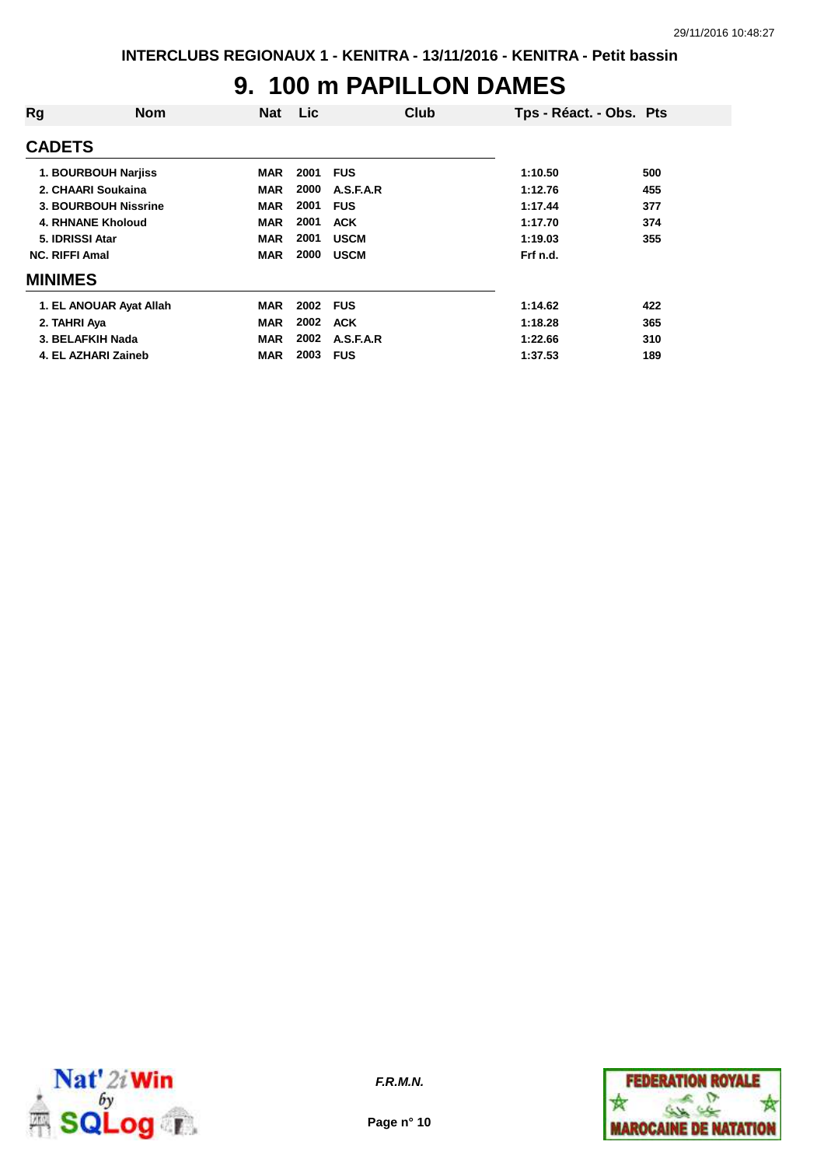#### **9. 100 m PAPILLON DAMES**

| Rg                    | <b>Nom</b>              | <b>Nat</b> | <b>Lic</b> | Club        | Tps - Réact. - Obs. Pts |     |
|-----------------------|-------------------------|------------|------------|-------------|-------------------------|-----|
| <b>CADETS</b>         |                         |            |            |             |                         |     |
|                       | 1. BOURBOUH Narjiss     | <b>MAR</b> | 2001       | <b>FUS</b>  | 1:10.50                 | 500 |
|                       | 2. CHAARI Soukaina      | <b>MAR</b> | 2000       | A.S.F.A.R   | 1:12.76                 | 455 |
|                       | 3. BOURBOUH Nissrine    | <b>MAR</b> | 2001       | <b>FUS</b>  | 1:17.44                 | 377 |
|                       | 4. RHNANE Kholoud       | <b>MAR</b> | 2001       | <b>ACK</b>  | 1:17.70                 | 374 |
| 5. IDRISSI Atar       |                         | <b>MAR</b> | 2001       | <b>USCM</b> | 1:19.03                 | 355 |
| <b>NC. RIFFI Amal</b> |                         | <b>MAR</b> | 2000       | <b>USCM</b> | Frf n.d.                |     |
| <b>MINIMES</b>        |                         |            |            |             |                         |     |
|                       | 1. EL ANOUAR Ayat Allah | <b>MAR</b> | 2002       | <b>FUS</b>  | 1:14.62                 | 422 |
| 2. TAHRI Aya          |                         | <b>MAR</b> | 2002       | <b>ACK</b>  | 1:18.28                 | 365 |
| 3. BELAFKIH Nada      |                         | <b>MAR</b> | 2002       | A.S.F.A.R   | 1:22.66                 | 310 |
|                       | 4. EL AZHARI Zaineb     | MAR        | 2003       | <b>FUS</b>  | 1:37.53                 | 189 |



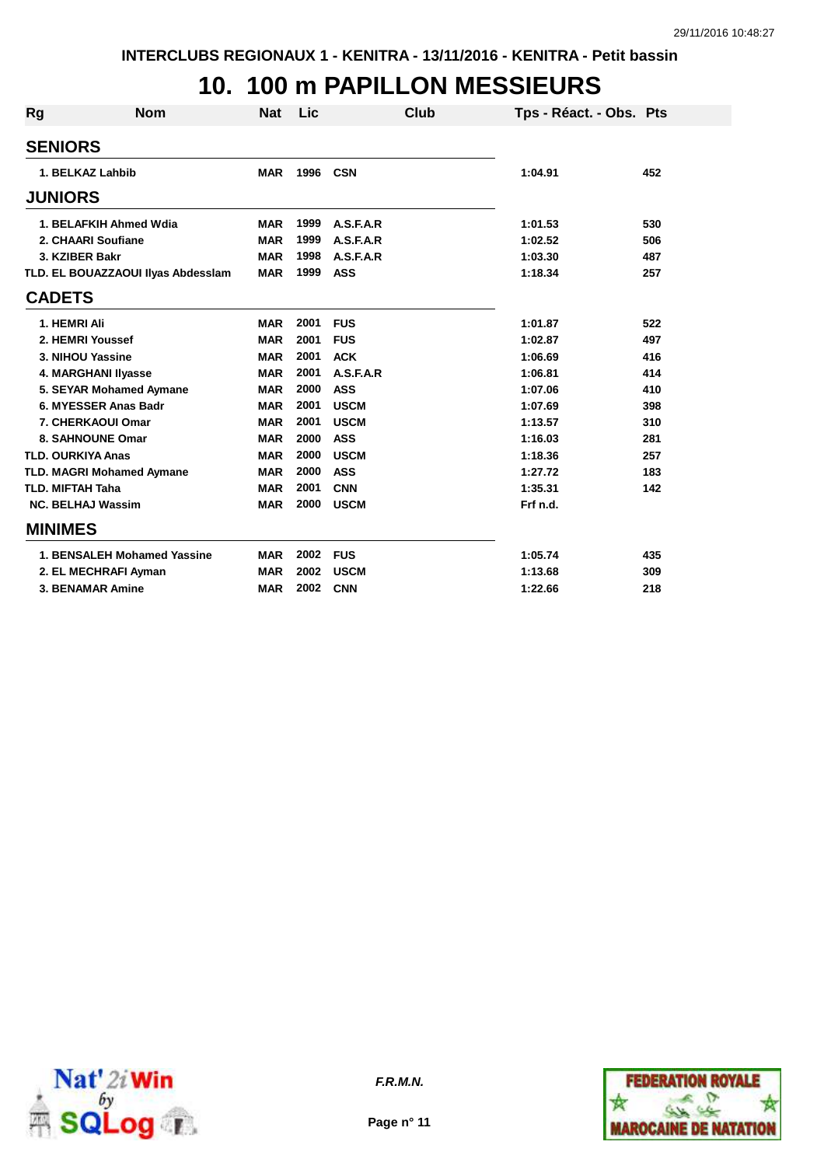## **10. 100 m PAPILLON MESSIEURS**

| <b>Rg</b>      | <b>Nom</b>                         | <b>Nat</b> | Lic  |             | Club | Tps - Réact. - Obs. Pts |     |
|----------------|------------------------------------|------------|------|-------------|------|-------------------------|-----|
| <b>SENIORS</b> |                                    |            |      |             |      |                         |     |
|                | 1. BELKAZ Lahbib                   | <b>MAR</b> | 1996 | <b>CSN</b>  |      | 1:04.91                 | 452 |
| <b>JUNIORS</b> |                                    |            |      |             |      |                         |     |
|                | 1. BELAFKIH Ahmed Wdia             | <b>MAR</b> | 1999 | A.S.F.A.R   |      | 1:01.53                 | 530 |
|                | 2. CHAARI Soufiane                 | <b>MAR</b> | 1999 | A.S.F.A.R   |      | 1:02.52                 | 506 |
|                | 3. KZIBER Bakr                     | <b>MAR</b> | 1998 | A.S.F.A.R   |      | 1:03.30                 | 487 |
|                | TLD. EL BOUAZZAOUI Ilyas Abdesslam | <b>MAR</b> | 1999 | <b>ASS</b>  |      | 1:18.34                 | 257 |
| <b>CADETS</b>  |                                    |            |      |             |      |                         |     |
|                | 1. HEMRI Ali                       | <b>MAR</b> | 2001 | <b>FUS</b>  |      | 1:01.87                 | 522 |
|                | 2. HEMRI Youssef                   | <b>MAR</b> | 2001 | <b>FUS</b>  |      | 1:02.87                 | 497 |
|                | 3. NIHOU Yassine                   | <b>MAR</b> | 2001 | <b>ACK</b>  |      | 1:06.69                 | 416 |
|                | 4. MARGHANI IIyasse                | <b>MAR</b> | 2001 | A.S.F.A.R   |      | 1:06.81                 | 414 |
|                | 5. SEYAR Mohamed Aymane            | <b>MAR</b> | 2000 | <b>ASS</b>  |      | 1:07.06                 | 410 |
|                | 6. MYESSER Anas Badr               | <b>MAR</b> | 2001 | <b>USCM</b> |      | 1:07.69                 | 398 |
|                | 7. CHERKAOUI Omar                  | <b>MAR</b> | 2001 | <b>USCM</b> |      | 1:13.57                 | 310 |
|                | 8. SAHNOUNE Omar                   | <b>MAR</b> | 2000 | <b>ASS</b>  |      | 1:16.03                 | 281 |
|                | <b>TLD. OURKIYA Anas</b>           | <b>MAR</b> | 2000 | <b>USCM</b> |      | 1:18.36                 | 257 |
|                | <b>TLD. MAGRI Mohamed Aymane</b>   | <b>MAR</b> | 2000 | <b>ASS</b>  |      | 1:27.72                 | 183 |
|                | <b>TLD. MIFTAH Taha</b>            | <b>MAR</b> | 2001 | <b>CNN</b>  |      | 1:35.31                 | 142 |
|                | <b>NC. BELHAJ Wassim</b>           | <b>MAR</b> | 2000 | <b>USCM</b> |      | Frf n.d.                |     |
| <b>MINIMES</b> |                                    |            |      |             |      |                         |     |
|                | 1. BENSALEH Mohamed Yassine        | <b>MAR</b> | 2002 | <b>FUS</b>  |      | 1:05.74                 | 435 |
|                | 2. EL MECHRAFI Ayman               | <b>MAR</b> | 2002 | <b>USCM</b> |      | 1:13.68                 | 309 |
|                | 3. BENAMAR Amine                   | <b>MAR</b> | 2002 | <b>CNN</b>  |      | 1:22.66                 | 218 |



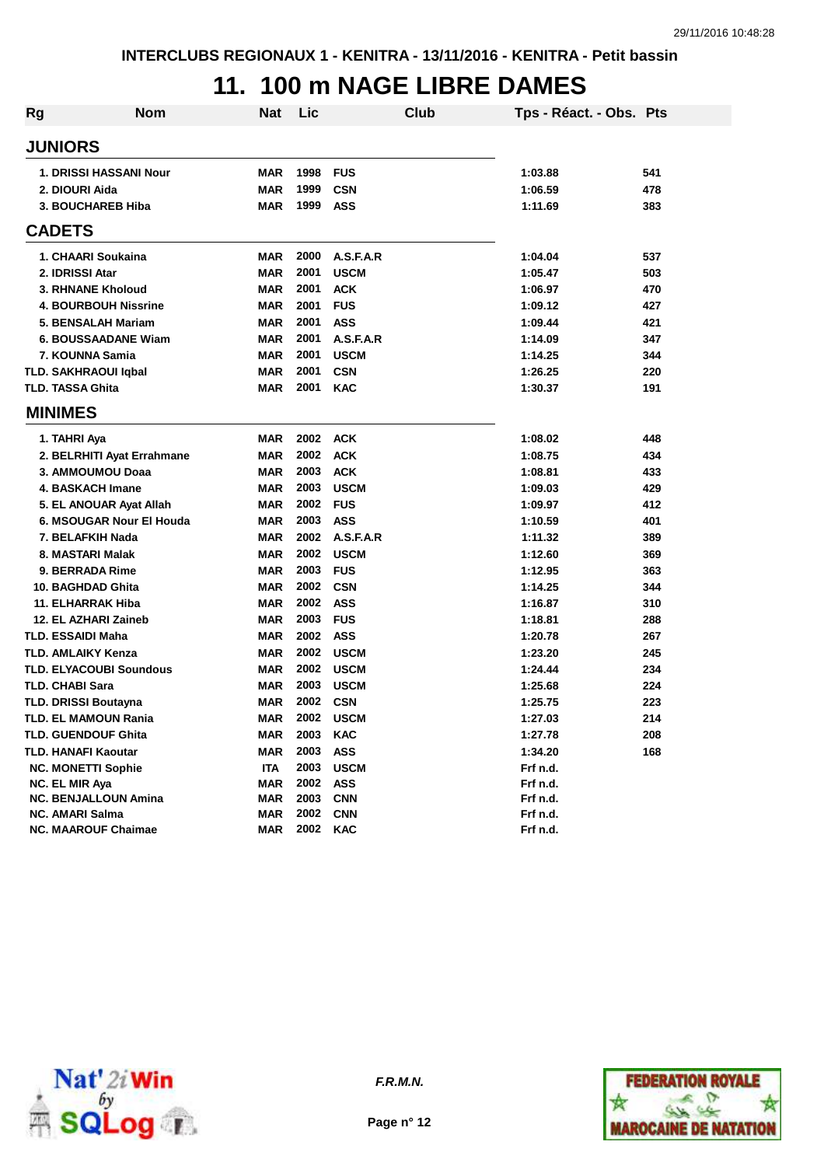## **11. 100 m NAGE LIBRE DAMES**

| <b>Rg</b> | <b>Nom</b>                     | <b>Nat</b> | Lic  | Club        | Tps - Réact. - Obs. Pts |     |
|-----------|--------------------------------|------------|------|-------------|-------------------------|-----|
|           | <b>JUNIORS</b>                 |            |      |             |                         |     |
|           | 1. DRISSI HASSANI Nour         | <b>MAR</b> | 1998 | <b>FUS</b>  | 1:03.88                 | 541 |
|           | 2. DIOURI Aida                 | <b>MAR</b> | 1999 | <b>CSN</b>  | 1:06.59                 | 478 |
|           | <b>3. BOUCHAREB Hiba</b>       | <b>MAR</b> | 1999 | <b>ASS</b>  | 1:11.69                 | 383 |
|           | <b>CADETS</b>                  |            |      |             |                         |     |
|           | 1. CHAARI Soukaina             | <b>MAR</b> | 2000 | A.S.F.A.R   | 1:04.04                 | 537 |
|           | 2. IDRISSI Atar                | <b>MAR</b> | 2001 | <b>USCM</b> | 1:05.47                 | 503 |
|           | 3. RHNANE Kholoud              | <b>MAR</b> | 2001 | <b>ACK</b>  | 1:06.97                 | 470 |
|           | <b>4. BOURBOUH Nissrine</b>    | <b>MAR</b> | 2001 | <b>FUS</b>  | 1:09.12                 | 427 |
|           | 5. BENSALAH Mariam             | <b>MAR</b> | 2001 | ASS         | 1:09.44                 | 421 |
|           | <b>6. BOUSSAADANE Wiam</b>     | <b>MAR</b> | 2001 | A.S.F.A.R   | 1:14.09                 | 347 |
|           | 7. KOUNNA Samia                | <b>MAR</b> | 2001 | <b>USCM</b> | 1:14.25                 | 344 |
|           | <b>TLD. SAKHRAOUI Iqbal</b>    | <b>MAR</b> | 2001 | <b>CSN</b>  | 1:26.25                 | 220 |
|           | <b>TLD. TASSA Ghita</b>        | <b>MAR</b> | 2001 | <b>KAC</b>  | 1:30.37                 | 191 |
|           | <b>MINIMES</b>                 |            |      |             |                         |     |
|           | 1. TAHRI Aya                   | <b>MAR</b> | 2002 | <b>ACK</b>  | 1:08.02                 | 448 |
|           | 2. BELRHITI Ayat Errahmane     | <b>MAR</b> | 2002 | <b>ACK</b>  | 1:08.75                 | 434 |
|           | 3. AMMOUMOU Doaa               | <b>MAR</b> | 2003 | <b>ACK</b>  | 1:08.81                 | 433 |
|           | 4. BASKACH Imane               | <b>MAR</b> | 2003 | <b>USCM</b> | 1:09.03                 | 429 |
|           | 5. EL ANOUAR Ayat Allah        | <b>MAR</b> | 2002 | <b>FUS</b>  | 1:09.97                 | 412 |
|           | 6. MSOUGAR Nour El Houda       | <b>MAR</b> | 2003 | <b>ASS</b>  | 1:10.59                 | 401 |
|           | 7. BELAFKIH Nada               | <b>MAR</b> | 2002 | A.S.F.A.R   | 1:11.32                 | 389 |
|           | 8. MASTARI Malak               | <b>MAR</b> | 2002 | <b>USCM</b> | 1:12.60                 | 369 |
|           | 9. BERRADA Rime                | <b>MAR</b> | 2003 | <b>FUS</b>  | 1:12.95                 | 363 |
|           | 10. BAGHDAD Ghita              | <b>MAR</b> | 2002 | <b>CSN</b>  | 1:14.25                 | 344 |
|           | 11. ELHARRAK Hiba              | <b>MAR</b> | 2002 | <b>ASS</b>  | 1:16.87                 | 310 |
|           | 12. EL AZHARI Zaineb           | <b>MAR</b> | 2003 | <b>FUS</b>  | 1:18.81                 | 288 |
|           | <b>TLD. ESSAIDI Maha</b>       | <b>MAR</b> | 2002 | <b>ASS</b>  | 1:20.78                 | 267 |
|           | <b>TLD. AMLAIKY Kenza</b>      | <b>MAR</b> | 2002 | <b>USCM</b> | 1:23.20                 | 245 |
|           | <b>TLD. ELYACOUBI Soundous</b> | <b>MAR</b> | 2002 | <b>USCM</b> | 1:24.44                 | 234 |
|           | <b>TLD. CHABI Sara</b>         | <b>MAR</b> | 2003 | <b>USCM</b> | 1:25.68                 | 224 |
|           | <b>TLD. DRISSI Boutayna</b>    | <b>MAR</b> | 2002 | <b>CSN</b>  | 1:25.75                 | 223 |
|           | TLD. EL MAMOUN Rania           | <b>MAR</b> | 2002 | <b>USCM</b> | 1:27.03                 | 214 |
|           | TLD. GUENDOUF Ghita            | MAR        | 2003 | <b>KAC</b>  | 1:27.78                 | 208 |
|           | TLD. HANAFI Kaoutar            | <b>MAR</b> | 2003 | <b>ASS</b>  | 1:34.20                 | 168 |
|           | <b>NC. MONETTI Sophie</b>      | <b>ITA</b> | 2003 | <b>USCM</b> | Frf n.d.                |     |
|           | NC. EL MIR Aya                 | <b>MAR</b> | 2002 | <b>ASS</b>  | Frf n.d.                |     |
|           | <b>NC. BENJALLOUN Amina</b>    | MAR        | 2003 | <b>CNN</b>  | Frf n.d.                |     |
|           | <b>NC. AMARI Salma</b>         | MAR        | 2002 | <b>CNN</b>  | Frf n.d.                |     |
|           | <b>NC. MAAROUF Chaimae</b>     | <b>MAR</b> | 2002 | <b>KAC</b>  | Frf n.d.                |     |



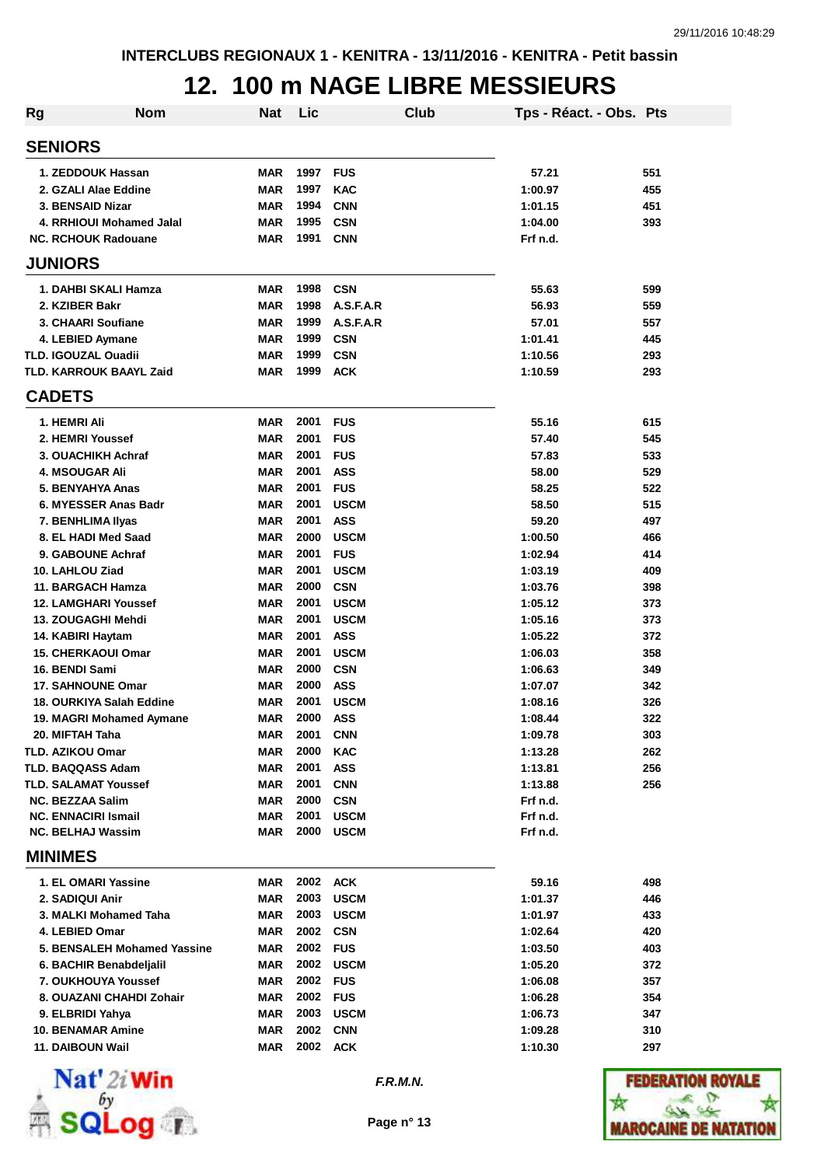#### **12. 100 m NAGE LIBRE MESSIEURS**

| <b>Rg</b>                                      | <b>Nom</b>                     | Nat                      | Lic          |                           | Club | Tps - Réact. - Obs. Pts |            |
|------------------------------------------------|--------------------------------|--------------------------|--------------|---------------------------|------|-------------------------|------------|
| <b>SENIORS</b>                                 |                                |                          |              |                           |      |                         |            |
| 1. ZEDDOUK Hassan                              |                                | MAR                      | 1997         | <b>FUS</b>                |      | 57.21                   | 551        |
| 2. GZALI Alae Eddine                           |                                | <b>MAR</b>               | 1997         | <b>KAC</b>                |      | 1:00.97                 | 455        |
| 3. BENSAID Nizar                               |                                | <b>MAR</b>               | 1994         | <b>CNN</b>                |      | 1:01.15                 | 451        |
|                                                | 4. RRHIOUI Mohamed Jalal       | <b>MAR</b>               | 1995         | <b>CSN</b>                |      | 1:04.00                 | 393        |
| <b>NC. RCHOUK Radouane</b>                     |                                | <b>MAR</b>               | 1991         | <b>CNN</b>                |      | Frf n.d.                |            |
| <b>JUNIORS</b>                                 |                                |                          |              |                           |      |                         |            |
|                                                | 1. DAHBI SKALI Hamza           | <b>MAR</b>               | 1998         | <b>CSN</b>                |      | 55.63                   | 599        |
| 2. KZIBER Bakr                                 |                                | <b>MAR</b>               | 1998         | A.S.F.A.R                 |      | 56.93                   | 559        |
| 3. CHAARI Soufiane                             |                                | <b>MAR</b>               | 1999         | A.S.F.A.R                 |      | 57.01                   | 557        |
| 4. LEBIED Aymane                               |                                | <b>MAR</b>               | 1999         | <b>CSN</b>                |      | 1:01.41                 | 445        |
| <b>TLD. IGOUZAL Ouadii</b>                     |                                | <b>MAR</b>               | 1999         | <b>CSN</b>                |      | 1:10.56                 | 293        |
|                                                | <b>TLD. KARROUK BAAYL Zaid</b> | <b>MAR</b>               | 1999         | <b>ACK</b>                |      | 1:10.59                 | 293        |
| <b>CADETS</b>                                  |                                |                          |              |                           |      |                         |            |
| 1. HEMRI Ali                                   |                                | <b>MAR</b>               | 2001         | <b>FUS</b>                |      | 55.16                   | 615        |
| 2. HEMRI Youssef                               |                                | <b>MAR</b>               | 2001         | <b>FUS</b>                |      | 57.40                   | 545        |
| 3. OUACHIKH Achraf                             |                                | <b>MAR</b>               | 2001         | <b>FUS</b>                |      | 57.83                   | 533        |
| <b>4. MSOUGAR Ali</b>                          |                                | <b>MAR</b>               | 2001         | <b>ASS</b>                |      | 58.00                   | 529        |
| 5. BENYAHYA Anas                               |                                | <b>MAR</b>               | 2001         | <b>FUS</b>                |      | 58.25                   | 522        |
|                                                | 6. MYESSER Anas Badr           | <b>MAR</b>               | 2001         | <b>USCM</b>               |      | 58.50                   | 515        |
| 7. BENHLIMA IIyas                              |                                | <b>MAR</b>               | 2001         | <b>ASS</b>                |      | 59.20                   | 497        |
| 8. EL HADI Med Saad                            |                                | <b>MAR</b>               | 2000         | <b>USCM</b>               |      | 1:00.50                 | 466        |
| 9. GABOUNE Achraf                              |                                | <b>MAR</b>               | 2001         | <b>FUS</b>                |      | 1:02.94                 | 414        |
| 10. LAHLOU Ziad                                |                                | <b>MAR</b>               | 2001         | <b>USCM</b>               |      | 1:03.19                 | 409        |
| 11. BARGACH Hamza                              |                                | <b>MAR</b>               | 2000         | <b>CSN</b>                |      | 1:03.76                 | 398        |
| <b>12. LAMGHARI Youssef</b>                    |                                | <b>MAR</b>               | 2001         | <b>USCM</b>               |      | 1:05.12                 | 373        |
| 13. ZOUGAGHI Mehdi                             |                                | <b>MAR</b>               | 2001<br>2001 | <b>USCM</b>               |      | 1:05.16                 | 373        |
| 14. KABIRI Haytam<br><b>15. CHERKAOUI Omar</b> |                                | <b>MAR</b><br><b>MAR</b> | 2001         | <b>ASS</b><br><b>USCM</b> |      | 1:05.22<br>1:06.03      | 372<br>358 |
| 16. BENDI Sami                                 |                                | <b>MAR</b>               | 2000         | <b>CSN</b>                |      | 1:06.63                 | 349        |
| <b>17. SAHNOUNE Omar</b>                       |                                | <b>MAR</b>               | 2000         | <b>ASS</b>                |      | 1:07.07                 | 342        |
|                                                | 18. OURKIYA Salah Eddine       | <b>MAR</b>               | 2001         | <b>USCM</b>               |      | 1:08.16                 | 326        |
|                                                | 19. MAGRI Mohamed Aymane       | <b>MAR</b>               | 2000         | <b>ASS</b>                |      | 1:08.44                 | 322        |
| 20. MIFTAH Taha                                |                                | MAR                      | 2001         | <b>CNN</b>                |      | 1:09.78                 | 303        |
| <b>TLD. AZIKOU Omar</b>                        |                                | <b>MAR</b>               | 2000         | <b>KAC</b>                |      | 1:13.28                 | 262        |
| <b>TLD. BAQQASS Adam</b>                       |                                | <b>MAR</b>               | 2001         | <b>ASS</b>                |      | 1:13.81                 | 256        |
| <b>TLD. SALAMAT Youssef</b>                    |                                | <b>MAR</b>               | 2001         | <b>CNN</b>                |      | 1:13.88                 | 256        |
| <b>NC. BEZZAA Salim</b>                        |                                | <b>MAR</b>               | 2000         | <b>CSN</b>                |      | Frf n.d.                |            |
| <b>NC. ENNACIRI Ismail</b>                     |                                | <b>MAR</b>               | 2001         | <b>USCM</b>               |      | Frf n.d.                |            |
| <b>NC. BELHAJ Wassim</b>                       |                                | <b>MAR</b>               | 2000         | <b>USCM</b>               |      | Frf n.d.                |            |
| <b>MINIMES</b>                                 |                                |                          |              |                           |      |                         |            |
| 1. EL OMARI Yassine                            |                                | MAR                      |              | 2002 ACK                  |      | 59.16                   | 498        |
| 2. SADIQUI Anir                                |                                | <b>MAR</b>               | 2003         | <b>USCM</b>               |      | 1:01.37                 | 446        |
|                                                | 3. MALKI Mohamed Taha          | <b>MAR</b>               | 2003         | <b>USCM</b>               |      | 1:01.97                 | 433        |
| 4. LEBIED Omar                                 |                                | <b>MAR</b>               | 2002         | <b>CSN</b>                |      | 1:02.64                 | 420        |
|                                                | 5. BENSALEH Mohamed Yassine    | <b>MAR</b>               | 2002         | <b>FUS</b>                |      | 1:03.50                 | 403        |
|                                                | 6. BACHIR Benabdeljalil        | <b>MAR</b>               | 2002         | <b>USCM</b>               |      | 1:05.20                 | 372        |
|                                                | 7. OUKHOUYA Youssef            | <b>MAR</b>               | 2002         | <b>FUS</b>                |      | 1:06.08                 | 357        |
|                                                | 8. OUAZANI CHAHDI Zohair       | <b>MAR</b>               | 2002         | <b>FUS</b>                |      | 1:06.28                 | 354        |
| 9. ELBRIDI Yahya                               |                                | <b>MAR</b>               | 2003         | <b>USCM</b>               |      | 1:06.73                 | 347        |
| <b>10. BENAMAR Amine</b>                       |                                | <b>MAR</b>               | 2002         | <b>CNN</b>                |      | 1:09.28                 | 310        |
| 11. DAIBOUN Wail                               |                                | MAR                      |              | 2002 ACK                  |      | 1:10.30                 | 297        |
|                                                |                                |                          |              |                           |      |                         |            |



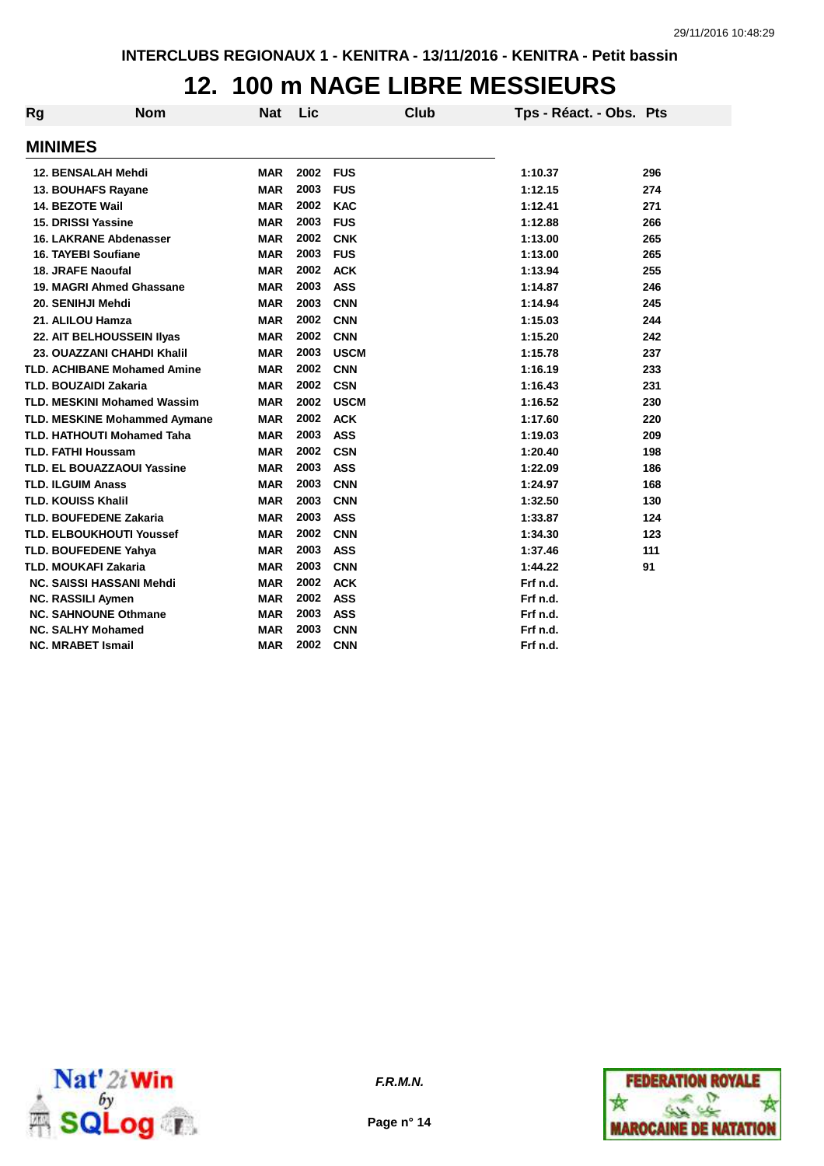#### **12. 100 m NAGE LIBRE MESSIEURS**

| <b>Rg</b>                    | <b>Nom</b>                         | <b>Nat</b> | <b>Lic</b> | Club        | Tps - Réact. - Obs. Pts |     |
|------------------------------|------------------------------------|------------|------------|-------------|-------------------------|-----|
| <b>MINIMES</b>               |                                    |            |            |             |                         |     |
|                              | 12. BENSALAH Mehdi                 | <b>MAR</b> | 2002       | <b>FUS</b>  | 1:10.37                 | 296 |
|                              | 13. BOUHAFS Rayane                 | <b>MAR</b> | 2003       | <b>FUS</b>  | 1:12.15                 | 274 |
| 14. BEZOTE Wail              |                                    | <b>MAR</b> | 2002       | <b>KAC</b>  | 1:12.41                 | 271 |
| 15. DRISSI Yassine           |                                    | <b>MAR</b> | 2003       | <b>FUS</b>  | 1:12.88                 | 266 |
|                              | <b>16. LAKRANE Abdenasser</b>      | <b>MAR</b> | 2002       | <b>CNK</b>  | 1:13.00                 | 265 |
| 16. TAYEBI Soufiane          |                                    | <b>MAR</b> | 2003       | <b>FUS</b>  | 1:13.00                 | 265 |
| <b>18. JRAFE Naoufal</b>     |                                    | <b>MAR</b> | 2002       | <b>ACK</b>  | 1:13.94                 | 255 |
|                              | 19. MAGRI Ahmed Ghassane           | <b>MAR</b> | 2003       | <b>ASS</b>  | 1:14.87                 | 246 |
| 20. SENIHJI Mehdi            |                                    | <b>MAR</b> | 2003       | <b>CNN</b>  | 1:14.94                 | 245 |
| 21. ALILOU Hamza             |                                    | <b>MAR</b> | 2002       | <b>CNN</b>  | 1:15.03                 | 244 |
|                              | 22. AIT BELHOUSSEIN IIyas          | <b>MAR</b> | 2002       | <b>CNN</b>  | 1:15.20                 | 242 |
|                              | 23. OUAZZANI CHAHDI Khalil         | <b>MAR</b> | 2003       | <b>USCM</b> | 1:15.78                 | 237 |
|                              | <b>TLD. ACHIBANE Mohamed Amine</b> | <b>MAR</b> | 2002       | <b>CNN</b>  | 1:16.19                 | 233 |
| <b>TLD. BOUZAIDI Zakaria</b> |                                    | <b>MAR</b> | 2002       | <b>CSN</b>  | 1:16.43                 | 231 |
|                              | <b>TLD. MESKINI Mohamed Wassim</b> | <b>MAR</b> | 2002       | <b>USCM</b> | 1:16.52                 | 230 |
|                              | TLD. MESKINE Mohammed Aymane       | <b>MAR</b> | 2002       | <b>ACK</b>  | 1:17.60                 | 220 |
|                              | <b>TLD. HATHOUTI Mohamed Taha</b>  | <b>MAR</b> | 2003       | <b>ASS</b>  | 1:19.03                 | 209 |
| <b>TLD. FATHI Houssam</b>    |                                    | <b>MAR</b> | 2002       | <b>CSN</b>  | 1:20.40                 | 198 |
|                              | <b>TLD. EL BOUAZZAOUI Yassine</b>  | <b>MAR</b> | 2003       | <b>ASS</b>  | 1:22.09                 | 186 |
| <b>TLD. ILGUIM Anass</b>     |                                    | <b>MAR</b> | 2003       | <b>CNN</b>  | 1:24.97                 | 168 |
| <b>TLD. KOUISS Khalil</b>    |                                    | <b>MAR</b> | 2003       | <b>CNN</b>  | 1:32.50                 | 130 |
|                              | <b>TLD. BOUFEDENE Zakaria</b>      | <b>MAR</b> | 2003       | <b>ASS</b>  | 1:33.87                 | 124 |
|                              | <b>TLD. ELBOUKHOUTI Youssef</b>    | <b>MAR</b> | 2002       | <b>CNN</b>  | 1:34.30                 | 123 |
|                              | <b>TLD. BOUFEDENE Yahya</b>        | <b>MAR</b> | 2003       | <b>ASS</b>  | 1:37.46                 | 111 |
| <b>TLD. MOUKAFI Zakaria</b>  |                                    | <b>MAR</b> | 2003       | <b>CNN</b>  | 1:44.22                 | 91  |
|                              | NC. SAISSI HASSANI Mehdi           | <b>MAR</b> | 2002       | <b>ACK</b>  | Frf n.d.                |     |
| <b>NC. RASSILI Aymen</b>     |                                    | <b>MAR</b> | 2002       | <b>ASS</b>  | Frf n.d.                |     |
|                              | <b>NC. SAHNOUNE Othmane</b>        | <b>MAR</b> | 2003       | <b>ASS</b>  | Frf n.d.                |     |
| <b>NC. SALHY Mohamed</b>     |                                    | <b>MAR</b> | 2003       | <b>CNN</b>  | Frf n.d.                |     |
| <b>NC. MRABET Ismail</b>     |                                    | <b>MAR</b> | 2002       | <b>CNN</b>  | Frf n.d.                |     |



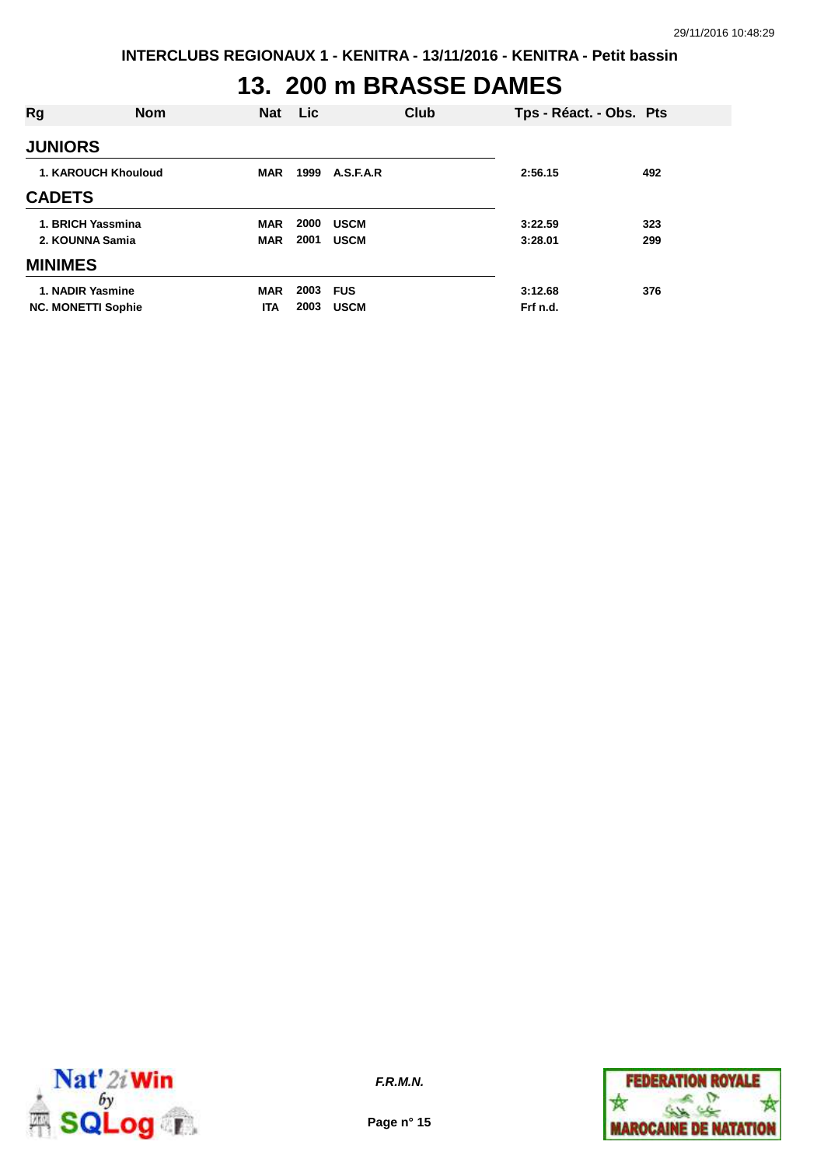# **13. 200 m BRASSE DAMES**

| Rg                        | <b>Nom</b>                 | <b>Nat</b> | Lic  |             | Club | Tps - Réact. - Obs. Pts |     |
|---------------------------|----------------------------|------------|------|-------------|------|-------------------------|-----|
| <b>JUNIORS</b>            |                            |            |      |             |      |                         |     |
|                           | <b>1. KAROUCH Khouloud</b> | <b>MAR</b> | 1999 | A.S.F.A.R   |      | 2:56.15                 | 492 |
| <b>CADETS</b>             |                            |            |      |             |      |                         |     |
| 1. BRICH Yassmina         |                            | <b>MAR</b> | 2000 | <b>USCM</b> |      | 3:22.59                 | 323 |
| 2. KOUNNA Samia           |                            | <b>MAR</b> | 2001 | <b>USCM</b> |      | 3:28.01                 | 299 |
| <b>MINIMES</b>            |                            |            |      |             |      |                         |     |
| 1. NADIR Yasmine          |                            | <b>MAR</b> | 2003 | <b>FUS</b>  |      | 3:12.68                 | 376 |
| <b>NC. MONETTI Sophie</b> |                            | <b>ITA</b> | 2003 | <b>USCM</b> |      | Frf n.d.                |     |



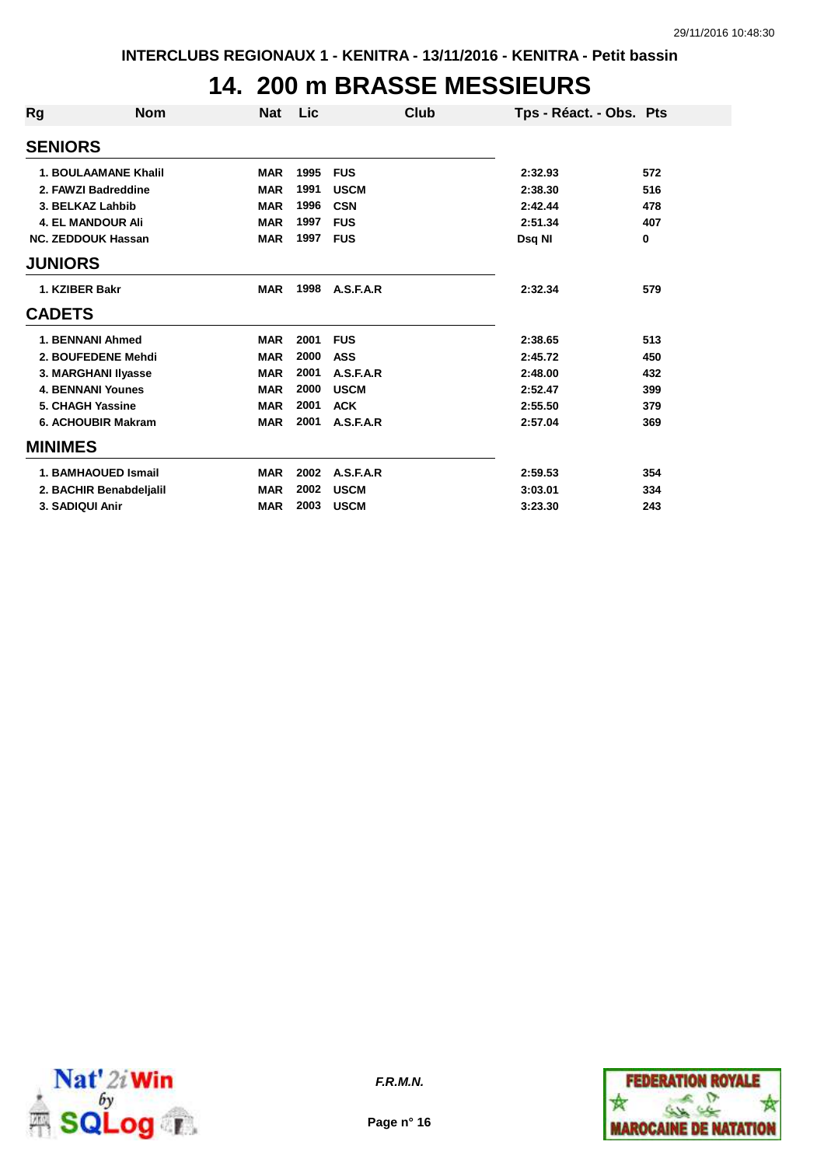#### **14. 200 m BRASSE MESSIEURS**

| Rg             | <b>Nom</b>                  | <b>Nat</b> | Lic  | Club        | Tps - Réact. - Obs. Pts |             |
|----------------|-----------------------------|------------|------|-------------|-------------------------|-------------|
| <b>SENIORS</b> |                             |            |      |             |                         |             |
|                | <b>1. BOULAAMANE Khalil</b> | <b>MAR</b> | 1995 | <b>FUS</b>  | 2:32.93                 | 572         |
|                | 2. FAWZI Badreddine         | <b>MAR</b> | 1991 | <b>USCM</b> | 2:38.30                 | 516         |
|                | 3. BELKAZ Lahbib            | <b>MAR</b> | 1996 | <b>CSN</b>  | 2:42.44                 | 478         |
|                | 4. EL MANDOUR Ali           | <b>MAR</b> | 1997 | <b>FUS</b>  | 2:51.34                 | 407         |
|                | <b>NC. ZEDDOUK Hassan</b>   | <b>MAR</b> | 1997 | <b>FUS</b>  | Dsq NI                  | $\mathbf 0$ |
| <b>JUNIORS</b> |                             |            |      |             |                         |             |
|                | 1. KZIBER Bakr              | <b>MAR</b> | 1998 | A.S.F.A.R   | 2:32.34                 | 579         |
| <b>CADETS</b>  |                             |            |      |             |                         |             |
|                | 1. BENNANI Ahmed            | <b>MAR</b> | 2001 | <b>FUS</b>  | 2:38.65                 | 513         |
|                | 2. BOUFEDENE Mehdi          | <b>MAR</b> | 2000 | <b>ASS</b>  | 2:45.72                 | 450         |
|                | 3. MARGHANI IIyasse         | <b>MAR</b> | 2001 | A.S.F.A.R   | 2:48.00                 | 432         |
|                | <b>4. BENNANI Younes</b>    | <b>MAR</b> | 2000 | <b>USCM</b> | 2:52.47                 | 399         |
|                | 5. CHAGH Yassine            | <b>MAR</b> | 2001 | <b>ACK</b>  | 2:55.50                 | 379         |
|                | 6. ACHOUBIR Makram          | <b>MAR</b> | 2001 | A.S.F.A.R   | 2:57.04                 | 369         |
| <b>MINIMES</b> |                             |            |      |             |                         |             |
|                | 1. BAMHAOUED Ismail         | <b>MAR</b> | 2002 | A.S.F.A.R   | 2:59.53                 | 354         |
|                | 2. BACHIR Benabdeljalil     | <b>MAR</b> | 2002 | <b>USCM</b> | 3:03.01                 | 334         |
|                | 3. SADIQUI Anir             | <b>MAR</b> | 2003 | <b>USCM</b> | 3:23.30                 | 243         |



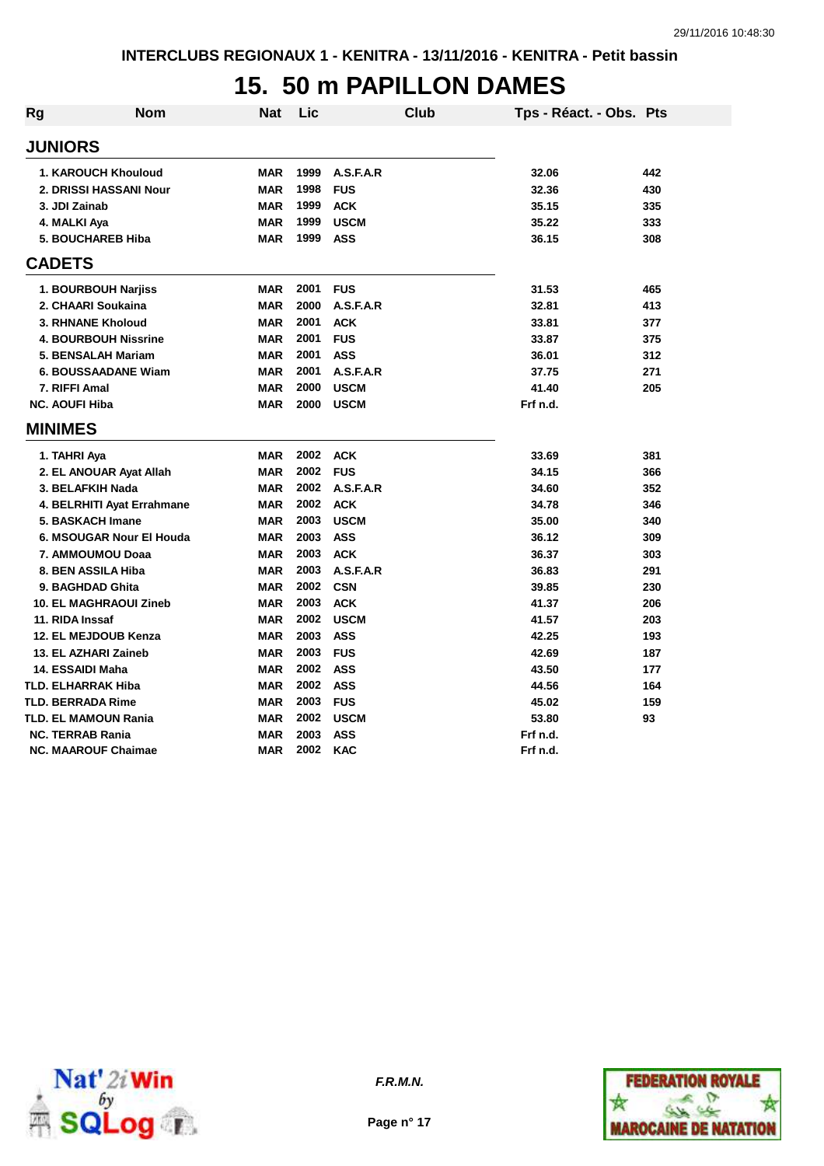#### **15. 50 m PAPILLON DAMES**

| Rg | <b>Nom</b>                    | <b>Nat</b> | Lic  |             | <b>Club</b> | Tps - Réact. - Obs. Pts |     |
|----|-------------------------------|------------|------|-------------|-------------|-------------------------|-----|
|    | <b>JUNIORS</b>                |            |      |             |             |                         |     |
|    | 1. KAROUCH Khouloud           | <b>MAR</b> | 1999 | A.S.F.A.R   |             | 32.06                   | 442 |
|    | 2. DRISSI HASSANI Nour        | <b>MAR</b> | 1998 | <b>FUS</b>  |             | 32.36                   | 430 |
|    | 3. JDI Zainab                 | <b>MAR</b> | 1999 | <b>ACK</b>  |             | 35.15                   | 335 |
|    | 4. MALKI Aya                  | <b>MAR</b> | 1999 | <b>USCM</b> |             | 35.22                   | 333 |
|    | <b>5. BOUCHAREB Hiba</b>      | <b>MAR</b> | 1999 | <b>ASS</b>  |             | 36.15                   | 308 |
|    | <b>CADETS</b>                 |            |      |             |             |                         |     |
|    | 1. BOURBOUH Narjiss           | <b>MAR</b> | 2001 | <b>FUS</b>  |             | 31.53                   | 465 |
|    | 2. CHAARI Soukaina            | <b>MAR</b> | 2000 | A.S.F.A.R   |             | 32.81                   | 413 |
|    | 3. RHNANE Kholoud             | <b>MAR</b> | 2001 | <b>ACK</b>  |             | 33.81                   | 377 |
|    | <b>4. BOURBOUH Nissrine</b>   | <b>MAR</b> | 2001 | <b>FUS</b>  |             | 33.87                   | 375 |
|    | 5. BENSALAH Mariam            | <b>MAR</b> | 2001 | <b>ASS</b>  |             | 36.01                   | 312 |
|    | <b>6. BOUSSAADANE Wiam</b>    | <b>MAR</b> | 2001 | A.S.F.A.R   |             | 37.75                   | 271 |
|    | 7. RIFFI Amal                 | <b>MAR</b> | 2000 | <b>USCM</b> |             | 41.40                   | 205 |
|    | <b>NC. AOUFI Hiba</b>         | <b>MAR</b> | 2000 | <b>USCM</b> |             | Frf n.d.                |     |
|    | <b>MINIMES</b>                |            |      |             |             |                         |     |
|    | 1. TAHRI Aya                  | <b>MAR</b> | 2002 | <b>ACK</b>  |             | 33.69                   | 381 |
|    | 2. EL ANOUAR Ayat Allah       | <b>MAR</b> | 2002 | <b>FUS</b>  |             | 34.15                   | 366 |
|    | 3. BELAFKIH Nada              | <b>MAR</b> | 2002 | A.S.F.A.R   |             | 34.60                   | 352 |
|    | 4. BELRHITI Ayat Errahmane    | <b>MAR</b> | 2002 | <b>ACK</b>  |             | 34.78                   | 346 |
|    | 5. BASKACH Imane              | <b>MAR</b> | 2003 | <b>USCM</b> |             | 35.00                   | 340 |
|    | 6. MSOUGAR Nour El Houda      | <b>MAR</b> | 2003 | <b>ASS</b>  |             | 36.12                   | 309 |
|    | 7. AMMOUMOU Doaa              | <b>MAR</b> | 2003 | <b>ACK</b>  |             | 36.37                   | 303 |
|    | 8. BEN ASSILA Hiba            | <b>MAR</b> | 2003 | A.S.F.A.R   |             | 36.83                   | 291 |
|    | 9. BAGHDAD Ghita              | <b>MAR</b> | 2002 | <b>CSN</b>  |             | 39.85                   | 230 |
|    | <b>10. EL MAGHRAOUI Zineb</b> | <b>MAR</b> | 2003 | <b>ACK</b>  |             | 41.37                   | 206 |
|    | 11. RIDA Inssaf               | <b>MAR</b> | 2002 | <b>USCM</b> |             | 41.57                   | 203 |
|    | 12. EL MEJDOUB Kenza          | <b>MAR</b> | 2003 | <b>ASS</b>  |             | 42.25                   | 193 |
|    | 13. EL AZHARI Zaineb          | <b>MAR</b> | 2003 | <b>FUS</b>  |             | 42.69                   | 187 |
|    | 14. ESSAIDI Maha              | <b>MAR</b> | 2002 | <b>ASS</b>  |             | 43.50                   | 177 |
|    | <b>TLD. ELHARRAK Hiba</b>     | <b>MAR</b> | 2002 | <b>ASS</b>  |             | 44.56                   | 164 |
|    | <b>TLD. BERRADA Rime</b>      | <b>MAR</b> | 2003 | <b>FUS</b>  |             | 45.02                   | 159 |
|    | TLD. EL MAMOUN Rania          | <b>MAR</b> | 2002 | <b>USCM</b> |             | 53.80                   | 93  |
|    | <b>NC. TERRAB Rania</b>       | <b>MAR</b> | 2003 | <b>ASS</b>  |             | Frf n.d.                |     |
|    | <b>NC. MAAROUF Chaimae</b>    | MAR        | 2002 | <b>KAC</b>  |             | Frf n.d.                |     |



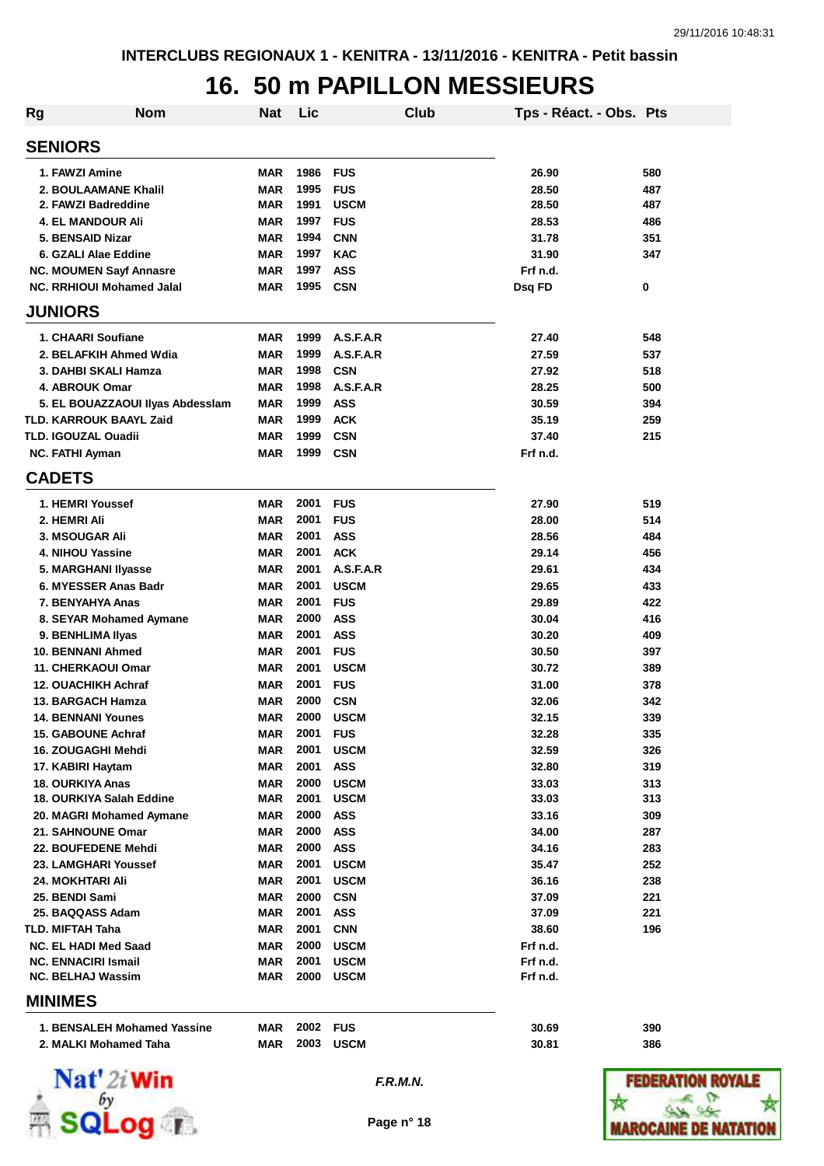## **16. 50 m PAPILLON MESSIEURS**

| <b>Rg</b>                  | <b>Nom</b>                                      | <b>Nat</b>               | Lic          |                           | <b>Club</b> | Tps - Réact. - Obs. Pts |            |
|----------------------------|-------------------------------------------------|--------------------------|--------------|---------------------------|-------------|-------------------------|------------|
| <b>SENIORS</b>             |                                                 |                          |              |                           |             |                         |            |
| 1. FAWZI Amine             |                                                 | <b>MAR</b>               | 1986         | <b>FUS</b>                |             | 26.90                   | 580        |
|                            | 2. BOULAAMANE Khalil                            | <b>MAR</b>               | 1995         | <b>FUS</b>                |             | 28.50                   | 487        |
|                            | 2. FAWZI Badreddine                             | <b>MAR</b>               | 1991         | <b>USCM</b>               |             | 28.50                   | 487        |
|                            | <b>4. EL MANDOUR Ali</b>                        | <b>MAR</b>               | 1997         | <b>FUS</b>                |             | 28.53                   | 486        |
|                            | 5. BENSAID Nizar                                | <b>MAR</b>               | 1994         | <b>CNN</b>                |             | 31.78                   | 351        |
|                            | 6. GZALI Alae Eddine                            | <b>MAR</b>               | 1997         | <b>KAC</b>                |             | 31.90                   | 347        |
|                            | <b>NC. MOUMEN Sayf Annasre</b>                  | <b>MAR</b>               | 1997         | <b>ASS</b>                |             | Frf n.d.                |            |
|                            | <b>NC. RRHIOUI Mohamed Jalal</b>                | <b>MAR</b>               | 1995         | <b>CSN</b>                |             | Dsq FD                  | 0          |
| <b>JUNIORS</b>             |                                                 |                          |              |                           |             |                         |            |
|                            | 1. CHAARI Soufiane                              | MAR                      | 1999         | A.S.F.A.R                 |             | 27.40                   | 548        |
|                            | 2. BELAFKIH Ahmed Wdia                          | <b>MAR</b>               | 1999         | A.S.F.A.R                 |             | 27.59                   | 537        |
|                            | 3. DAHBI SKALI Hamza                            | <b>MAR</b>               | 1998         | <b>CSN</b>                |             | 27.92                   | 518        |
|                            | 4. ABROUK Omar                                  | <b>MAR</b>               | 1998         | A.S.F.A.R                 |             | 28.25                   | 500        |
|                            | 5. EL BOUAZZAOUI Ilyas Abdesslam                | <b>MAR</b>               | 1999         | <b>ASS</b>                |             | 30.59                   | 394        |
|                            | <b>TLD. KARROUK BAAYL Zaid</b>                  | <b>MAR</b>               | 1999         | <b>ACK</b>                |             | 35.19                   | 259        |
| <b>TLD. IGOUZAL Ouadii</b> |                                                 | <b>MAR</b>               | 1999         | <b>CSN</b>                |             | 37.40                   | 215        |
| <b>NC. FATHI Ayman</b>     |                                                 | <b>MAR</b>               | 1999         | <b>CSN</b>                |             | Frf n.d.                |            |
| <b>CADETS</b>              |                                                 |                          |              |                           |             |                         |            |
|                            | 1. HEMRI Youssef                                | <b>MAR</b>               | 2001         | <b>FUS</b>                |             | 27.90                   | 519        |
| 2. HEMRI Ali               |                                                 | <b>MAR</b>               | 2001         | <b>FUS</b>                |             | 28.00                   | 514        |
| <b>3. MSOUGAR Ali</b>      |                                                 | <b>MAR</b>               | 2001         | <b>ASS</b>                |             | 28.56                   | 484        |
|                            | 4. NIHOU Yassine                                | <b>MAR</b>               | 2001         | <b>ACK</b>                |             | 29.14                   | 456        |
|                            | 5. MARGHANI Ilyasse                             | <b>MAR</b>               | 2001         | A.S.F.A.R                 |             | 29.61                   | 434        |
|                            | 6. MYESSER Anas Badr                            | <b>MAR</b>               | 2001         | <b>USCM</b>               |             | 29.65                   | 433        |
|                            | 7. BENYAHYA Anas                                | MAR                      | 2001         | <b>FUS</b>                |             | 29.89                   | 422        |
|                            | 8. SEYAR Mohamed Aymane                         | MAR                      | 2000         | <b>ASS</b>                |             | 30.04                   | 416        |
|                            | 9. BENHLIMA IIyas                               | MAR                      | 2001         | <b>ASS</b>                |             | 30.20                   | 409        |
|                            | 10. BENNANI Ahmed                               | MAR                      | 2001         | <b>FUS</b>                |             | 30.50                   | 397        |
|                            | <b>11. CHERKAOUI Omar</b>                       | <b>MAR</b>               | 2001         | <b>USCM</b>               |             | 30.72                   | 389        |
|                            | <b>12. OUACHIKH Achraf</b><br>13. BARGACH Hamza | <b>MAR</b><br><b>MAR</b> | 2001<br>2000 | <b>FUS</b>                |             | 31.00                   | 378        |
|                            | <b>14. BENNANI Younes</b>                       | <b>MAR</b>               | 2000         | <b>CSN</b><br><b>USCM</b> |             | 32.06<br>32.15          | 342<br>339 |
|                            | <b>15. GABOUNE Achraf</b>                       |                          | 2001         | <b>FUS</b>                |             |                         |            |
|                            | 16. ZOUGAGHI Mehdi                              | MAR<br><b>MAR</b>        | 2001         | <b>USCM</b>               |             | 32.28<br>32.59          | 335<br>326 |
| 17. KABIRI Haytam          |                                                 | MAR                      | 2001         | <b>ASS</b>                |             | 32.80                   | 319        |
| <b>18. OURKIYA Anas</b>    |                                                 | MAR                      | 2000         | <b>USCM</b>               |             | 33.03                   | 313        |
|                            | 18. OURKIYA Salah Eddine                        | MAR                      | 2001         | <b>USCM</b>               |             | 33.03                   | 313        |
|                            | 20. MAGRI Mohamed Aymane                        | MAR                      | 2000         | ASS                       |             | 33.16                   | 309        |
|                            | 21. SAHNOUNE Omar                               | MAR                      | 2000         | ASS                       |             | 34.00                   | 287        |
|                            | 22. BOUFEDENE Mehdi                             | <b>MAR</b>               | 2000         | <b>ASS</b>                |             | 34.16                   | 283        |
|                            | 23. LAMGHARI Youssef                            | MAR                      | 2001         | <b>USCM</b>               |             | 35.47                   | 252        |
| 24. MOKHTARI Ali           |                                                 | <b>MAR</b>               | 2001         | <b>USCM</b>               |             | 36.16                   | 238        |
| 25. BENDI Sami             |                                                 | <b>MAR</b>               | 2000         | <b>CSN</b>                |             | 37.09                   | 221        |
|                            | 25. BAQQASS Adam                                | MAR                      | 2001         | ASS                       |             | 37.09                   | 221        |
| TLD. MIFTAH Taha           |                                                 | <b>MAR</b>               | 2001         | <b>CNN</b>                |             | 38.60                   | 196        |
|                            | <b>NC. EL HADI Med Saad</b>                     | <b>MAR</b>               | 2000         | <b>USCM</b>               |             | Frf n.d.                |            |
|                            | <b>NC. ENNACIRI Ismail</b>                      | MAR                      | 2001         | <b>USCM</b>               |             | Frf n.d.                |            |
|                            | <b>NC. BELHAJ Wassim</b>                        | MAR                      | 2000         | <b>USCM</b>               |             | Frf n.d.                |            |
| <b>MINIMES</b>             |                                                 |                          |              |                           |             |                         |            |
|                            | 1. BENSALEH Mohamed Yassine                     | <b>MAR</b>               | 2002 FUS     |                           |             | 30.69                   | 390        |



**2. MALKI Mohamed Taha MAR 2003 USCM 30.81 386**

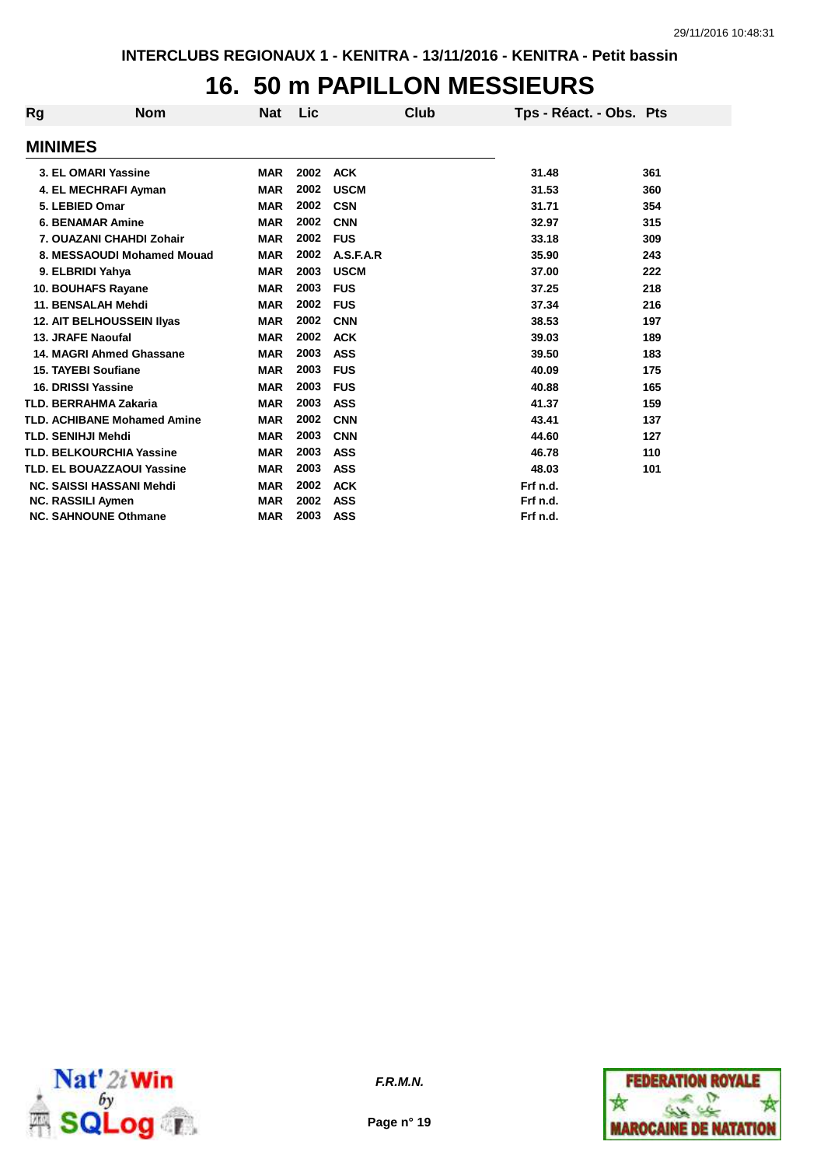## **16. 50 m PAPILLON MESSIEURS**

| Rg                       | <b>Nom</b>                         | <b>Nat</b> | Lic  | Club        | Tps - Réact. - Obs. Pts |     |
|--------------------------|------------------------------------|------------|------|-------------|-------------------------|-----|
| <b>MINIMES</b>           |                                    |            |      |             |                         |     |
|                          | 3. EL OMARI Yassine                | <b>MAR</b> | 2002 | <b>ACK</b>  | 31.48                   | 361 |
|                          | 4. EL MECHRAFI Ayman               | <b>MAR</b> | 2002 | <b>USCM</b> | 31.53                   | 360 |
| 5. LEBIED Omar           |                                    | <b>MAR</b> | 2002 | <b>CSN</b>  | 31.71                   | 354 |
|                          | <b>6. BENAMAR Amine</b>            | <b>MAR</b> | 2002 | <b>CNN</b>  | 32.97                   | 315 |
|                          | 7. OUAZANI CHAHDI Zohair           | <b>MAR</b> | 2002 | <b>FUS</b>  | 33.18                   | 309 |
|                          | 8. MESSAOUDI Mohamed Mouad         | <b>MAR</b> | 2002 | A.S.F.A.R   | 35.90                   | 243 |
|                          | 9. ELBRIDI Yahya                   | <b>MAR</b> | 2003 | <b>USCM</b> | 37.00                   | 222 |
|                          | 10. BOUHAFS Rayane                 | <b>MAR</b> | 2003 | <b>FUS</b>  | 37.25                   | 218 |
|                          | 11. BENSALAH Mehdi                 | <b>MAR</b> | 2002 | <b>FUS</b>  | 37.34                   | 216 |
|                          | <b>12. AIT BELHOUSSEIN IIvas</b>   | <b>MAR</b> | 2002 | <b>CNN</b>  | 38.53                   | 197 |
| 13. JRAFE Naoufal        |                                    | <b>MAR</b> | 2002 | <b>ACK</b>  | 39.03                   | 189 |
|                          | 14. MAGRI Ahmed Ghassane           | <b>MAR</b> | 2003 | <b>ASS</b>  | 39.50                   | 183 |
|                          | <b>15. TAYEBI Soufiane</b>         | <b>MAR</b> | 2003 | <b>FUS</b>  | 40.09                   | 175 |
| 16. DRISSI Yassine       |                                    | <b>MAR</b> | 2003 | <b>FUS</b>  | 40.88                   | 165 |
|                          | <b>TLD. BERRAHMA Zakaria</b>       | <b>MAR</b> | 2003 | <b>ASS</b>  | 41.37                   | 159 |
|                          | <b>TLD. ACHIBANE Mohamed Amine</b> | <b>MAR</b> | 2002 | <b>CNN</b>  | 43.41                   | 137 |
| TLD. SENIHJI Mehdi       |                                    | <b>MAR</b> | 2003 | <b>CNN</b>  | 44.60                   | 127 |
|                          | <b>TLD. BELKOURCHIA Yassine</b>    | <b>MAR</b> | 2003 | <b>ASS</b>  | 46.78                   | 110 |
|                          | <b>TLD. EL BOUAZZAOUI Yassine</b>  | <b>MAR</b> | 2003 | <b>ASS</b>  | 48.03                   | 101 |
|                          | <b>NC. SAISSI HASSANI Mehdi</b>    | <b>MAR</b> | 2002 | <b>ACK</b>  | Frf n.d.                |     |
| <b>NC. RASSILI Aymen</b> |                                    | <b>MAR</b> | 2002 | <b>ASS</b>  | Frf n.d.                |     |
|                          | <b>NC. SAHNOUNE Othmane</b>        | <b>MAR</b> | 2003 | <b>ASS</b>  | Frf n.d.                |     |



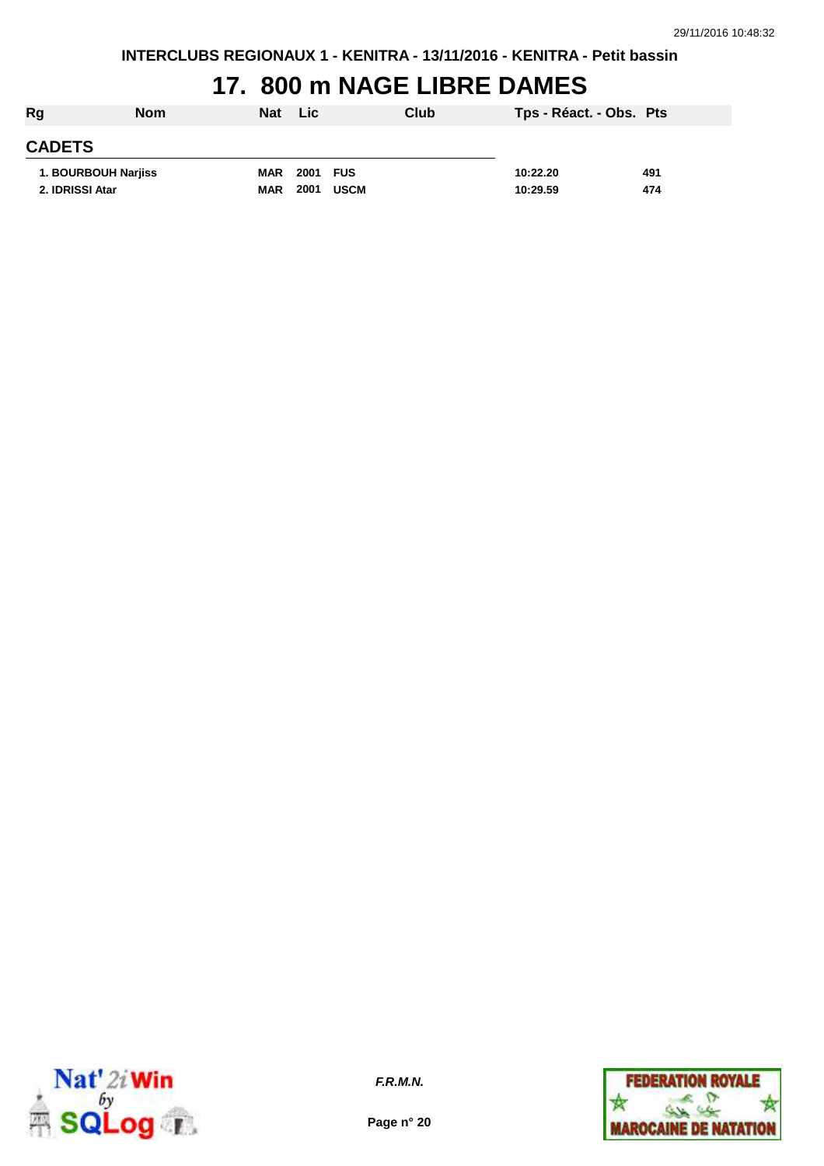## **17. 800 m NAGE LIBRE DAMES**

| Rg              | <b>Nom</b>          | <b>Nat</b> | Lic          | Club | Tps - Réact. - Obs. Pts |     |
|-----------------|---------------------|------------|--------------|------|-------------------------|-----|
| <b>CADETS</b>   |                     |            |              |      |                         |     |
|                 | 1. BOURBOUH Narjiss | MAR        | 2001 FUS     |      | 10:22.20                | 491 |
| 2. IDRISSI Atar |                     | MAR        | 2001<br>USCM |      | 10:29.59                | 474 |



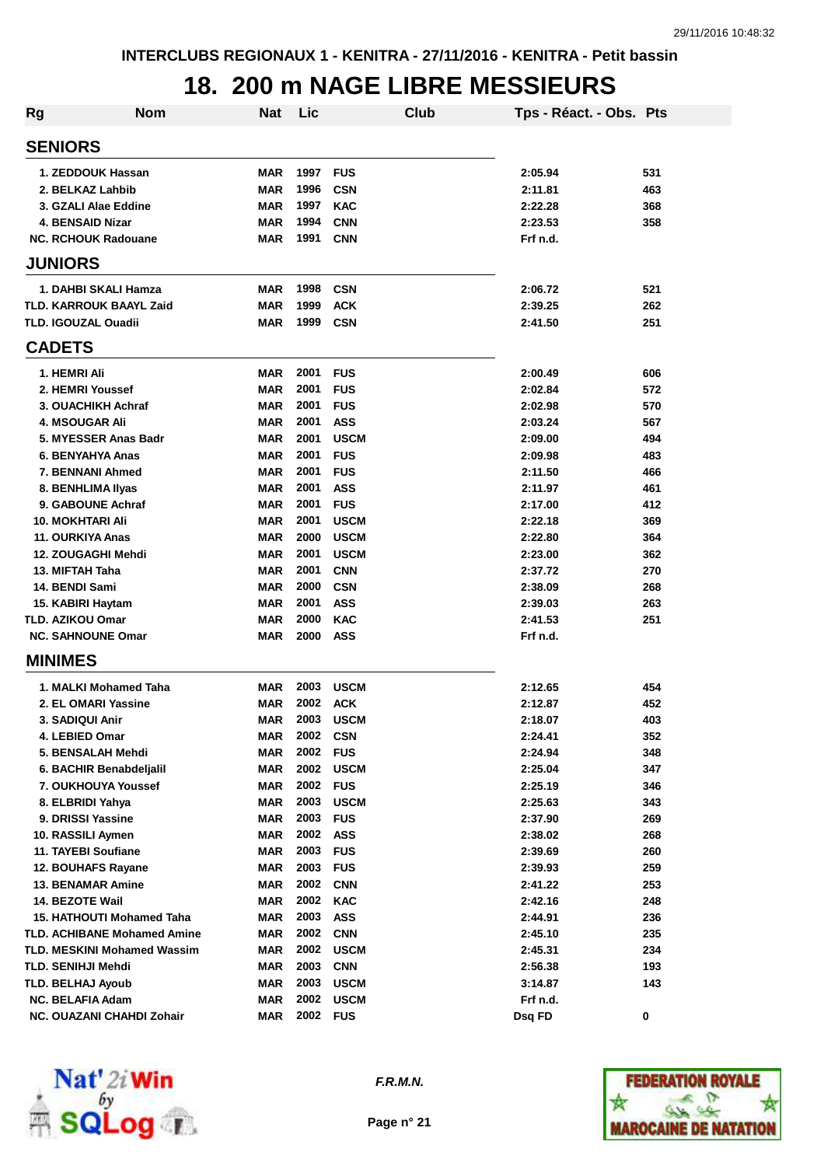#### **18. 200 m NAGE LIBRE MESSIEURS**

| <b>Rg</b> | <b>Nom</b>                         | Nat        | Lic  |                          | Club | Tps - Réact. - Obs. Pts |            |
|-----------|------------------------------------|------------|------|--------------------------|------|-------------------------|------------|
|           | <b>SENIORS</b>                     |            |      |                          |      |                         |            |
|           | 1. ZEDDOUK Hassan                  | <b>MAR</b> | 1997 | <b>FUS</b>               |      | 2:05.94                 | 531        |
|           | 2. BELKAZ Lahbib                   | <b>MAR</b> | 1996 | <b>CSN</b>               |      | 2:11.81                 | 463        |
|           | 3. GZALI Alae Eddine               | <b>MAR</b> | 1997 | <b>KAC</b>               |      | 2:22.28                 | 368        |
|           | <b>4. BENSAID Nizar</b>            | <b>MAR</b> | 1994 | <b>CNN</b>               |      | 2:23.53                 | 358        |
|           | <b>NC. RCHOUK Radouane</b>         | <b>MAR</b> | 1991 | <b>CNN</b>               |      | Frf n.d.                |            |
|           | <b>JUNIORS</b>                     |            |      |                          |      |                         |            |
|           | 1. DAHBI SKALI Hamza               | MAR        | 1998 | <b>CSN</b>               |      | 2:06.72                 | 521        |
|           | TLD. KARROUK BAAYL Zaid            | <b>MAR</b> | 1999 | <b>ACK</b>               |      | 2:39.25                 | 262        |
|           | <b>TLD. IGOUZAL Ouadii</b>         | <b>MAR</b> | 1999 | <b>CSN</b>               |      | 2:41.50                 | 251        |
|           | <b>CADETS</b>                      |            |      |                          |      |                         |            |
|           | 1. HEMRI Ali                       | <b>MAR</b> | 2001 |                          |      | 2:00.49                 |            |
|           | 2. HEMRI Youssef                   | <b>MAR</b> | 2001 | <b>FUS</b><br><b>FUS</b> |      | 2:02.84                 | 606<br>572 |
|           | 3. OUACHIKH Achraf                 | <b>MAR</b> | 2001 | <b>FUS</b>               |      | 2:02.98                 | 570        |
|           | <b>4. MSOUGAR Ali</b>              | <b>MAR</b> | 2001 | <b>ASS</b>               |      | 2:03.24                 | 567        |
|           | 5. MYESSER Anas Badr               | <b>MAR</b> | 2001 | <b>USCM</b>              |      | 2:09.00                 | 494        |
|           | 6. BENYAHYA Anas                   | <b>MAR</b> | 2001 | <b>FUS</b>               |      | 2:09.98                 | 483        |
|           | 7. BENNANI Ahmed                   | <b>MAR</b> | 2001 | <b>FUS</b>               |      | 2:11.50                 | 466        |
|           | 8. BENHLIMA IIyas                  | <b>MAR</b> | 2001 | <b>ASS</b>               |      | 2:11.97                 | 461        |
|           | 9. GABOUNE Achraf                  | <b>MAR</b> | 2001 | <b>FUS</b>               |      | 2:17.00                 | 412        |
|           | <b>10. MOKHTARI Ali</b>            | <b>MAR</b> | 2001 | <b>USCM</b>              |      | 2:22.18                 | 369        |
|           | 11. OURKIYA Anas                   | <b>MAR</b> | 2000 | <b>USCM</b>              |      | 2:22.80                 | 364        |
|           | 12. ZOUGAGHI Mehdi                 | <b>MAR</b> | 2001 | <b>USCM</b>              |      | 2:23.00                 | 362        |
|           | 13. MIFTAH Taha                    | <b>MAR</b> | 2001 | <b>CNN</b>               |      | 2:37.72                 | 270        |
|           | 14. BENDI Sami                     | <b>MAR</b> | 2000 | <b>CSN</b>               |      | 2:38.09                 | 268        |
|           | 15. KABIRI Haytam                  | <b>MAR</b> | 2001 | <b>ASS</b>               |      | 2:39.03                 | 263        |
|           | <b>TLD. AZIKOU Omar</b>            | <b>MAR</b> | 2000 | <b>KAC</b>               |      | 2:41.53                 | 251        |
|           | <b>NC. SAHNOUNE Omar</b>           | <b>MAR</b> | 2000 | <b>ASS</b>               |      | Frf n.d.                |            |
|           | <b>MINIMES</b>                     |            |      |                          |      |                         |            |
|           | 1. MALKI Mohamed Taha              | MAR        | 2003 | <b>USCM</b>              |      | 2:12.65                 | 454        |
|           | 2. EL OMARI Yassine                | <b>MAR</b> | 2002 | <b>ACK</b>               |      | 2:12.87                 | 452        |
|           | 3. SADIQUI Anir                    | <b>MAR</b> | 2003 | <b>USCM</b>              |      | 2:18.07                 | 403        |
|           | 4. LEBIED Omar                     | MAR        | 2002 | <b>CSN</b>               |      | 2:24.41                 | 352        |
|           | 5. BENSALAH Mehdi                  | <b>MAR</b> | 2002 | <b>FUS</b>               |      | 2:24.94                 | 348        |
|           | 6. BACHIR Benabdeljalil            | <b>MAR</b> | 2002 | <b>USCM</b>              |      | 2:25.04                 | 347        |
|           | 7. OUKHOUYA Youssef                | <b>MAR</b> | 2002 | <b>FUS</b>               |      | 2:25.19                 | 346        |
|           | 8. ELBRIDI Yahya                   | <b>MAR</b> | 2003 | <b>USCM</b>              |      | 2:25.63                 | 343        |
|           | 9. DRISSI Yassine                  | <b>MAR</b> | 2003 | <b>FUS</b>               |      | 2:37.90                 | 269        |
|           | 10. RASSILI Aymen                  | <b>MAR</b> | 2002 | <b>ASS</b>               |      | 2:38.02                 | 268        |
|           | 11. TAYEBI Soufiane                | <b>MAR</b> | 2003 | <b>FUS</b>               |      | 2:39.69                 | 260        |
|           | 12. BOUHAFS Rayane                 | <b>MAR</b> | 2003 | <b>FUS</b>               |      | 2:39.93                 | 259        |
|           | <b>13. BENAMAR Amine</b>           | <b>MAR</b> | 2002 | <b>CNN</b>               |      | 2:41.22                 | 253        |
|           | 14. BEZOTE Wail                    | <b>MAR</b> | 2002 | <b>KAC</b>               |      | 2:42.16                 | 248        |
|           | <b>15. HATHOUTI Mohamed Taha</b>   | <b>MAR</b> | 2003 | <b>ASS</b>               |      | 2:44.91                 | 236        |
|           | <b>TLD. ACHIBANE Mohamed Amine</b> | <b>MAR</b> | 2002 | <b>CNN</b>               |      | 2:45.10                 | 235        |
|           | <b>TLD. MESKINI Mohamed Wassim</b> | <b>MAR</b> | 2002 | <b>USCM</b>              |      | 2:45.31                 | 234        |
|           | TLD. SENIHJI Mehdi                 | <b>MAR</b> | 2003 | <b>CNN</b>               |      | 2:56.38                 | 193        |
|           | TLD. BELHAJ Ayoub                  | <b>MAR</b> | 2003 | <b>USCM</b>              |      | 3:14.87                 | 143        |
|           | <b>NC. BELAFIA Adam</b>            | <b>MAR</b> | 2002 | <b>USCM</b>              |      | Frf n.d.                |            |
|           | NC. OUAZANI CHAHDI Zohair          | <b>MAR</b> | 2002 | <b>FUS</b>               |      | Dsq FD                  | $\pmb{0}$  |



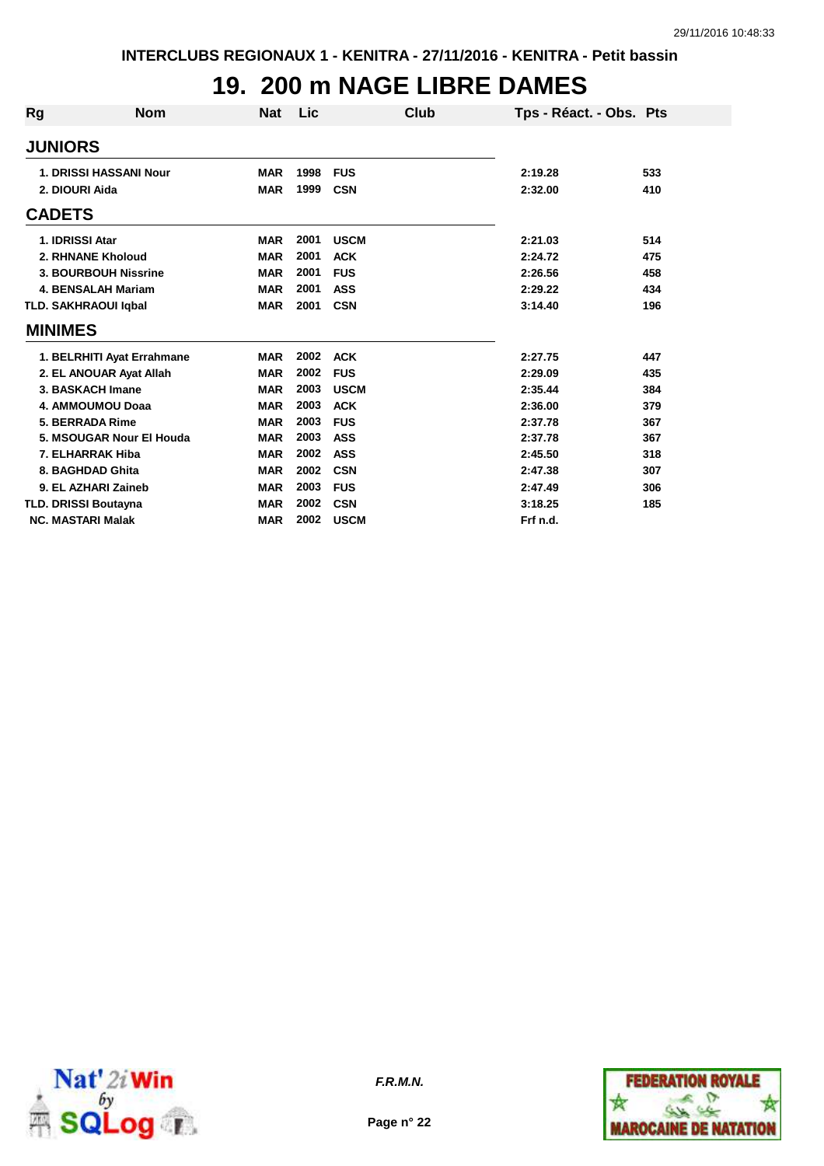## **19. 200 m NAGE LIBRE DAMES**

| Rg             | <b>Nom</b>                    | <b>Nat</b> | Lic  |             | Club | Tps - Réact. - Obs. Pts |     |
|----------------|-------------------------------|------------|------|-------------|------|-------------------------|-----|
| <b>JUNIORS</b> |                               |            |      |             |      |                         |     |
|                | <b>1. DRISSI HASSANI Nour</b> | <b>MAR</b> | 1998 | <b>FUS</b>  |      | 2:19.28                 | 533 |
|                | 2. DIOURI Aida                | <b>MAR</b> | 1999 | <b>CSN</b>  |      | 2:32.00                 | 410 |
| <b>CADETS</b>  |                               |            |      |             |      |                         |     |
|                | 1. IDRISSI Atar               | <b>MAR</b> | 2001 | <b>USCM</b> |      | 2:21.03                 | 514 |
|                | 2. RHNANE Kholoud             | <b>MAR</b> | 2001 | <b>ACK</b>  |      | 2:24.72                 | 475 |
|                | 3. BOURBOUH Nissrine          | <b>MAR</b> | 2001 | <b>FUS</b>  |      | 2:26.56                 | 458 |
|                | <b>4. BENSALAH Mariam</b>     | <b>MAR</b> | 2001 | <b>ASS</b>  |      | 2:29.22                 | 434 |
|                | <b>TLD. SAKHRAOUI Igbal</b>   | <b>MAR</b> | 2001 | <b>CSN</b>  |      | 3:14.40                 | 196 |
| <b>MINIMES</b> |                               |            |      |             |      |                         |     |
|                | 1. BELRHITI Ayat Errahmane    | <b>MAR</b> | 2002 | <b>ACK</b>  |      | 2:27.75                 | 447 |
|                | 2. EL ANOUAR Ayat Allah       | <b>MAR</b> | 2002 | <b>FUS</b>  |      | 2:29.09                 | 435 |
|                | 3. BASKACH Imane              | <b>MAR</b> | 2003 | <b>USCM</b> |      | 2:35.44                 | 384 |
|                | 4. AMMOUMOU Doaa              | <b>MAR</b> | 2003 | <b>ACK</b>  |      | 2:36.00                 | 379 |
|                | 5. BERRADA Rime               | <b>MAR</b> | 2003 | <b>FUS</b>  |      | 2:37.78                 | 367 |
|                | 5. MSOUGAR Nour El Houda      | <b>MAR</b> | 2003 | <b>ASS</b>  |      | 2:37.78                 | 367 |
|                | 7. ELHARRAK Hiba              | <b>MAR</b> | 2002 | <b>ASS</b>  |      | 2:45.50                 | 318 |
|                | 8. BAGHDAD Ghita              | <b>MAR</b> | 2002 | <b>CSN</b>  |      | 2:47.38                 | 307 |
|                | 9. EL AZHARI Zaineb           | <b>MAR</b> | 2003 | <b>FUS</b>  |      | 2:47.49                 | 306 |
|                | <b>TLD. DRISSI Boutayna</b>   | <b>MAR</b> | 2002 | <b>CSN</b>  |      | 3:18.25                 | 185 |
|                | <b>NC. MASTARI Malak</b>      | <b>MAR</b> | 2002 | <b>USCM</b> |      | Frf n.d.                |     |



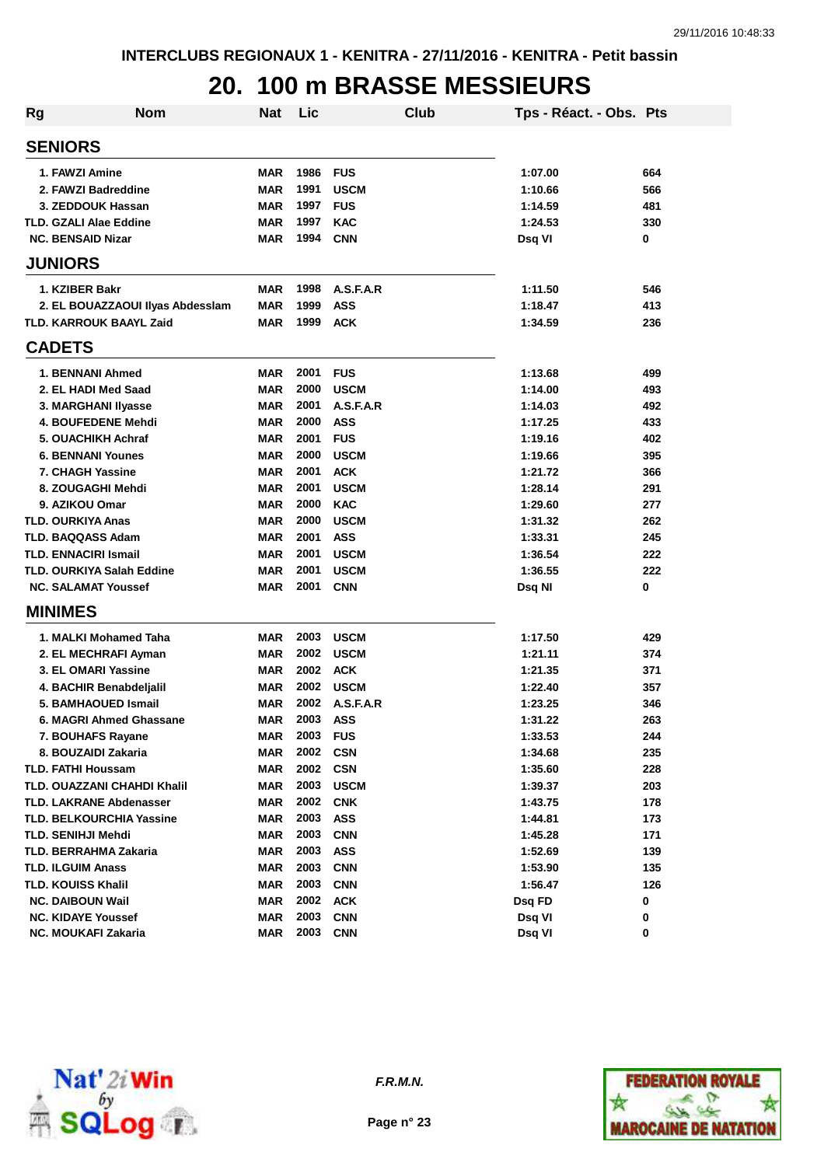## **20. 100 m BRASSE MESSIEURS**

| <b>Rg</b> | <b>Nom</b>                         | Nat        | Lic  | Club        | Tps - Réact. - Obs. Pts |     |
|-----------|------------------------------------|------------|------|-------------|-------------------------|-----|
|           | <b>SENIORS</b>                     |            |      |             |                         |     |
|           | 1. FAWZI Amine                     | MAR        | 1986 | <b>FUS</b>  | 1:07.00                 | 664 |
|           | 2. FAWZI Badreddine                | <b>MAR</b> | 1991 | <b>USCM</b> | 1:10.66                 | 566 |
|           | 3. ZEDDOUK Hassan                  | <b>MAR</b> | 1997 | <b>FUS</b>  | 1:14.59                 | 481 |
|           | <b>TLD. GZALI Alae Eddine</b>      | <b>MAR</b> | 1997 | <b>KAC</b>  | 1:24.53                 | 330 |
|           | <b>NC. BENSAID Nizar</b>           | <b>MAR</b> | 1994 | <b>CNN</b>  | Dsg VI                  | 0   |
|           | <b>JUNIORS</b>                     |            |      |             |                         |     |
|           | 1. KZIBER Bakr                     | <b>MAR</b> | 1998 | A.S.F.A.R   | 1:11.50                 | 546 |
|           | 2. EL BOUAZZAOUI IIvas Abdessiam   | <b>MAR</b> | 1999 | <b>ASS</b>  | 1:18.47                 | 413 |
|           | <b>TLD. KARROUK BAAYL Zaid</b>     | <b>MAR</b> | 1999 | <b>ACK</b>  | 1:34.59                 | 236 |
|           | <b>CADETS</b>                      |            |      |             |                         |     |
|           | 1. BENNANI Ahmed                   | <b>MAR</b> | 2001 | <b>FUS</b>  | 1:13.68                 | 499 |
|           | 2. EL HADI Med Saad                | <b>MAR</b> | 2000 | <b>USCM</b> | 1:14.00                 | 493 |
|           | 3. MARGHANI Ilyasse                | <b>MAR</b> | 2001 | A.S.F.A.R   | 1:14.03                 | 492 |
|           | 4. BOUFEDENE Mehdi                 | <b>MAR</b> | 2000 | <b>ASS</b>  | 1:17.25                 | 433 |
|           | 5. OUACHIKH Achraf                 | <b>MAR</b> | 2001 | <b>FUS</b>  | 1:19.16                 | 402 |
|           | <b>6. BENNANI Younes</b>           | <b>MAR</b> | 2000 | <b>USCM</b> | 1:19.66                 | 395 |
|           | 7. CHAGH Yassine                   | <b>MAR</b> | 2001 | <b>ACK</b>  | 1:21.72                 | 366 |
|           | 8. ZOUGAGHI Mehdi                  | <b>MAR</b> | 2001 | <b>USCM</b> | 1:28.14                 | 291 |
|           | 9. AZIKOU Omar                     | <b>MAR</b> | 2000 | <b>KAC</b>  | 1:29.60                 | 277 |
|           | <b>TLD. OURKIYA Anas</b>           | <b>MAR</b> | 2000 | <b>USCM</b> | 1:31.32                 | 262 |
|           | <b>TLD. BAQQASS Adam</b>           | <b>MAR</b> | 2001 | <b>ASS</b>  | 1:33.31                 | 245 |
|           | <b>TLD. ENNACIRI Ismail</b>        | <b>MAR</b> | 2001 | <b>USCM</b> | 1:36.54                 | 222 |
|           | <b>TLD. OURKIYA Salah Eddine</b>   | <b>MAR</b> | 2001 | <b>USCM</b> | 1:36.55                 | 222 |
|           | <b>NC. SALAMAT Youssef</b>         | <b>MAR</b> | 2001 | <b>CNN</b>  | Dsq NI                  | 0   |
|           | <b>MINIMES</b>                     |            |      |             |                         |     |
|           | 1. MALKI Mohamed Taha              | MAR        | 2003 | <b>USCM</b> | 1:17.50                 | 429 |
|           | 2. EL MECHRAFI Ayman               | <b>MAR</b> | 2002 | <b>USCM</b> | 1:21.11                 | 374 |
|           | 3. EL OMARI Yassine                | <b>MAR</b> | 2002 | <b>ACK</b>  | 1:21.35                 | 371 |
|           | 4. BACHIR Benabdeljalil            | <b>MAR</b> | 2002 | <b>USCM</b> | 1:22.40                 | 357 |
|           | 5. BAMHAOUED Ismail                | <b>MAR</b> | 2002 | A.S.F.A.R   | 1:23.25                 | 346 |
|           | 6. MAGRI Ahmed Ghassane            | <b>MAR</b> | 2003 | <b>ASS</b>  | 1:31.22                 | 263 |
|           | 7. BOUHAFS Rayane                  | MAR        | 2003 | <b>FUS</b>  | 1:33.53                 | 244 |
|           | 8. BOUZAIDI Zakaria                | <b>MAR</b> | 2002 | <b>CSN</b>  | 1:34.68                 | 235 |
|           | <b>TLD. FATHI Houssam</b>          | <b>MAR</b> | 2002 | <b>CSN</b>  | 1:35.60                 | 228 |
|           | <b>TLD. OUAZZANI CHAHDI Khalil</b> | <b>MAR</b> | 2003 | <b>USCM</b> | 1:39.37                 | 203 |
|           | <b>TLD. LAKRANE Abdenasser</b>     | <b>MAR</b> | 2002 | <b>CNK</b>  | 1:43.75                 | 178 |
|           | <b>TLD. BELKOURCHIA Yassine</b>    | <b>MAR</b> | 2003 | <b>ASS</b>  | 1:44.81                 | 173 |
|           | <b>TLD. SENIHJI Mehdi</b>          | <b>MAR</b> | 2003 | <b>CNN</b>  | 1:45.28                 | 171 |
|           | <b>TLD. BERRAHMA Zakaria</b>       | <b>MAR</b> | 2003 | <b>ASS</b>  | 1:52.69                 | 139 |
|           | <b>TLD. ILGUIM Anass</b>           | <b>MAR</b> | 2003 | <b>CNN</b>  | 1:53.90                 | 135 |
|           | <b>TLD. KOUISS Khalil</b>          | <b>MAR</b> | 2003 | <b>CNN</b>  | 1:56.47                 | 126 |
|           | <b>NC. DAIBOUN Wail</b>            | <b>MAR</b> | 2002 | <b>ACK</b>  | Dsq FD                  | 0   |
|           | <b>NC. KIDAYE Youssef</b>          | <b>MAR</b> | 2003 | <b>CNN</b>  | Dsq VI                  | 0   |
|           | NC. MOUKAFI Zakaria                | <b>MAR</b> | 2003 | <b>CNN</b>  | Dsq VI                  | 0   |



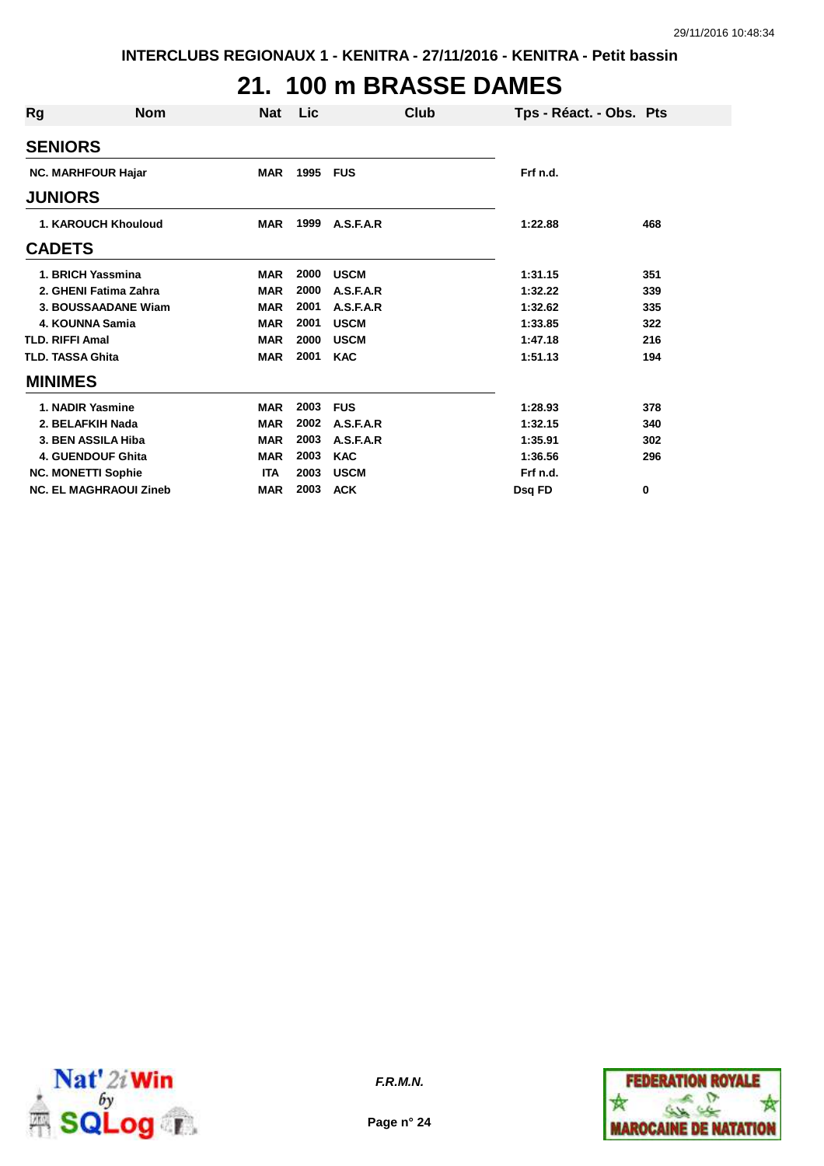# **21. 100 m BRASSE DAMES**

| Rg                         | <b>Nom</b>                    | <b>Nat</b> | Lic  | Club        |          | Tps - Réact. - Obs. Pts |
|----------------------------|-------------------------------|------------|------|-------------|----------|-------------------------|
|                            | <b>SENIORS</b>                |            |      |             |          |                         |
|                            | <b>NC. MARHFOUR Hajar</b>     | <b>MAR</b> | 1995 | <b>FUS</b>  | Frf n.d. |                         |
|                            | <b>JUNIORS</b>                |            |      |             |          |                         |
| <b>1. KAROUCH Khouloud</b> |                               | <b>MAR</b> | 1999 | A.S.F.A.R   | 1:22.88  | 468                     |
|                            | <b>CADETS</b>                 |            |      |             |          |                         |
|                            | 1. BRICH Yassmina             | <b>MAR</b> | 2000 | <b>USCM</b> | 1:31.15  | 351                     |
|                            | 2. GHENI Fatima Zahra         | <b>MAR</b> | 2000 | A.S.F.A.R   | 1:32.22  | 339                     |
|                            | 3. BOUSSAADANE Wiam           | <b>MAR</b> | 2001 | A.S.F.A.R   | 1:32.62  | 335                     |
|                            | 4. KOUNNA Samia               | <b>MAR</b> | 2001 | <b>USCM</b> | 1:33.85  | 322                     |
|                            | <b>TLD. RIFFI Amal</b>        | <b>MAR</b> | 2000 | <b>USCM</b> | 1:47.18  | 216                     |
|                            | <b>TLD. TASSA Ghita</b>       | <b>MAR</b> | 2001 | <b>KAC</b>  | 1:51.13  | 194                     |
|                            | <b>MINIMES</b>                |            |      |             |          |                         |
|                            | 1. NADIR Yasmine              | <b>MAR</b> | 2003 | <b>FUS</b>  | 1:28.93  | 378                     |
|                            | 2. BELAFKIH Nada              | <b>MAR</b> | 2002 | A.S.F.A.R   | 1:32.15  | 340                     |
|                            | 3. BEN ASSILA Hiba            | <b>MAR</b> | 2003 | A.S.F.A.R   | 1:35.91  | 302                     |
|                            | <b>4. GUENDOUF Ghita</b>      | <b>MAR</b> | 2003 | <b>KAC</b>  | 1:36.56  | 296                     |
|                            | <b>NC. MONETTI Sophie</b>     | <b>ITA</b> | 2003 | <b>USCM</b> | Frf n.d. |                         |
|                            | <b>NC. EL MAGHRAOUI Zineb</b> | <b>MAR</b> | 2003 | <b>ACK</b>  | Dsq FD   | 0                       |



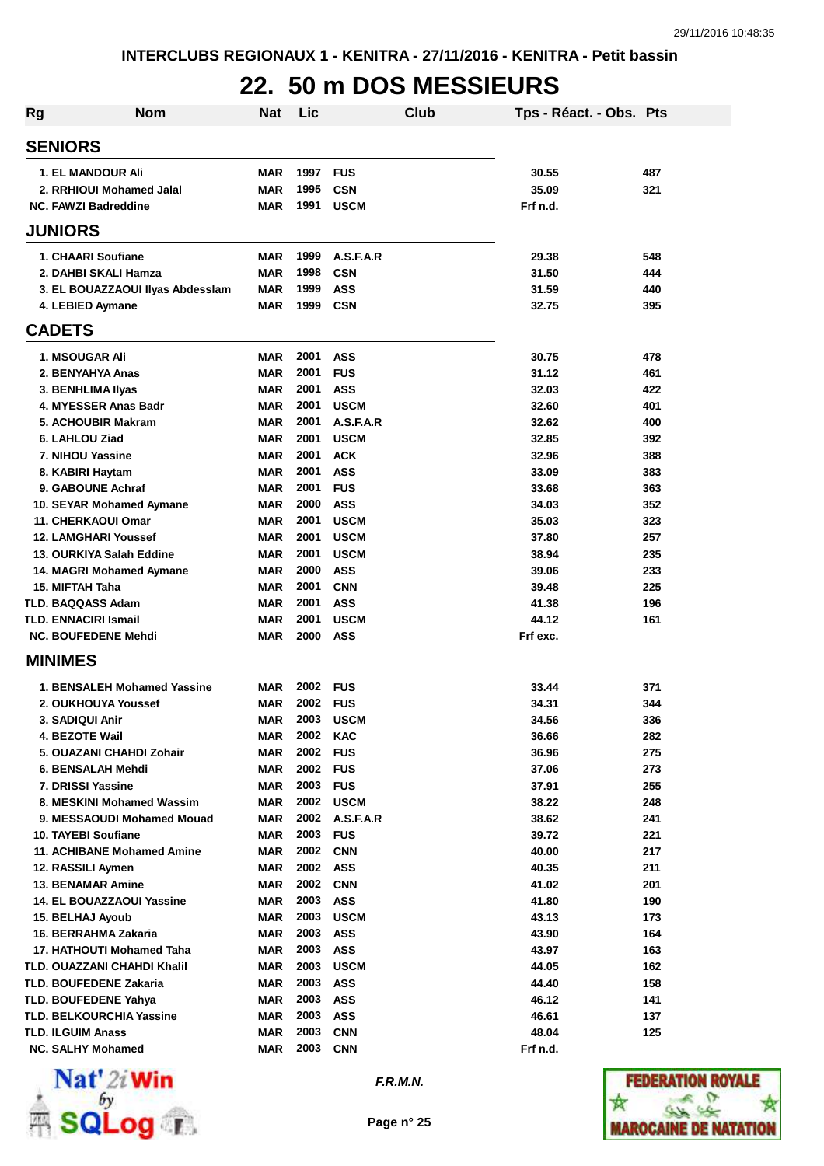## **22. 50 m DOS MESSIEURS**

| Rg | <b>Nom</b>                                           | <b>Nat</b>               | Lic              |                           | Club | Tps - Réact. - Obs. Pts |            |
|----|------------------------------------------------------|--------------------------|------------------|---------------------------|------|-------------------------|------------|
|    | <b>SENIORS</b>                                       |                          |                  |                           |      |                         |            |
|    | <b>1. EL MANDOUR Ali</b>                             | <b>MAR</b>               | 1997             | <b>FUS</b>                |      | 30.55                   | 487        |
|    | 2. RRHIOUI Mohamed Jalal                             | <b>MAR</b>               | 1995             | <b>CSN</b>                |      | 35.09                   | 321        |
|    | <b>NC. FAWZI Badreddine</b>                          | <b>MAR</b>               | 1991             | <b>USCM</b>               |      | Frf n.d.                |            |
|    | <b>JUNIORS</b>                                       |                          |                  |                           |      |                         |            |
|    | 1. CHAARI Soufiane                                   | <b>MAR</b>               | 1999             | A.S.F.A.R                 |      | 29.38                   | 548        |
|    | 2. DAHBI SKALI Hamza                                 | <b>MAR</b>               | 1998             | <b>CSN</b>                |      | 31.50                   | 444        |
|    | 3. EL BOUAZZAOUI Ilyas Abdesslam                     | <b>MAR</b>               | 1999             | <b>ASS</b>                |      | 31.59                   | 440        |
|    | 4. LEBIED Aymane                                     | <b>MAR</b>               | 1999             | <b>CSN</b>                |      | 32.75                   | 395        |
|    | <b>CADETS</b>                                        |                          |                  |                           |      |                         |            |
|    | 1. MSOUGAR Ali                                       | <b>MAR</b>               | 2001             | <b>ASS</b>                |      | 30.75                   | 478        |
|    | 2. BENYAHYA Anas                                     | <b>MAR</b>               | 2001             | <b>FUS</b>                |      | 31.12                   | 461        |
|    | 3. BENHLIMA IIyas                                    | <b>MAR</b>               | 2001             | <b>ASS</b>                |      | 32.03                   | 422        |
|    | 4. MYESSER Anas Badr                                 | <b>MAR</b>               | 2001             | <b>USCM</b>               |      | 32.60                   | 401        |
|    | 5. ACHOUBIR Makram                                   | <b>MAR</b>               | 2001             | A.S.F.A.R                 |      | 32.62                   | 400        |
|    | 6. LAHLOU Ziad<br>7. NIHOU Yassine                   | <b>MAR</b><br><b>MAR</b> | 2001<br>2001     | <b>USCM</b><br><b>ACK</b> |      | 32.85<br>32.96          | 392<br>388 |
|    | 8. KABIRI Haytam                                     | <b>MAR</b>               | 2001             | <b>ASS</b>                |      | 33.09                   | 383        |
|    | 9. GABOUNE Achraf                                    | <b>MAR</b>               | 2001             | <b>FUS</b>                |      | 33.68                   | 363        |
|    | 10. SEYAR Mohamed Aymane                             | <b>MAR</b>               | 2000             | <b>ASS</b>                |      | 34.03                   | 352        |
|    | 11. CHERKAOUI Omar                                   | <b>MAR</b>               | 2001             | <b>USCM</b>               |      | 35.03                   | 323        |
|    | <b>12. LAMGHARI Youssef</b>                          | <b>MAR</b>               | 2001             | <b>USCM</b>               |      | 37.80                   | 257        |
|    | 13. OURKIYA Salah Eddine                             | <b>MAR</b>               | 2001             | <b>USCM</b>               |      | 38.94                   | 235        |
|    | 14. MAGRI Mohamed Aymane                             | <b>MAR</b>               | 2000             | <b>ASS</b>                |      | 39.06                   | 233        |
|    | 15. MIFTAH Taha                                      | <b>MAR</b>               | 2001             | <b>CNN</b>                |      | 39.48                   | 225        |
|    | <b>TLD. BAQQASS Adam</b>                             | <b>MAR</b>               | 2001             | <b>ASS</b>                |      | 41.38                   | 196        |
|    | <b>TLD. ENNACIRI Ismail</b>                          | <b>MAR</b>               | 2001             | <b>USCM</b>               |      | 44.12                   | 161        |
|    | <b>NC. BOUFEDENE Mehdi</b>                           | <b>MAR</b>               | 2000             | <b>ASS</b>                |      | Frf exc.                |            |
|    | <b>MINIMES</b>                                       |                          |                  |                           |      |                         |            |
|    | 1. BENSALEH Mohamed Yassine                          | <b>MAR</b>               | 2002             | <b>FUS</b>                |      | 33.44                   | 371        |
|    | 2. OUKHOUYA Youssef                                  | <b>MAR</b>               | 2002             | <b>FUS</b>                |      | 34.31                   | 344        |
|    | <b>3. SADIQUI Anir</b>                               | <b>MAR</b>               | 2003             | <b>USCM</b>               |      | 34.56                   | 336        |
|    | 4. BEZOTE Wail                                       | MAR                      | 2002             | <b>KAC</b>                |      | 36.66                   | 282        |
|    | 5. OUAZANI CHAHDI Zohair                             | <b>MAR</b>               | 2002             | <b>FUS</b>                |      | 36.96                   | 275        |
|    | 6. BENSALAH Mehdi                                    | <b>MAR</b>               | 2002 FUS<br>2003 |                           |      | 37.06                   | 273        |
|    | 7. DRISSI Yassine<br>8. MESKINI Mohamed Wassim       | <b>MAR</b><br><b>MAR</b> | 2002             | <b>FUS</b><br><b>USCM</b> |      | 37.91<br>38.22          | 255<br>248 |
|    | 9. MESSAOUDI Mohamed Mouad                           | <b>MAR</b>               | 2002             | A.S.F.A.R                 |      | 38.62                   | 241        |
|    | 10. TAYEBI Soufiane                                  | <b>MAR</b>               | 2003             | <b>FUS</b>                |      | 39.72                   | 221        |
|    | 11. ACHIBANE Mohamed Amine                           | <b>MAR</b>               | 2002             | <b>CNN</b>                |      | 40.00                   | 217        |
|    | 12. RASSILI Aymen                                    | <b>MAR</b>               | 2002             | <b>ASS</b>                |      | 40.35                   | 211        |
|    | <b>13. BENAMAR Amine</b>                             | <b>MAR</b>               | 2002             | <b>CNN</b>                |      | 41.02                   | 201        |
|    | <b>14. EL BOUAZZAOUI Yassine</b>                     | <b>MAR</b>               | 2003             | <b>ASS</b>                |      | 41.80                   | 190        |
|    | 15. BELHAJ Ayoub                                     | <b>MAR</b>               | 2003             | <b>USCM</b>               |      | 43.13                   | 173        |
|    | 16. BERRAHMA Zakaria                                 | <b>MAR</b>               | 2003             | <b>ASS</b>                |      | 43.90                   | 164        |
|    | 17. HATHOUTI Mohamed Taha                            | <b>MAR</b>               | 2003             | <b>ASS</b>                |      | 43.97                   | 163        |
|    | TLD. OUAZZANI CHAHDI Khalil                          | <b>MAR</b>               | 2003             | <b>USCM</b>               |      | 44.05                   | 162        |
|    | <b>TLD. BOUFEDENE Zakaria</b>                        | <b>MAR</b>               | 2003             | <b>ASS</b>                |      | 44.40                   | 158        |
|    | <b>TLD. BOUFEDENE Yahya</b>                          | <b>MAR</b>               | 2003             | <b>ASS</b>                |      | 46.12                   | 141        |
|    | TLD. BELKOURCHIA Yassine                             | MAR                      | 2003<br>2003     | <b>ASS</b>                |      | 46.61                   | 137        |
|    | <b>TLD. ILGUIM Anass</b><br><b>NC. SALHY Mohamed</b> | <b>MAR</b><br><b>MAR</b> | 2003             | <b>CNN</b><br><b>CNN</b>  |      | 48.04<br>Frf n.d.       | 125        |
|    |                                                      |                          |                  |                           |      |                         |            |



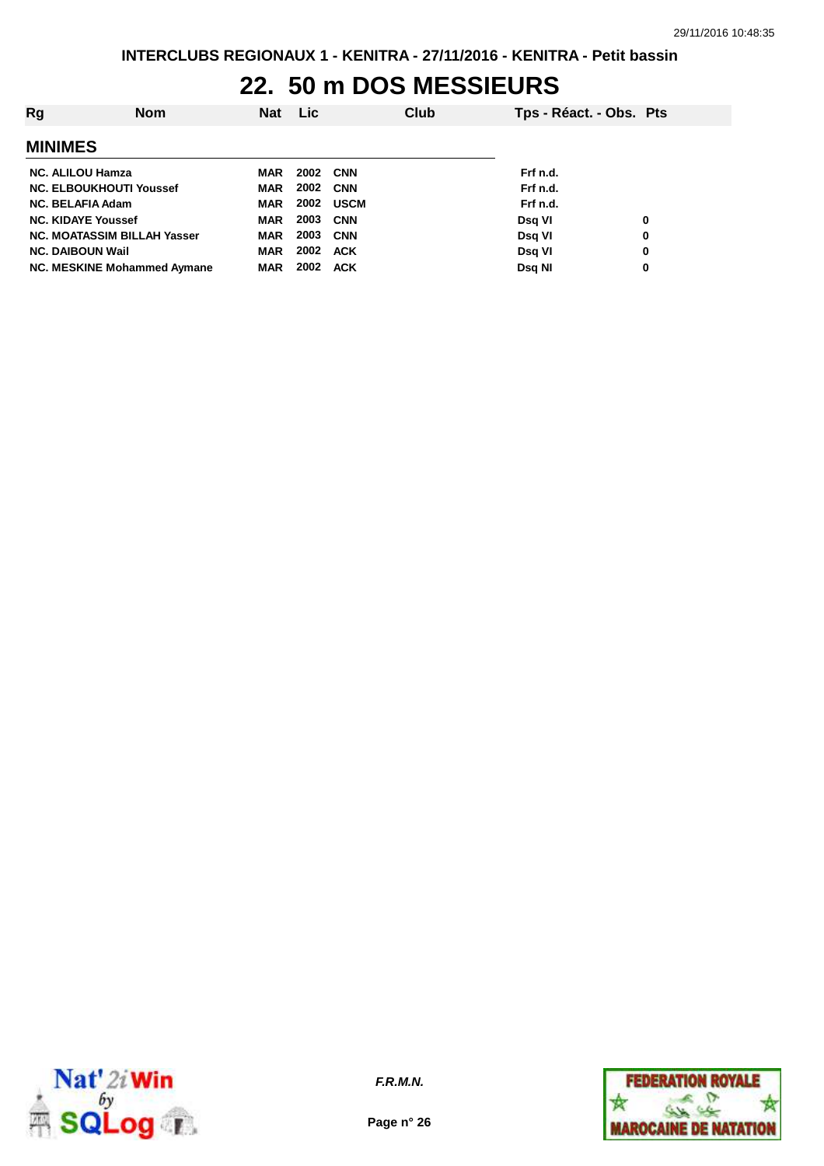### **22. 50 m DOS MESSIEURS**

| Rg                                 | <b>Nom</b> | <b>Nat</b> | Lic  |            | Club | Tps - Réact. - Obs. Pts |   |
|------------------------------------|------------|------------|------|------------|------|-------------------------|---|
| <b>MINIMES</b>                     |            |            |      |            |      |                         |   |
| <b>NC. ALILOU Hamza</b>            |            | MAR        |      | 2002 CNN   |      | Frf n.d.                |   |
| <b>NC. ELBOUKHOUTI Youssef</b>     |            | <b>MAR</b> | 2002 | <b>CNN</b> |      | Frf n.d.                |   |
| <b>NC. BELAFIA Adam</b>            |            | MAR        | 2002 | USCM       |      | Frf n.d.                |   |
| <b>NC. KIDAYE Youssef</b>          |            | <b>MAR</b> | 2003 | <b>CNN</b> |      | Dsg VI                  | 0 |
| <b>NC. MOATASSIM BILLAH Yasser</b> |            | <b>MAR</b> | 2003 | CNN        |      | Dsg VI                  | 0 |
| <b>NC. DAIBOUN Wail</b>            |            | MAR        | 2002 | <b>ACK</b> |      | Dsg VI                  | 0 |
| NC. MESKINE Mohammed Aymane        |            | <b>MAR</b> | 2002 | <b>ACK</b> |      | Dsg NI                  | 0 |



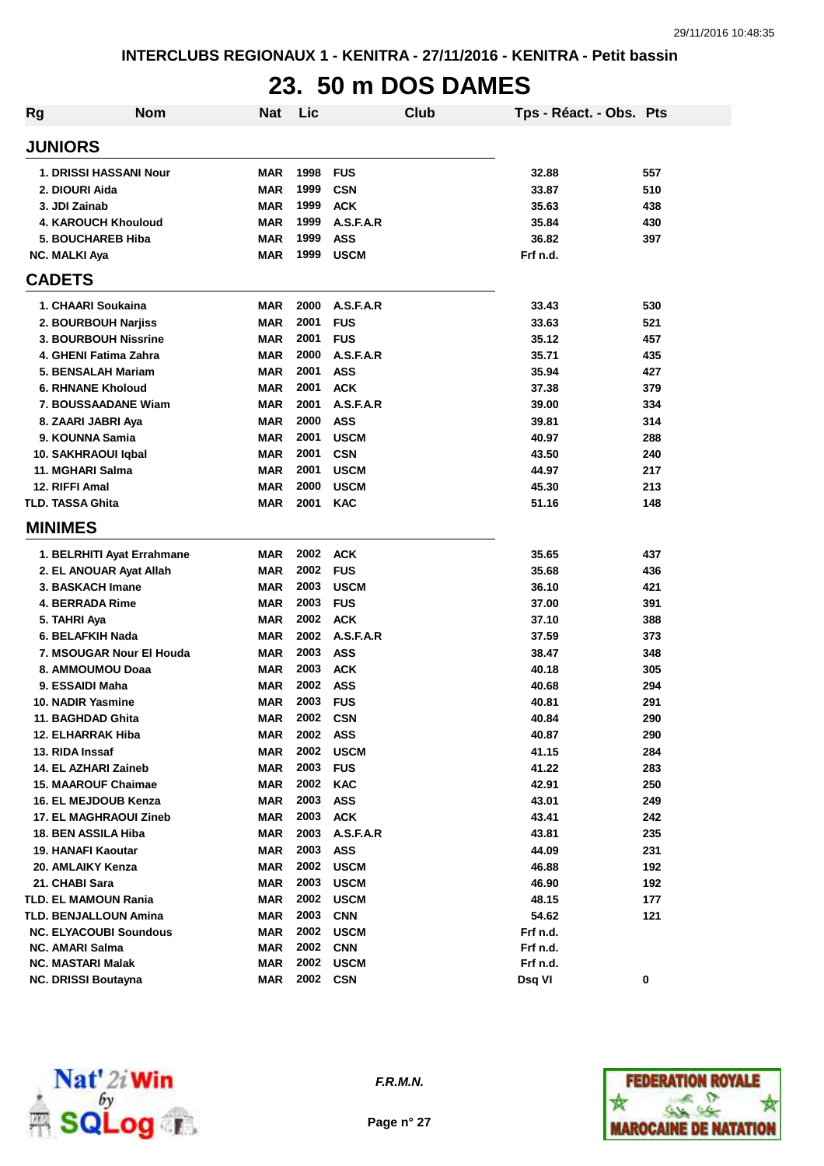## **23. 50 m DOS DAMES**

| <b>Rg</b> | <b>Nom</b>                    | Nat        | Lic  |             | Club | Tps - Réact. - Obs. Pts |     |
|-----------|-------------------------------|------------|------|-------------|------|-------------------------|-----|
|           | <b>JUNIORS</b>                |            |      |             |      |                         |     |
|           | 1. DRISSI HASSANI Nour        | MAR        | 1998 | <b>FUS</b>  |      | 32.88                   | 557 |
|           | 2. DIOURI Aida                | <b>MAR</b> | 1999 | <b>CSN</b>  |      | 33.87                   | 510 |
|           | 3. JDI Zainab                 | <b>MAR</b> | 1999 | <b>ACK</b>  |      | 35.63                   | 438 |
|           | 4. KAROUCH Khouloud           | <b>MAR</b> | 1999 | A.S.F.A.R   |      | 35.84                   | 430 |
|           | 5. BOUCHAREB Hiba             | <b>MAR</b> | 1999 | <b>ASS</b>  |      | 36.82                   | 397 |
|           | <b>NC. MALKI Aya</b>          | MAR        | 1999 | <b>USCM</b> |      | Frf n.d.                |     |
|           | <b>CADETS</b>                 |            |      |             |      |                         |     |
|           | 1. CHAARI Soukaina            | MAR        | 2000 | A.S.F.A.R   |      | 33.43                   | 530 |
|           | 2. BOURBOUH Narjiss           | <b>MAR</b> | 2001 | <b>FUS</b>  |      | 33.63                   | 521 |
|           | <b>3. BOURBOUH Nissrine</b>   | <b>MAR</b> | 2001 | <b>FUS</b>  |      | 35.12                   | 457 |
|           | 4. GHENI Fatima Zahra         | <b>MAR</b> | 2000 | A.S.F.A.R   |      | 35.71                   | 435 |
|           | 5. BENSALAH Mariam            | <b>MAR</b> | 2001 | <b>ASS</b>  |      | 35.94                   | 427 |
|           | <b>6. RHNANE Kholoud</b>      | <b>MAR</b> | 2001 | <b>ACK</b>  |      | 37.38                   | 379 |
|           | 7. BOUSSAADANE Wiam           | MAR        | 2001 | A.S.F.A.R   |      | 39.00                   | 334 |
|           | 8. ZAARI JABRI Aya            | MAR        | 2000 | <b>ASS</b>  |      | 39.81                   | 314 |
|           | 9. KOUNNA Samia               | MAR        | 2001 | <b>USCM</b> |      | 40.97                   | 288 |
|           | 10. SAKHRAOUI Iqbal           | <b>MAR</b> | 2001 | <b>CSN</b>  |      | 43.50                   | 240 |
|           | 11. MGHARI Salma              | <b>MAR</b> | 2001 | <b>USCM</b> |      | 44.97                   | 217 |
|           | 12. RIFFI Amal                | <b>MAR</b> | 2000 | <b>USCM</b> |      | 45.30                   | 213 |
|           | <b>TLD. TASSA Ghita</b>       | <b>MAR</b> | 2001 | <b>KAC</b>  |      | 51.16                   | 148 |
|           | <b>MINIMES</b>                |            |      |             |      |                         |     |
|           | 1. BELRHITI Ayat Errahmane    | MAR        | 2002 | <b>ACK</b>  |      | 35.65                   | 437 |
|           | 2. EL ANOUAR Ayat Allah       | MAR        | 2002 | <b>FUS</b>  |      | 35.68                   | 436 |
|           | 3. BASKACH Imane              | MAR        | 2003 | <b>USCM</b> |      | 36.10                   | 421 |
|           | <b>4. BERRADA Rime</b>        | <b>MAR</b> | 2003 | <b>FUS</b>  |      | 37.00                   | 391 |
|           | 5. TAHRI Aya                  | <b>MAR</b> | 2002 | <b>ACK</b>  |      | 37.10                   | 388 |
|           | 6. BELAFKIH Nada              | <b>MAR</b> | 2002 | A.S.F.A.R   |      | 37.59                   | 373 |
|           | 7. MSOUGAR Nour El Houda      | <b>MAR</b> | 2003 | <b>ASS</b>  |      | 38.47                   | 348 |
|           | 8. AMMOUMOU Doaa              | <b>MAR</b> | 2003 | <b>ACK</b>  |      | 40.18                   | 305 |
|           | 9. ESSAIDI Maha               | <b>MAR</b> | 2002 | <b>ASS</b>  |      | 40.68                   | 294 |
|           | 10. NADIR Yasmine             | MAR        | 2003 | <b>FUS</b>  |      | 40.81                   | 291 |
|           | 11. BAGHDAD Ghita             | <b>MAR</b> | 2002 | <b>CSN</b>  |      | 40.84                   | 290 |
|           | 12. ELHARRAK Hiba             | MAR        | 2002 | ASS         |      | 40.87                   | 290 |
|           | 13. RIDA Inssaf               | <b>MAR</b> | 2002 | <b>USCM</b> |      | 41.15                   | 284 |
|           | 14. EL AZHARI Zaineb          | <b>MAR</b> | 2003 | <b>FUS</b>  |      | 41.22                   | 283 |
|           | <b>15. MAAROUF Chaimae</b>    | <b>MAR</b> | 2002 | <b>KAC</b>  |      | 42.91                   | 250 |
|           | 16. EL MEJDOUB Kenza          | <b>MAR</b> | 2003 | <b>ASS</b>  |      | 43.01                   | 249 |
|           | 17. EL MAGHRAOUI Zineb        | <b>MAR</b> | 2003 | <b>ACK</b>  |      | 43.41                   | 242 |
|           | 18. BEN ASSILA Hiba           | <b>MAR</b> | 2003 | A.S.F.A.R   |      | 43.81                   | 235 |
|           | 19. HANAFI Kaoutar            | <b>MAR</b> | 2003 | <b>ASS</b>  |      | 44.09                   | 231 |
|           | 20. AMLAIKY Kenza             | <b>MAR</b> | 2002 | <b>USCM</b> |      | 46.88                   | 192 |
|           | 21. CHABI Sara                | <b>MAR</b> | 2003 | <b>USCM</b> |      | 46.90                   | 192 |
|           | <b>TLD. EL MAMOUN Rania</b>   | <b>MAR</b> | 2002 | <b>USCM</b> |      | 48.15                   | 177 |
|           | TLD. BENJALLOUN Amina         | <b>MAR</b> | 2003 | <b>CNN</b>  |      | 54.62                   | 121 |
|           | <b>NC. ELYACOUBI Soundous</b> | MAR        | 2002 | <b>USCM</b> |      | Frf n.d.                |     |
|           | <b>NC. AMARI Salma</b>        | <b>MAR</b> | 2002 | <b>CNN</b>  |      | Frf n.d.                |     |
|           | <b>NC. MASTARI Malak</b>      | <b>MAR</b> | 2002 | <b>USCM</b> |      | Frf n.d.                |     |
|           | <b>NC. DRISSI Boutayna</b>    | <b>MAR</b> | 2002 | <b>CSN</b>  |      | Dsq VI                  | 0   |



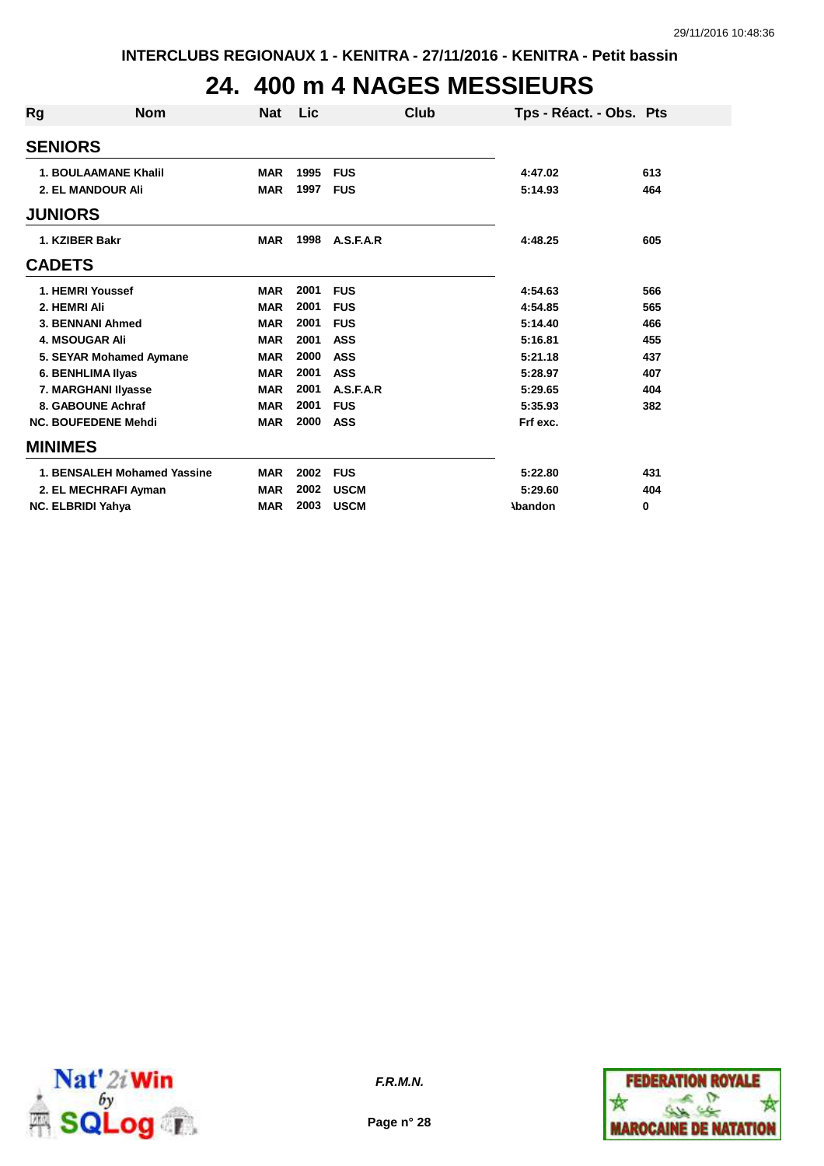## **24. 400 m 4 NAGES MESSIEURS**

| Rg             | <b>Nom</b>                  | <b>Nat</b> | Lic  |             | Club | Tps - Réact. - Obs. Pts |     |
|----------------|-----------------------------|------------|------|-------------|------|-------------------------|-----|
| <b>SENIORS</b> |                             |            |      |             |      |                         |     |
|                | <b>1. BOULAAMANE Khalil</b> | <b>MAR</b> | 1995 | <b>FUS</b>  |      | 4:47.02                 | 613 |
|                | <b>2. EL MANDOUR Ali</b>    | <b>MAR</b> | 1997 | <b>FUS</b>  |      | 5:14.93                 | 464 |
| <b>JUNIORS</b> |                             |            |      |             |      |                         |     |
|                | 1. KZIBER Bakr              | <b>MAR</b> | 1998 | A.S.F.A.R   |      | 4:48.25                 | 605 |
| <b>CADETS</b>  |                             |            |      |             |      |                         |     |
|                | 1. HEMRI Youssef            | <b>MAR</b> | 2001 | <b>FUS</b>  |      | 4:54.63                 | 566 |
|                | 2. HEMRI Ali                | <b>MAR</b> | 2001 | <b>FUS</b>  |      | 4:54.85                 | 565 |
|                | 3. BENNANI Ahmed            | <b>MAR</b> | 2001 | <b>FUS</b>  |      | 5:14.40                 | 466 |
|                | <b>4. MSOUGAR Ali</b>       | <b>MAR</b> | 2001 | <b>ASS</b>  |      | 5:16.81                 | 455 |
|                | 5. SEYAR Mohamed Aymane     | <b>MAR</b> | 2000 | <b>ASS</b>  |      | 5:21.18                 | 437 |
|                | 6. BENHLIMA IIyas           | <b>MAR</b> | 2001 | <b>ASS</b>  |      | 5:28.97                 | 407 |
|                | 7. MARGHANI Ilyasse         | <b>MAR</b> | 2001 | A.S.F.A.R   |      | 5:29.65                 | 404 |
|                | 8. GABOUNE Achraf           | <b>MAR</b> | 2001 | <b>FUS</b>  |      | 5:35.93                 | 382 |
|                | <b>NC. BOUFEDENE Mehdi</b>  | <b>MAR</b> | 2000 | <b>ASS</b>  |      | Frf exc.                |     |
| <b>MINIMES</b> |                             |            |      |             |      |                         |     |
|                | 1. BENSALEH Mohamed Yassine | <b>MAR</b> | 2002 | <b>FUS</b>  |      | 5:22.80                 | 431 |
|                | 2. EL MECHRAFI Ayman        | <b>MAR</b> | 2002 | <b>USCM</b> |      | 5:29.60                 | 404 |
|                | <b>NC. ELBRIDI Yahya</b>    | <b>MAR</b> | 2003 | <b>USCM</b> |      | <b>\bandon</b>          | 0   |



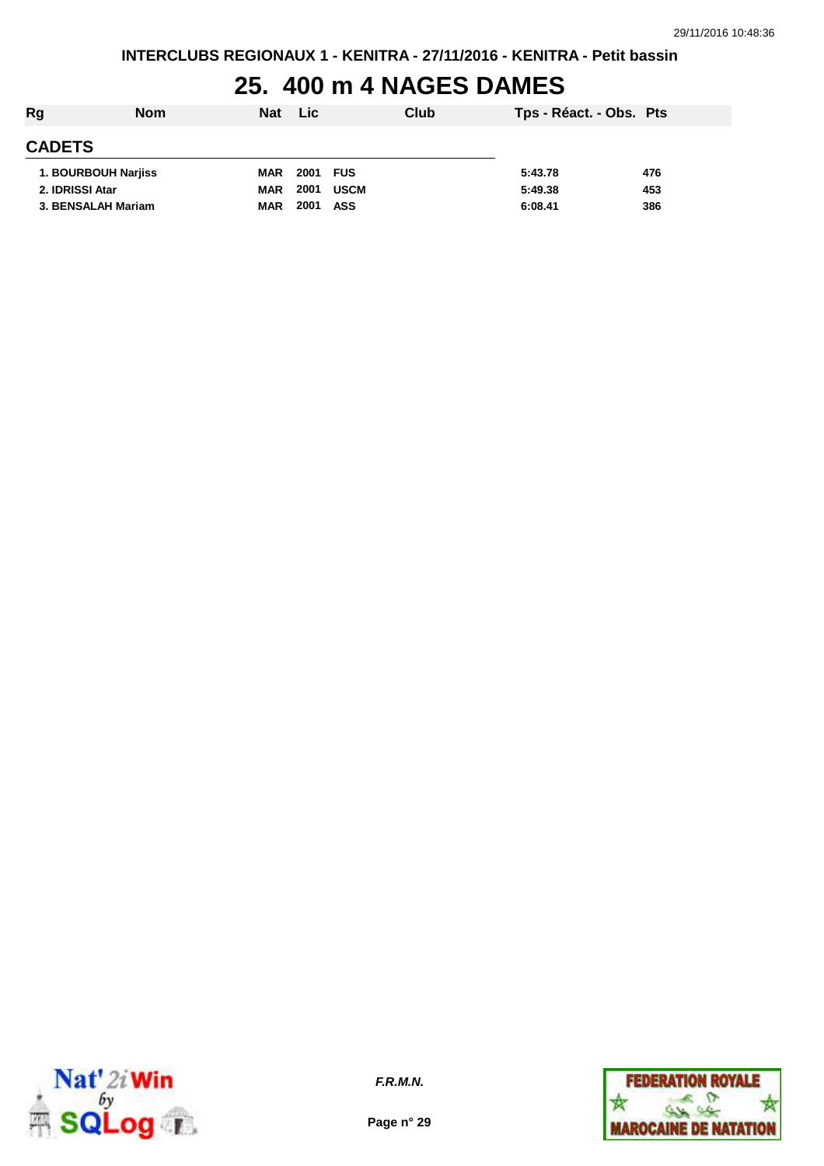## **25. 400 m 4 NAGES DAMES**

| Rg                  | <b>Nom</b> | <b>Nat</b> | <b>Lic</b> | Club        | Tps - Réact. - Obs. Pts |     |
|---------------------|------------|------------|------------|-------------|-------------------------|-----|
| <b>CADETS</b>       |            |            |            |             |                         |     |
| 1. BOURBOUH Narjiss |            | <b>MAR</b> | 2001 FUS   |             | 5:43.78                 | 476 |
| 2. IDRISSI Atar     |            | <b>MAR</b> | 2001       | <b>USCM</b> | 5:49.38                 | 453 |
| 3. BENSALAH Mariam  |            | <b>MAR</b> | 2001       | ASS         | 6:08.41                 | 386 |



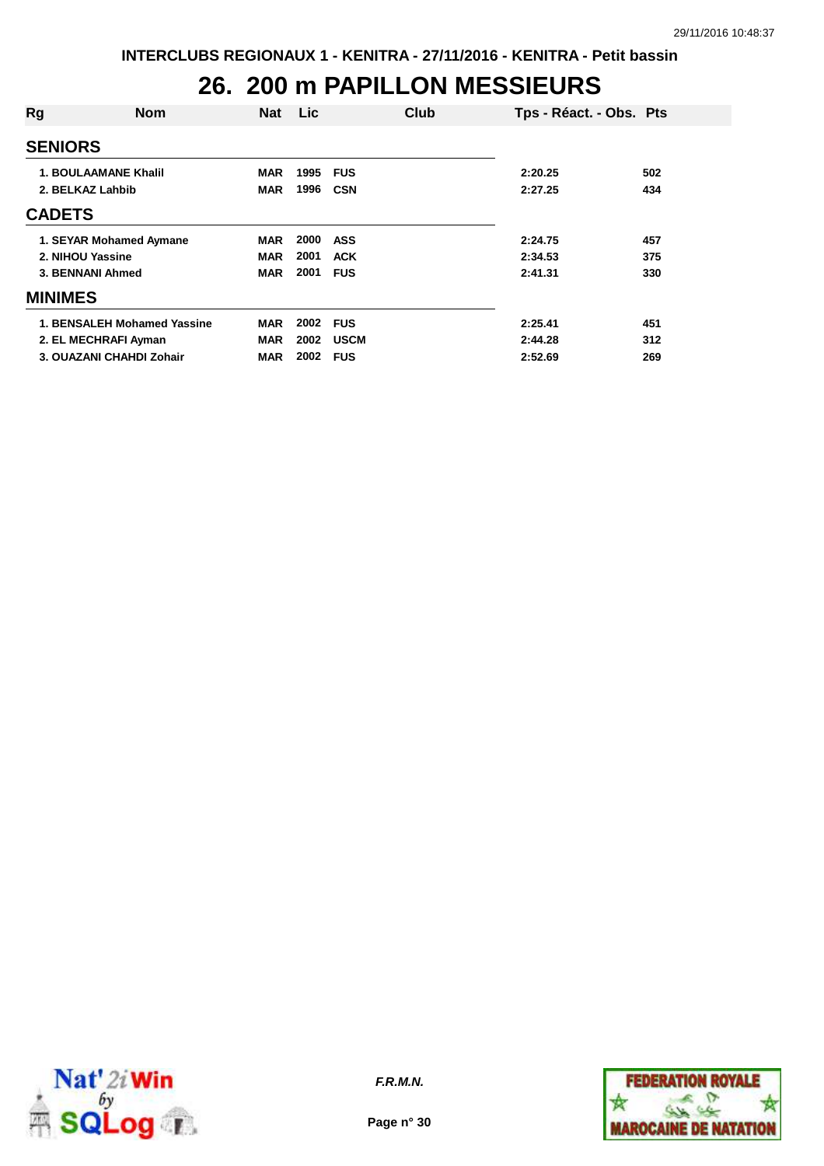### **26. 200 m PAPILLON MESSIEURS**

| Rg                          | <b>Nom</b>                  | <b>Nat</b> | <b>Lic</b> | Club        | Tps - Réact. - Obs. Pts |     |
|-----------------------------|-----------------------------|------------|------------|-------------|-------------------------|-----|
| <b>SENIORS</b>              |                             |            |            |             |                         |     |
| <b>1. BOULAAMANE Khalil</b> |                             | <b>MAR</b> | 1995       | <b>FUS</b>  | 2:20.25                 | 502 |
| 2. BELKAZ Lahbib            |                             | <b>MAR</b> | 1996       | <b>CSN</b>  | 2:27.25                 | 434 |
| <b>CADETS</b>               |                             |            |            |             |                         |     |
|                             | 1. SEYAR Mohamed Aymane     | <b>MAR</b> | 2000       | <b>ASS</b>  | 2:24.75                 | 457 |
| 2. NIHOU Yassine            |                             | <b>MAR</b> | 2001       | <b>ACK</b>  | 2:34.53                 | 375 |
| 3. BENNANI Ahmed            |                             | <b>MAR</b> | 2001       | <b>FUS</b>  | 2:41.31                 | 330 |
| <b>MINIMES</b>              |                             |            |            |             |                         |     |
|                             | 1. BENSALEH Mohamed Yassine | <b>MAR</b> | 2002       | <b>FUS</b>  | 2:25.41                 | 451 |
| 2. EL MECHRAFI Ayman        |                             | <b>MAR</b> | 2002       | <b>USCM</b> | 2:44.28                 | 312 |
|                             | 3. OUAZANI CHAHDI Zohair    | <b>MAR</b> | 2002       | <b>FUS</b>  | 2:52.69                 | 269 |



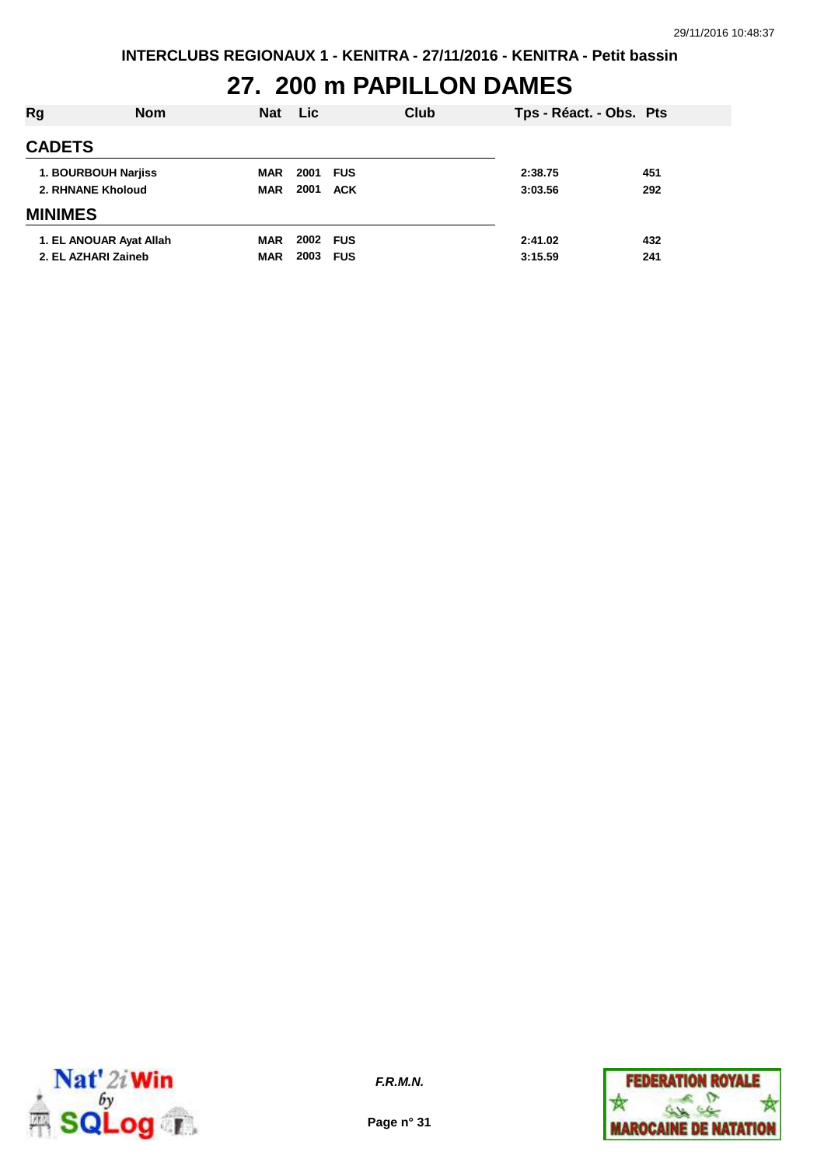## **27. 200 m PAPILLON DAMES**

| Rg                | <b>Nom</b>              | <b>Nat</b> | <b>Lic</b> | Club |         | Tps - Réact. - Obs. Pts |
|-------------------|-------------------------|------------|------------|------|---------|-------------------------|
| <b>CADETS</b>     |                         |            |            |      |         |                         |
|                   | 1. BOURBOUH Narjiss     | <b>MAR</b> | 2001 FUS   |      | 2:38.75 | 451                     |
| 2. RHNANE Kholoud |                         | <b>MAR</b> | 2001       | ACK  | 3:03.56 | 292                     |
| <b>MINIMES</b>    |                         |            |            |      |         |                         |
|                   | 1. EL ANOUAR Ayat Allah | <b>MAR</b> | 2002 FUS   |      | 2:41.02 | 432                     |
|                   | 2. EL AZHARI Zaineb     | <b>MAR</b> | 2003 FUS   |      | 3:15.59 | 241                     |
|                   |                         |            |            |      |         |                         |



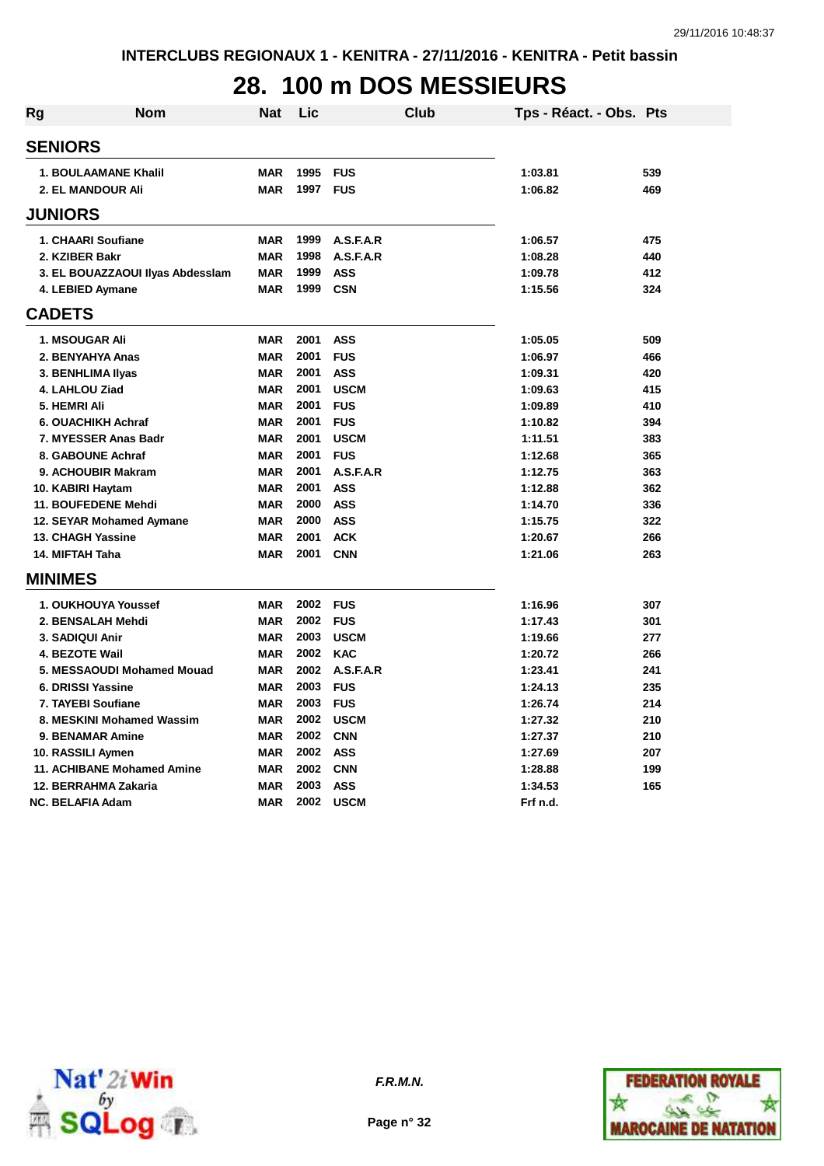# **28. 100 m DOS MESSIEURS**

| Rg             | Nom                               | <b>Nat</b> | Lic      | Club        |          | Tps - Réact. - Obs. Pts |
|----------------|-----------------------------------|------------|----------|-------------|----------|-------------------------|
|                | <b>SENIORS</b>                    |            |          |             |          |                         |
|                | <b>1. BOULAAMANE Khalil</b>       | <b>MAR</b> | 1995 FUS |             | 1:03.81  | 539                     |
|                | <b>2. EL MANDOUR Ali</b>          | <b>MAR</b> | 1997 FUS |             | 1:06.82  | 469                     |
|                | <b>JUNIORS</b>                    |            |          |             |          |                         |
|                | 1. CHAARI Soufiane                | <b>MAR</b> | 1999     | A.S.F.A.R   | 1:06.57  | 475                     |
|                | 2. KZIBER Bakr                    | <b>MAR</b> | 1998     | A.S.F.A.R   | 1:08.28  | 440                     |
|                | 3. EL BOUAZZAOUI Ilyas Abdesslam  | <b>MAR</b> | 1999     | <b>ASS</b>  | 1:09.78  | 412                     |
|                | 4. LEBIED Aymane                  | <b>MAR</b> | 1999     | <b>CSN</b>  | 1:15.56  | 324                     |
| <b>CADETS</b>  |                                   |            |          |             |          |                         |
|                | <b>1. MSOUGAR Ali</b>             | <b>MAR</b> | 2001     | <b>ASS</b>  | 1:05.05  | 509                     |
|                | 2. BENYAHYA Anas                  | <b>MAR</b> | 2001     | <b>FUS</b>  | 1:06.97  | 466                     |
|                | 3. BENHLIMA IIyas                 | <b>MAR</b> | 2001     | <b>ASS</b>  | 1:09.31  | 420                     |
|                | 4. LAHLOU Ziad                    | <b>MAR</b> | 2001     | <b>USCM</b> | 1:09.63  | 415                     |
|                | 5. HEMRI Ali                      | <b>MAR</b> | 2001     | <b>FUS</b>  | 1:09.89  | 410                     |
|                | 6. OUACHIKH Achraf                | <b>MAR</b> | 2001     | <b>FUS</b>  | 1:10.82  | 394                     |
|                | 7. MYESSER Anas Badr              | <b>MAR</b> | 2001     | <b>USCM</b> | 1:11.51  | 383                     |
|                | 8. GABOUNE Achraf                 | <b>MAR</b> | 2001     | <b>FUS</b>  | 1:12.68  | 365                     |
|                | 9. ACHOUBIR Makram                | <b>MAR</b> | 2001     | A.S.F.A.R   | 1:12.75  | 363                     |
|                | 10. KABIRI Haytam                 | <b>MAR</b> | 2001     | <b>ASS</b>  | 1:12.88  | 362                     |
|                | 11. BOUFEDENE Mehdi               | <b>MAR</b> | 2000     | <b>ASS</b>  | 1:14.70  | 336                     |
|                | 12. SEYAR Mohamed Aymane          | <b>MAR</b> | 2000     | <b>ASS</b>  | 1:15.75  | 322                     |
|                | <b>13. CHAGH Yassine</b>          | <b>MAR</b> | 2001     | <b>ACK</b>  | 1:20.67  | 266                     |
|                | 14. MIFTAH Taha                   | <b>MAR</b> | 2001     | <b>CNN</b>  | 1:21.06  | 263                     |
| <b>MINIMES</b> |                                   |            |          |             |          |                         |
|                | 1. OUKHOUYA Youssef               | <b>MAR</b> | 2002 FUS |             | 1:16.96  | 307                     |
|                | 2. BENSALAH Mehdi                 | <b>MAR</b> | 2002 FUS |             | 1:17.43  | 301                     |
|                | 3. SADIQUI Anir                   | <b>MAR</b> | 2003     | <b>USCM</b> | 1:19.66  | 277                     |
|                | <b>4. BEZOTE Wail</b>             | <b>MAR</b> | 2002     | <b>KAC</b>  | 1:20.72  | 266                     |
|                | 5. MESSAOUDI Mohamed Mouad        | <b>MAR</b> | 2002     | A.S.F.A.R   | 1:23.41  | 241                     |
|                | 6. DRISSI Yassine                 | <b>MAR</b> | 2003 FUS |             | 1:24.13  | 235                     |
|                | 7. TAYEBI Soufiane                | <b>MAR</b> | 2003     | <b>FUS</b>  | 1:26.74  | 214                     |
|                | 8. MESKINI Mohamed Wassim         | <b>MAR</b> |          | 2002 USCM   | 1:27.32  | 210                     |
|                | <b>9. BENAMAR Amine</b>           | <b>MAR</b> | 2002 CNN |             | 1:27.37  | 210                     |
|                | 10. RASSILI Aymen                 | <b>MAR</b> | 2002 ASS |             | 1:27.69  | 207                     |
|                | <b>11. ACHIBANE Mohamed Amine</b> | <b>MAR</b> | 2002     | CNN         | 1:28.88  | 199                     |
|                | 12. BERRAHMA Zakaria              | <b>MAR</b> | 2003     | <b>ASS</b>  | 1:34.53  | 165                     |
|                | <b>NC. BELAFIA Adam</b>           | <b>MAR</b> | 2002     | <b>USCM</b> | Frf n.d. |                         |



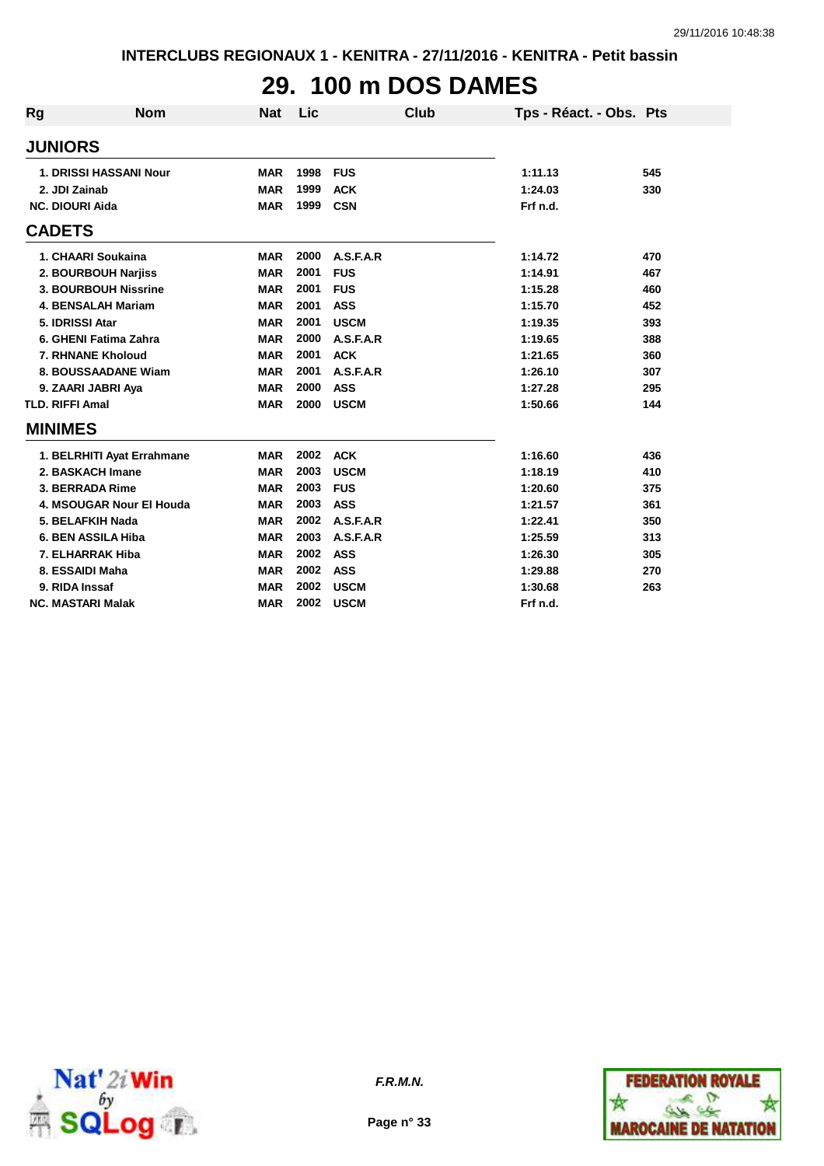## **29. 100 m DOS DAMES**

| <b>Rg</b>                | <b>Nom</b>                    | Nat        | <b>Lic</b> | <b>Club</b> | Tps - Réact. - Obs. Pts |     |
|--------------------------|-------------------------------|------------|------------|-------------|-------------------------|-----|
| <b>JUNIORS</b>           |                               |            |            |             |                         |     |
|                          | <b>1. DRISSI HASSANI Nour</b> | <b>MAR</b> | 1998       | <b>FUS</b>  | 1:11.13                 | 545 |
| 2. JDI Zainab            |                               | <b>MAR</b> | 1999       | <b>ACK</b>  | 1:24.03                 | 330 |
| <b>NC. DIOURI Aida</b>   |                               | <b>MAR</b> | 1999       | <b>CSN</b>  | Frf n.d.                |     |
| <b>CADETS</b>            |                               |            |            |             |                         |     |
| 1. CHAARI Soukaina       |                               | <b>MAR</b> | 2000       | A.S.F.A.R   | 1:14.72                 | 470 |
|                          | 2. BOURBOUH Narjiss           | <b>MAR</b> | 2001       | <b>FUS</b>  | 1:14.91                 | 467 |
|                          | 3. BOURBOUH Nissrine          | <b>MAR</b> | 2001       | <b>FUS</b>  | 1:15.28                 | 460 |
|                          | <b>4. BENSALAH Mariam</b>     | <b>MAR</b> | 2001       | <b>ASS</b>  | 1:15.70                 | 452 |
| 5. IDRISSI Atar          |                               | <b>MAR</b> | 2001       | <b>USCM</b> | 1:19.35                 | 393 |
|                          | 6. GHENI Fatima Zahra         | <b>MAR</b> | 2000       | A.S.F.A.R   | 1:19.65                 | 388 |
| 7. RHNANE Kholoud        |                               | <b>MAR</b> | 2001       | <b>ACK</b>  | 1:21.65                 | 360 |
|                          | 8. BOUSSAADANE Wiam           | <b>MAR</b> | 2001       | A.S.F.A.R   | 1:26.10                 | 307 |
| 9. ZAARI JABRI Aya       |                               | <b>MAR</b> | 2000       | <b>ASS</b>  | 1:27.28                 | 295 |
| <b>TLD. RIFFI Amal</b>   |                               | <b>MAR</b> | 2000       | <b>USCM</b> | 1:50.66                 | 144 |
| <b>MINIMES</b>           |                               |            |            |             |                         |     |
|                          | 1. BELRHITI Ayat Errahmane    | <b>MAR</b> | 2002       | <b>ACK</b>  | 1:16.60                 | 436 |
| 2. BASKACH Imane         |                               | <b>MAR</b> | 2003       | <b>USCM</b> | 1:18.19                 | 410 |
| 3. BERRADA Rime          |                               | <b>MAR</b> | 2003       | <b>FUS</b>  | 1:20.60                 | 375 |
|                          | 4. MSOUGAR Nour El Houda      | <b>MAR</b> | 2003       | <b>ASS</b>  | 1:21.57                 | 361 |
| 5. BELAFKIH Nada         |                               | <b>MAR</b> | 2002       | A.S.F.A.R   | 1:22.41                 | 350 |
| 6. BEN ASSILA Hiba       |                               | <b>MAR</b> | 2003       | A.S.F.A.R   | 1:25.59                 | 313 |
| 7. ELHARRAK Hiba         |                               | <b>MAR</b> | 2002       | <b>ASS</b>  | 1:26.30                 | 305 |
| 8. ESSAIDI Maha          |                               | <b>MAR</b> | 2002       | <b>ASS</b>  | 1:29.88                 | 270 |
| 9. RIDA Inssaf           |                               | <b>MAR</b> | 2002       | <b>USCM</b> | 1:30.68                 | 263 |
| <b>NC. MASTARI Malak</b> |                               | <b>MAR</b> | 2002       | <b>USCM</b> | Frf n.d.                |     |





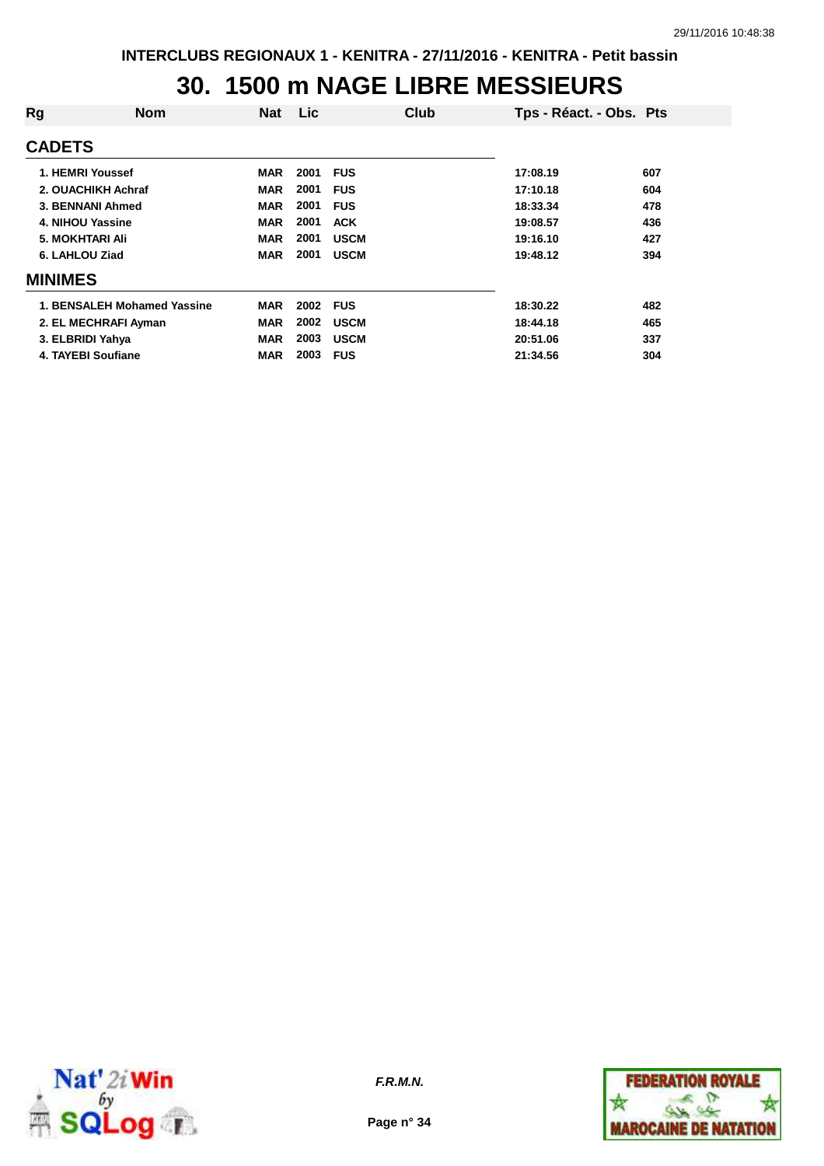#### **30. 1500 m NAGE LIBRE MESSIEURS**

| Rg               | <b>Nom</b>                  | <b>Nat</b> | <b>Lic</b> | Club        | Tps - Réact. - Obs. Pts |     |
|------------------|-----------------------------|------------|------------|-------------|-------------------------|-----|
| <b>CADETS</b>    |                             |            |            |             |                         |     |
| 1. HEMRI Youssef |                             | <b>MAR</b> | 2001       | <b>FUS</b>  | 17:08.19                | 607 |
|                  | 2. OUACHIKH Achraf          | <b>MAR</b> | 2001       | <b>FUS</b>  | 17:10.18                | 604 |
|                  | 3. BENNANI Ahmed            | <b>MAR</b> | 2001       | <b>FUS</b>  | 18:33.34                | 478 |
| 4. NIHOU Yassine |                             | <b>MAR</b> | 2001       | <b>ACK</b>  | 19:08.57                | 436 |
| 5. MOKHTARI Ali  |                             | <b>MAR</b> | 2001       | <b>USCM</b> | 19:16.10                | 427 |
| 6. LAHLOU Ziad   |                             | <b>MAR</b> | 2001       | <b>USCM</b> | 19:48.12                | 394 |
| <b>MINIMES</b>   |                             |            |            |             |                         |     |
|                  | 1. BENSALEH Mohamed Yassine | <b>MAR</b> | 2002       | <b>FUS</b>  | 18:30.22                | 482 |
|                  | 2. EL MECHRAFI Ayman        | <b>MAR</b> | 2002       | <b>USCM</b> | 18:44.18                | 465 |
| 3. ELBRIDI Yahya |                             | <b>MAR</b> | 2003       | <b>USCM</b> | 20:51.06                | 337 |
|                  | 4. TAYEBI Soufiane          | <b>MAR</b> | 2003       | <b>FUS</b>  | 21:34.56                | 304 |



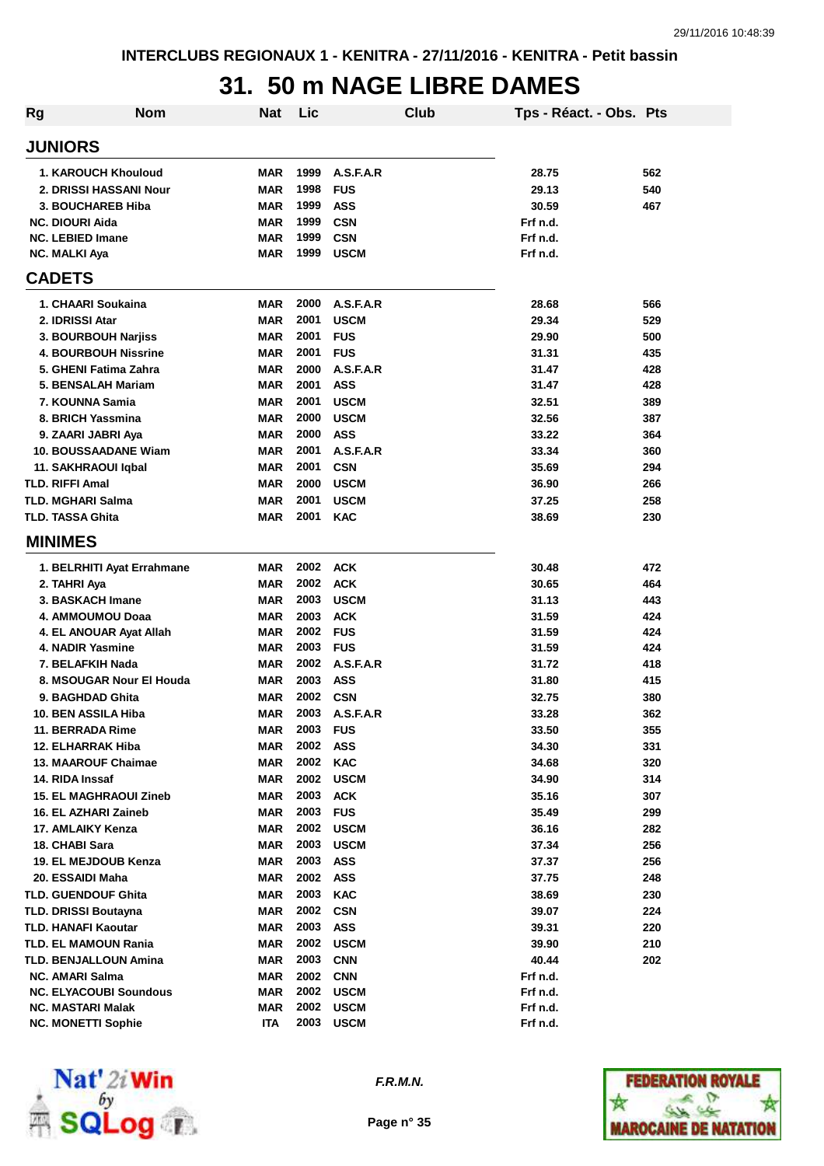### **31. 50 m NAGE LIBRE DAMES**

| <b>Rg</b> | Nom                           | Nat        | Lic  |             | Club | Tps - Réact. - Obs. Pts |     |
|-----------|-------------------------------|------------|------|-------------|------|-------------------------|-----|
|           | <b>JUNIORS</b>                |            |      |             |      |                         |     |
|           | 1. KAROUCH Khouloud           | <b>MAR</b> | 1999 | A.S.F.A.R   |      | 28.75                   | 562 |
|           | 2. DRISSI HASSANI Nour        | <b>MAR</b> | 1998 | <b>FUS</b>  |      | 29.13                   | 540 |
|           | 3. BOUCHAREB Hiba             | <b>MAR</b> | 1999 | <b>ASS</b>  |      | 30.59                   | 467 |
|           | <b>NC. DIOURI Aida</b>        | <b>MAR</b> | 1999 | <b>CSN</b>  |      | Frf n.d.                |     |
|           | <b>NC. LEBIED Imane</b>       | <b>MAR</b> | 1999 | <b>CSN</b>  |      | Frf n.d.                |     |
|           | <b>NC. MALKI Aya</b>          | <b>MAR</b> | 1999 | <b>USCM</b> |      | Frf n.d.                |     |
|           | <b>CADETS</b>                 |            |      |             |      |                         |     |
|           | 1. CHAARI Soukaina            | <b>MAR</b> | 2000 | A.S.F.A.R   |      | 28.68                   | 566 |
|           | 2. IDRISSI Atar               | <b>MAR</b> | 2001 | <b>USCM</b> |      | 29.34                   | 529 |
|           | 3. BOURBOUH Narjiss           | <b>MAR</b> | 2001 | <b>FUS</b>  |      | 29.90                   | 500 |
|           | <b>4. BOURBOUH Nissrine</b>   | <b>MAR</b> | 2001 | <b>FUS</b>  |      | 31.31                   | 435 |
|           | 5. GHENI Fatima Zahra         | <b>MAR</b> | 2000 | A.S.F.A.R   |      | 31.47                   | 428 |
|           | 5. BENSALAH Mariam            | <b>MAR</b> | 2001 | <b>ASS</b>  |      | 31.47                   | 428 |
|           | 7. KOUNNA Samia               | <b>MAR</b> | 2001 | <b>USCM</b> |      | 32.51                   | 389 |
|           | 8. BRICH Yassmina             | <b>MAR</b> | 2000 | <b>USCM</b> |      | 32.56                   | 387 |
|           | 9. ZAARI JABRI Aya            | <b>MAR</b> | 2000 | <b>ASS</b>  |      | 33.22                   | 364 |
|           | <b>10. BOUSSAADANE Wiam</b>   | <b>MAR</b> | 2001 | A.S.F.A.R   |      | 33.34                   | 360 |
|           | 11. SAKHRAOUI Iqbal           | <b>MAR</b> | 2001 | <b>CSN</b>  |      | 35.69                   | 294 |
|           | <b>TLD. RIFFI Amal</b>        | <b>MAR</b> | 2000 | <b>USCM</b> |      | 36.90                   | 266 |
|           | <b>TLD. MGHARI Salma</b>      | <b>MAR</b> | 2001 | <b>USCM</b> |      | 37.25                   | 258 |
|           | <b>TLD. TASSA Ghita</b>       | <b>MAR</b> | 2001 | <b>KAC</b>  |      | 38.69                   | 230 |
|           | <b>MINIMES</b>                |            |      |             |      |                         |     |
|           | 1. BELRHITI Ayat Errahmane    | <b>MAR</b> | 2002 | <b>ACK</b>  |      | 30.48                   | 472 |
|           | 2. TAHRI Aya                  | <b>MAR</b> | 2002 | <b>ACK</b>  |      | 30.65                   | 464 |
|           | 3. BASKACH Imane              | <b>MAR</b> | 2003 | <b>USCM</b> |      | 31.13                   | 443 |
|           | 4. AMMOUMOU Doaa              | <b>MAR</b> | 2003 | <b>ACK</b>  |      | 31.59                   | 424 |
|           | 4. EL ANOUAR Ayat Allah       | <b>MAR</b> | 2002 | <b>FUS</b>  |      | 31.59                   | 424 |
|           | 4. NADIR Yasmine              | <b>MAR</b> | 2003 | <b>FUS</b>  |      | 31.59                   | 424 |
|           | 7. BELAFKIH Nada              | <b>MAR</b> | 2002 | A.S.F.A.R   |      | 31.72                   | 418 |
|           | 8. MSOUGAR Nour El Houda      | <b>MAR</b> | 2003 | <b>ASS</b>  |      | 31.80                   | 415 |
|           | 9. BAGHDAD Ghita              | <b>MAR</b> | 2002 | <b>CSN</b>  |      | 32.75                   | 380 |
|           | 10. BEN ASSILA Hiba           | <b>MAR</b> | 2003 | A.S.F.A.R   |      | 33.28                   | 362 |
|           | 11. BERRADA Rime              | MAR        | 2003 | <b>FUS</b>  |      | 33.50                   | 355 |
|           | 12. ELHARRAK Hiba             | <b>MAR</b> | 2002 | <b>ASS</b>  |      | 34.30                   | 331 |
|           | <b>13. MAAROUF Chaimae</b>    | <b>MAR</b> | 2002 | <b>KAC</b>  |      | 34.68                   | 320 |
|           | 14. RIDA Inssaf               | <b>MAR</b> | 2002 | <b>USCM</b> |      | 34.90                   | 314 |
|           | <b>15. EL MAGHRAOUI Zineb</b> | <b>MAR</b> | 2003 | <b>ACK</b>  |      | 35.16                   | 307 |
|           | 16. EL AZHARI Zaineb          | <b>MAR</b> | 2003 | <b>FUS</b>  |      | 35.49                   | 299 |
|           | 17. AMLAIKY Kenza             | <b>MAR</b> | 2002 | <b>USCM</b> |      | 36.16                   | 282 |
|           | 18. CHABI Sara                | <b>MAR</b> | 2003 | <b>USCM</b> |      | 37.34                   | 256 |
|           | 19. EL MEJDOUB Kenza          | <b>MAR</b> | 2003 | <b>ASS</b>  |      | 37.37                   | 256 |
|           | 20. ESSAIDI Maha              | <b>MAR</b> | 2002 | <b>ASS</b>  |      | 37.75                   | 248 |
|           | <b>TLD. GUENDOUF Ghita</b>    | <b>MAR</b> | 2003 | <b>KAC</b>  |      | 38.69                   | 230 |
|           | TLD. DRISSI Boutayna          | <b>MAR</b> | 2002 | <b>CSN</b>  |      | 39.07                   | 224 |
|           | TLD. HANAFI Kaoutar           | <b>MAR</b> | 2003 | <b>ASS</b>  |      | 39.31                   | 220 |
|           | TLD. EL MAMOUN Rania          | <b>MAR</b> | 2002 | <b>USCM</b> |      | 39.90                   | 210 |
|           | TLD. BENJALLOUN Amina         | <b>MAR</b> | 2003 | <b>CNN</b>  |      | 40.44                   | 202 |
|           | <b>NC. AMARI Salma</b>        | <b>MAR</b> | 2002 | <b>CNN</b>  |      | Frf n.d.                |     |
|           | <b>NC. ELYACOUBI Soundous</b> | <b>MAR</b> | 2002 | <b>USCM</b> |      | Frf n.d.                |     |
|           | <b>NC. MASTARI Malak</b>      | <b>MAR</b> | 2002 | <b>USCM</b> |      | Frf n.d.                |     |
|           | <b>NC. MONETTI Sophie</b>     | ITA        | 2003 | <b>USCM</b> |      | Frf n.d.                |     |



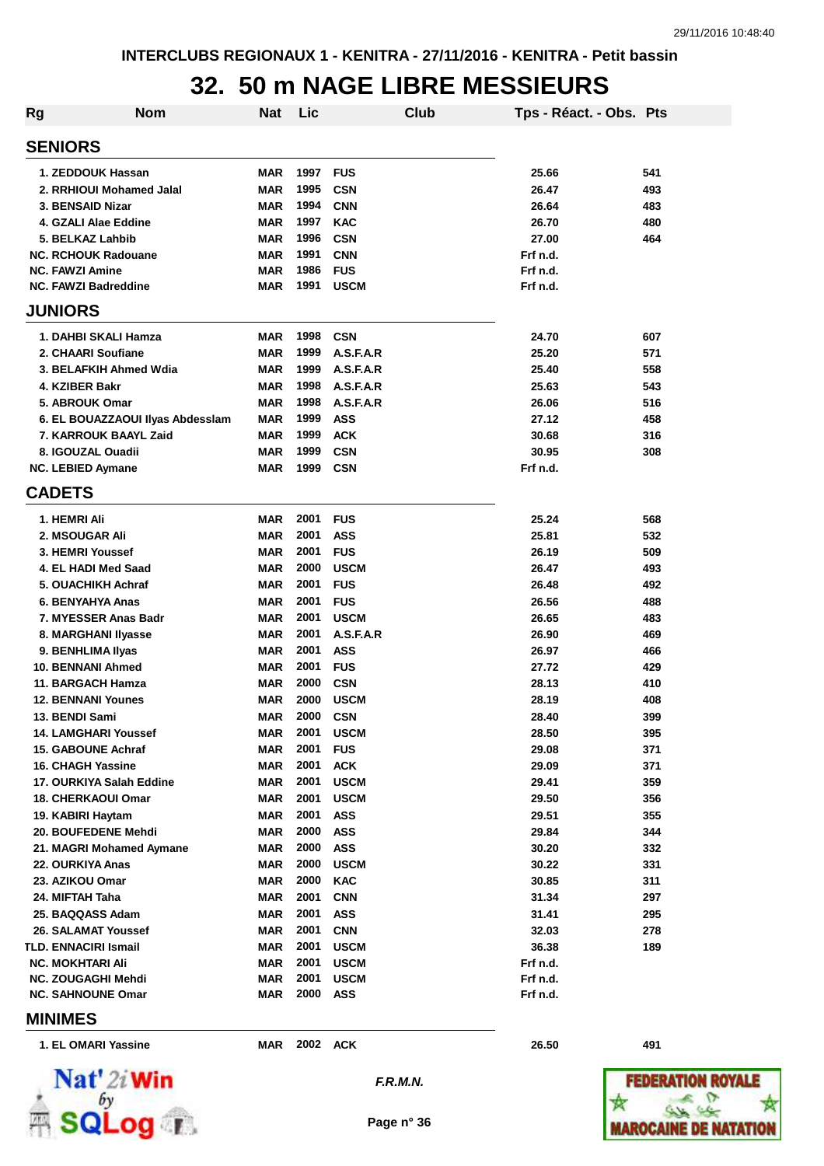## **32. 50 m NAGE LIBRE MESSIEURS**

| Rg                          | <b>Nom</b>                       | Nat        | Lic  |             | Club | Tps - Réact. - Obs. Pts |     |
|-----------------------------|----------------------------------|------------|------|-------------|------|-------------------------|-----|
| <b>SENIORS</b>              |                                  |            |      |             |      |                         |     |
| 1. ZEDDOUK Hassan           |                                  | <b>MAR</b> | 1997 | <b>FUS</b>  |      | 25.66                   | 541 |
|                             | 2. RRHIOUI Mohamed Jalal         | <b>MAR</b> | 1995 | <b>CSN</b>  |      | 26.47                   | 493 |
| 3. BENSAID Nizar            |                                  | <b>MAR</b> | 1994 | <b>CNN</b>  |      | 26.64                   | 483 |
| 4. GZALI Alae Eddine        |                                  | <b>MAR</b> | 1997 | <b>KAC</b>  |      | 26.70                   | 480 |
| 5. BELKAZ Lahbib            |                                  | <b>MAR</b> | 1996 | <b>CSN</b>  |      | 27.00                   | 464 |
| <b>NC. RCHOUK Radouane</b>  |                                  | <b>MAR</b> | 1991 | <b>CNN</b>  |      | Frf n.d.                |     |
| <b>NC. FAWZI Amine</b>      |                                  | <b>MAR</b> | 1986 | <b>FUS</b>  |      | Frf n.d.                |     |
| <b>NC. FAWZI Badreddine</b> |                                  | <b>MAR</b> | 1991 | <b>USCM</b> |      | Frf n.d.                |     |
| <b>JUNIORS</b>              |                                  |            |      |             |      |                         |     |
|                             | 1. DAHBI SKALI Hamza             | <b>MAR</b> | 1998 | <b>CSN</b>  |      | 24.70                   | 607 |
| 2. CHAARI Soufiane          |                                  | <b>MAR</b> | 1999 | A.S.F.A.R   |      | 25.20                   | 571 |
|                             | 3. BELAFKIH Ahmed Wdia           | <b>MAR</b> | 1999 | A.S.F.A.R   |      | 25.40                   | 558 |
| 4. KZIBER Bakr              |                                  | <b>MAR</b> | 1998 | A.S.F.A.R   |      | 25.63                   | 543 |
| 5. ABROUK Omar              |                                  | <b>MAR</b> | 1998 | A.S.F.A.R   |      | 26.06                   | 516 |
|                             | 6. EL BOUAZZAOUI Ilyas Abdesslam | <b>MAR</b> | 1999 | <b>ASS</b>  |      | 27.12                   | 458 |
|                             | 7. KARROUK BAAYL Zaid            | <b>MAR</b> | 1999 | <b>ACK</b>  |      | 30.68                   | 316 |
| 8. IGOUZAL Ouadii           |                                  | <b>MAR</b> | 1999 | <b>CSN</b>  |      | 30.95                   | 308 |
| <b>NC. LEBIED Aymane</b>    |                                  | <b>MAR</b> | 1999 | <b>CSN</b>  |      | Frf n.d.                |     |
| <b>CADETS</b>               |                                  |            |      |             |      |                         |     |
| 1. HEMRI Ali                |                                  | <b>MAR</b> | 2001 | <b>FUS</b>  |      | 25.24                   | 568 |
| 2. MSOUGAR Ali              |                                  | <b>MAR</b> | 2001 | <b>ASS</b>  |      | 25.81                   | 532 |
| 3. HEMRI Youssef            |                                  | <b>MAR</b> | 2001 | <b>FUS</b>  |      | 26.19                   | 509 |
| 4. EL HADI Med Saad         |                                  | <b>MAR</b> | 2000 | <b>USCM</b> |      | 26.47                   | 493 |
| 5. OUACHIKH Achraf          |                                  | <b>MAR</b> | 2001 | <b>FUS</b>  |      | 26.48                   | 492 |
| 6. BENYAHYA Anas            |                                  | <b>MAR</b> | 2001 | <b>FUS</b>  |      | 26.56                   | 488 |
|                             | 7. MYESSER Anas Badr             | <b>MAR</b> | 2001 | <b>USCM</b> |      | 26.65                   | 483 |
| 8. MARGHANI Ilyasse         |                                  | <b>MAR</b> | 2001 | A.S.F.A.R   |      | 26.90                   | 469 |
| 9. BENHLIMA IIyas           |                                  | <b>MAR</b> | 2001 | <b>ASS</b>  |      | 26.97                   | 466 |
| <b>10. BENNANI Ahmed</b>    |                                  | <b>MAR</b> | 2001 | <b>FUS</b>  |      | 27.72                   | 429 |
| 11. BARGACH Hamza           |                                  | <b>MAR</b> | 2000 | <b>CSN</b>  |      | 28.13                   | 410 |
| <b>12. BENNANI Younes</b>   |                                  | <b>MAR</b> | 2000 | <b>USCM</b> |      | 28.19                   | 408 |
| 13. BENDI Sami              |                                  | <b>MAR</b> | 2000 | <b>CSN</b>  |      | 28.40                   | 399 |
| <b>14. LAMGHARI Youssef</b> |                                  | MAR        | 2001 | <b>USCM</b> |      | 28.50                   | 395 |
| <b>15. GABOUNE Achraf</b>   |                                  | <b>MAR</b> | 2001 | <b>FUS</b>  |      | 29.08                   | 371 |
| <b>16. CHAGH Yassine</b>    |                                  | <b>MAR</b> | 2001 | <b>ACK</b>  |      | 29.09                   | 371 |
|                             | 17. OURKIYA Salah Eddine         | <b>MAR</b> | 2001 | <b>USCM</b> |      | 29.41                   | 359 |
| <b>18. CHERKAOUI Omar</b>   |                                  | <b>MAR</b> | 2001 | <b>USCM</b> |      | 29.50                   | 356 |
| 19. KABIRI Haytam           |                                  | <b>MAR</b> | 2001 | <b>ASS</b>  |      | 29.51                   | 355 |
| 20. BOUFEDENE Mehdi         |                                  | <b>MAR</b> | 2000 | <b>ASS</b>  |      | 29.84                   | 344 |
|                             | 21. MAGRI Mohamed Aymane         | <b>MAR</b> | 2000 | ASS         |      | 30.20                   | 332 |
| 22. OURKIYA Anas            |                                  | <b>MAR</b> | 2000 | <b>USCM</b> |      | 30.22                   | 331 |
| 23. AZIKOU Omar             |                                  | <b>MAR</b> | 2000 | <b>KAC</b>  |      | 30.85                   | 311 |
| 24. MIFTAH Taha             |                                  | <b>MAR</b> | 2001 | <b>CNN</b>  |      | 31.34                   | 297 |
| 25. BAQQASS Adam            |                                  | <b>MAR</b> | 2001 | <b>ASS</b>  |      | 31.41                   | 295 |
| 26. SALAMAT Youssef         |                                  | <b>MAR</b> | 2001 | <b>CNN</b>  |      | 32.03                   | 278 |
| <b>TLD. ENNACIRI Ismail</b> |                                  | <b>MAR</b> | 2001 | <b>USCM</b> |      | 36.38                   | 189 |
| <b>NC. MOKHTARI Ali</b>     |                                  | <b>MAR</b> | 2001 | <b>USCM</b> |      | Frf n.d.                |     |
| NC. ZOUGAGHI Mehdi          |                                  | <b>MAR</b> | 2001 | <b>USCM</b> |      | Frf n.d.                |     |
| <b>NC. SAHNOUNE Omar</b>    |                                  | <b>MAR</b> | 2000 | ASS         |      | Frf n.d.                |     |
| <b>MINIMES</b>              |                                  |            |      |             |      |                         |     |
| 1. EL OMARI Yassine         |                                  | MAR        |      | 2002 ACK    |      | 26.50                   | 491 |